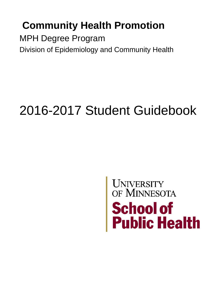# **Community Health Promotion**

MPH Degree Program Division of Epidemiology and Community Health

# 2016-2017 Student Guidebook

# UNIVERSITY<br>OF MINNESOTA<br>School of<br>Public Health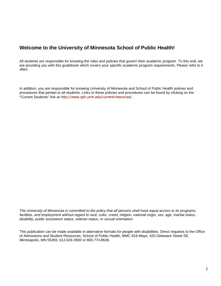#### **Welcome to the University of Minnesota School of Public Health!**

All students are responsible for knowing the rules and policies that govern their academic program. To this end, we are providing you with this guidebook which covers your specific academic program requirements. Please refer to it often.

In addition, you are responsible for knowing University of Minnesota and School of Public Health policies and procedures that pertain to all students. Links to these policies and procedures can be found by clicking on the "Current Students" link at <http://www.sph.umn.edu/current/resources/>.

*The University of Minnesota is committed to the policy that all persons shall have equal access to its programs,*  facilities, and employment without regard to race, color, creed, religion, national origin, sex, age, marital status, *disability, public assistance status, veteran status, or sexual orientation.*

This publication can be made available in alternative formats for people with disabilities. Direct requests to the Office of Admissions and Student Resources, School of Public Health, MMC 819 Mayo, 420 Delaware Street SE, Minneapolis, MN 55455; 612.626-3500 or 800.774.8636.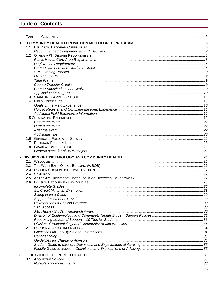### **Table of Contents**

| 1. |     |  |
|----|-----|--|
|    |     |  |
|    |     |  |
|    |     |  |
|    |     |  |
|    |     |  |
|    |     |  |
|    |     |  |
|    |     |  |
|    |     |  |
|    |     |  |
|    |     |  |
|    |     |  |
|    |     |  |
|    |     |  |
|    |     |  |
|    |     |  |
|    |     |  |
|    |     |  |
|    |     |  |
|    |     |  |
|    |     |  |
|    |     |  |
|    |     |  |
|    | 1.8 |  |
|    |     |  |
|    |     |  |
|    |     |  |
|    |     |  |
|    | 2.3 |  |
|    | 2.4 |  |
|    | 2.5 |  |
|    | 2.6 |  |
|    |     |  |
|    |     |  |
|    |     |  |
|    |     |  |
|    |     |  |
|    |     |  |
|    |     |  |
|    |     |  |
|    |     |  |
|    | 2.7 |  |
|    |     |  |
|    |     |  |
|    |     |  |
|    |     |  |
|    |     |  |
| 3. |     |  |
|    | 3.1 |  |
|    |     |  |
|    |     |  |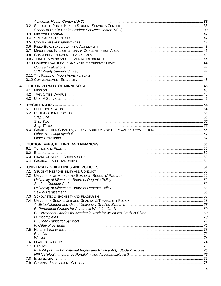| 4. |  |  |
|----|--|--|
|    |  |  |
|    |  |  |
|    |  |  |
| 5. |  |  |
|    |  |  |
|    |  |  |
|    |  |  |
|    |  |  |
|    |  |  |
|    |  |  |
|    |  |  |
|    |  |  |
| 6. |  |  |
|    |  |  |
|    |  |  |
|    |  |  |
|    |  |  |
| 7. |  |  |
|    |  |  |
|    |  |  |
|    |  |  |
|    |  |  |
|    |  |  |
|    |  |  |
|    |  |  |
|    |  |  |
|    |  |  |
|    |  |  |
|    |  |  |
|    |  |  |
|    |  |  |
|    |  |  |
|    |  |  |
|    |  |  |
|    |  |  |
|    |  |  |
|    |  |  |
|    |  |  |
|    |  |  |
|    |  |  |

 $\overline{\mathbf{4}}$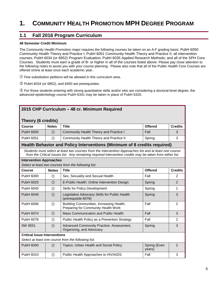# **1. COMMUNITY HEALTH PROMOTION MPH DEGREE PROGRAM**

#### **1.1 Fall 2016 Program Curriculum**

#### **48 Semester Credit Minimum**

The Community Health Promotion major requires the following courses be taken on an A-F grading basis: PubH 6050 Community Health Theory and Practice I; PubH 6051 Community Health Theory and Practice II; all intervention courses; PubH 6034 (or 6852) Program Evaluation; PubH 6035 Applied Research Methods; and all of the SPH Core Courses. Students must earn a grade of B- or higher in all of the courses listed above. Please pay close attention to the following notes to assist you with your course planning. Please also note that all of the Public Health Core Courses are offered online at least once each academic year.

Few substitution petitions will be allowed in this curriculum area.

 $Q$  PubH 6034 (or 6852), and 6450 are prerequisites.

 For those students entering with strong quantitative skills and/or who are considering a doctoral-level degree, the advanced epidemiology course PubH 6341 may be taken in place of PubH 6320.

| 2015 CHP Curriculum - 48 cr. Minimum Required       |               |                                                                                                                                                                                                                     |                                  |                |  |  |  |
|-----------------------------------------------------|---------------|---------------------------------------------------------------------------------------------------------------------------------------------------------------------------------------------------------------------|----------------------------------|----------------|--|--|--|
| Theory (6 credits)                                  |               |                                                                                                                                                                                                                     |                                  |                |  |  |  |
| <b>Course</b>                                       | <b>Notes</b>  | <b>Title</b>                                                                                                                                                                                                        | <b>Offered</b><br><b>Credits</b> |                |  |  |  |
| PubH 6050                                           | (1)           | Community Health Theory and Practice I                                                                                                                                                                              | Fall                             | 3              |  |  |  |
| PubH 6051                                           | $^{\circ}$    | Community Health Theory and Practice II                                                                                                                                                                             | Spring                           | 3              |  |  |  |
|                                                     |               | Health Behavior and Policy Interventions (Minimum of 8 credits required)                                                                                                                                            |                                  |                |  |  |  |
|                                                     |               | Students must select at least two courses from the Intervention Approaches list and at least one course<br>from the Critical Issues list. Any remaining required intervention credits may be taken from either list |                                  |                |  |  |  |
| <b>Intervention Approaches</b>                      |               | Select at least two courses from the following list:                                                                                                                                                                |                                  |                |  |  |  |
| Course                                              | <b>Notes</b>  | <b>Title</b>                                                                                                                                                                                                        | <b>Offered</b>                   | <b>Credits</b> |  |  |  |
| PubH 6000                                           | $\circled{1}$ | Sex, Sexuality and Sexual Health                                                                                                                                                                                    | Fall                             | 2              |  |  |  |
| PubH 6025                                           | (1)           | E-Public Health: Online Intervention Design                                                                                                                                                                         | Spring                           | $\overline{2}$ |  |  |  |
| PubH 6045                                           | $\circled{1}$ | <b>Skills for Policy Development</b>                                                                                                                                                                                | Spring                           | 1              |  |  |  |
| PubH 6049                                           | (1)           | Legislative Advocacy Skills for Public Health<br>(prerequisite 6078)                                                                                                                                                | Spring                           | 3              |  |  |  |
| PubH 6066                                           | $\circled{1}$ | Building Communities, Increasing Health:<br>Preparing for Community Health Work                                                                                                                                     | Fall                             | 2              |  |  |  |
| PubH 6074                                           | $\circ$       | Mass Communication and Public Health                                                                                                                                                                                | Fall                             | 3              |  |  |  |
| PubH 6078                                           | $\circled{1}$ | Public Health Policy as a Prevention Strategy                                                                                                                                                                       | Fall                             | $\overline{2}$ |  |  |  |
| SW 8551                                             | $\circled{1}$ | Advanced Community Practice: Assessment,<br>Organizing, and Advocacy                                                                                                                                                | Spring                           | 3              |  |  |  |
| <b>Critical Issue Interventions</b>                 |               |                                                                                                                                                                                                                     |                                  |                |  |  |  |
| Select at least one course from the following list: |               |                                                                                                                                                                                                                     |                                  |                |  |  |  |
| PubH 6000                                           | (1)           | Topics: Urban Health and Social Policy                                                                                                                                                                              | Spring (Even<br>years)           | $\overline{2}$ |  |  |  |
| PubH 6010                                           | $\circled{1}$ | Public Health Approaches to HIV/AIDS                                                                                                                                                                                | Fall                             | 3              |  |  |  |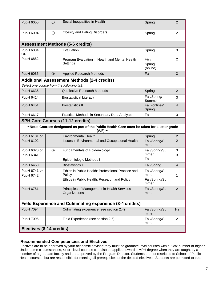| PubH 6055                                  | $\circled{1}$                                                    | Social Inequalities in Health                                                                         | Spring                        | $\overline{2}$ |  |  |  |
|--------------------------------------------|------------------------------------------------------------------|-------------------------------------------------------------------------------------------------------|-------------------------------|----------------|--|--|--|
| PubH 6094                                  | $\circ$                                                          | <b>Obesity and Eating Disorders</b>                                                                   | Spring                        | $\overline{2}$ |  |  |  |
|                                            |                                                                  | <b>Assessment Methods (5-6 credits)</b>                                                               |                               |                |  |  |  |
| PubH 6034<br><b>OR</b>                     |                                                                  | Evaluation                                                                                            | Spring                        | 3              |  |  |  |
| PubH 6852                                  |                                                                  | Program Evaluation in Health and Mental Health<br>Settings                                            | Fall/<br>Spring<br>(online)   | 2              |  |  |  |
| PubH 6035                                  | $\circled{2}$                                                    | <b>Applied Research Methods</b>                                                                       | Fall                          | 3              |  |  |  |
|                                            |                                                                  | <b>Additional Assessment Methods (2-4 credits)</b>                                                    |                               |                |  |  |  |
| Select one course from the following list: |                                                                  |                                                                                                       |                               |                |  |  |  |
| PubH 6636                                  |                                                                  | <b>Qualitative Research Methods</b>                                                                   | Spring                        | $\overline{2}$ |  |  |  |
| PubH 6414                                  |                                                                  | <b>Biostatistical Literacy</b>                                                                        | Fall/Spring/<br>Summer        | 3              |  |  |  |
| <b>PubH 6451</b>                           |                                                                  | <b>Biostatistics II</b>                                                                               | Fall (online)/<br>Spring      | $\overline{4}$ |  |  |  |
| <b>PubH 6617</b>                           |                                                                  | Practical Methods in Secondary Data Analysis                                                          | Fall                          | 3              |  |  |  |
|                                            |                                                                  | <b>SPH Core Courses (11-12 credits)</b>                                                               |                               |                |  |  |  |
|                                            |                                                                  | Thote: Courses designated as part of the Public Health Core must be taken for a letter grade<br>(A/F) |                               |                |  |  |  |
| PubH 6101 or                               |                                                                  | <b>Environmental Health</b>                                                                           | Spring                        | $\overline{2}$ |  |  |  |
| PubH 6102                                  |                                                                  | Issues in Environmental and Occupational Health                                                       | Fall/Spring/Su<br>mmer        | 2              |  |  |  |
| PubH 6320 or                               | $\circled{3}$                                                    | Fundamentals of Epidemiology                                                                          | Fall/Spring/Su                | $\mathbf{3}$   |  |  |  |
| PubH 6341                                  |                                                                  |                                                                                                       | mmer<br>Fall                  | 3              |  |  |  |
| PubH 6450                                  |                                                                  | Epidemiologic Methods I<br><b>Biostatistics I</b>                                                     |                               | $\overline{4}$ |  |  |  |
| PubH 6741 or                               |                                                                  | Ethics in Public Health: Professional Practice and                                                    | Fall/Spring<br>Fall/Spring/Su | 1              |  |  |  |
| PubH 6742                                  |                                                                  | Policy                                                                                                | mmer                          | 1              |  |  |  |
|                                            |                                                                  | Ethics in Public Health: Research and Policy                                                          | Fall/Spring/Su<br>mmer        |                |  |  |  |
| PubH 6751                                  |                                                                  | Principles of Management in Health Services<br>Organizations                                          | Fall/Spring/Su<br>mmer        | 2              |  |  |  |
|                                            | <b>Field Experience and Culminating experience (3-4 credits)</b> |                                                                                                       |                               |                |  |  |  |
| PubH 7094                                  |                                                                  | Culminating experience (see section 2.4)                                                              | Fall/Spring/Su<br>mmer        | $1 - 2$        |  |  |  |
| PubH 7096                                  |                                                                  | Field Experience (see section 2.5)                                                                    | Fall/Spring/Su<br>mmer        | 2              |  |  |  |
| Electives (8-14 credits)                   |                                                                  |                                                                                                       |                               |                |  |  |  |

#### **Recommended Competencies and Electives**

Electives are to be approved by your academic advisor; they must be graduate level courses with a 5xxx number or higher. Under some circumstances, 4xxx - level courses can also be applied toward a MPH degree when they are taught by a member of a graduate faculty and are approved by the Program Director. Students are not restricted to School of Public Health courses, but are responsible for meeting all prerequisites of the desired electives. Students are permitted to take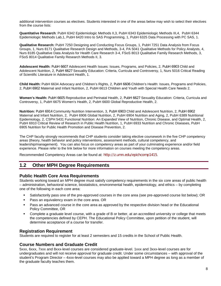additional intervention courses as electives. Students interested in one of the areas below may wish to select their electives from the course lists:

**Quantitative Research**: PubH 6342 Epidemiologic Methods II,3, PubH 6343 Epidemiologic Methods III,4, PubH 6344 Epidemiologic Methods Lab,1, PubH 6420 Intro to SAS Programming, 1, PubH 6325 Data Processing with PC SAS, 1.

**Qualitative Research:** PubH 7250 Designing and Conducting Focus Groups, 1, PubH 7251 Data Analysis from Focus Groups, 1, Nurs 8171 Qualitative Research Design and Methods, 3-4, PA 5041 Qualitative Methods for Policy Analysts, 4, Nurs 8185 Qualitative Data Analysis for Health Care Research 3-4, FSoS 8013 Qualitative Family Research Methods, 3, FSoS 8014 Qualitative Family Research Methods II, 3.

**Adolescent Health:** [PubH 6607](http://www.sph.umn.edu/programs/syllabi/pdf/S11/S11_6607_sec1.pdf) Adolescent Health Issues: Issues, Programs, and Policies, 2, [PubH 6903](http://www.sph.umn.edu/programs/syllabi/pdf/f11/F11_6903.pdf) Child and Adolescent Nutrition, 2, [PubH 6627](http://www.sph.umn.edu/programs/syllabi/pdf/f11/F11_6627.pdf) Sexuality Education: Criteria, Curricula and Controversy, 1, Nurs 5016 Critical Reading of Scientific Literature in Adolescent Health, 1.

**Child Health:** PubH 6634 Advocacy and Children's Rights, 2, [PubH 6606](http://www.sph.umn.edu/programs/syllabi/pdf/S12/S12_6606.pdf) Children's Health: Issues, Programs and Policies, 2, [PubH 6902](http://www.sph.umn.edu/programs/syllabi/pdf/f11/F11_6902.pdf) Maternal and Infant Nutrition, 2, PubH 6613 Children and Youth with Special Health Care Needs 2.

**Women's Health:** [PubH 6605](http://www.sph.umn.edu/programs/syllabi/pdf/S11/S11_6605_sec1.pdf) Reproductive and Perinatal Health, 2, [PubH 6627](http://www.sph.umn.edu/programs/syllabi/pdf/f11/F11_6627.pdf) Sexuality Education: Criteria, Curricula and Controversy, 1, PubH 6675 Women's Health, 2, PubH 6600 Global Reproductive Health, 2.

**Nutrition:** [PubH 6914](http://www.sph.umn.edu/programs/syllabi/pdf/S12/S12_6914.pdf) Community Nutrition Intervention, 3, [PubH 6903](http://www.sph.umn.edu/programs/syllabi/pdf/f11/F11_6903.pdf) Child and Adolescent Nutrition, 2, [PubH 6902](http://www.sph.umn.edu/programs/syllabi/pdf/f11/F11_6902.pdf) Maternal and Infant Nutrition, 2, PubH 6906 Global Nutrition, 2, PubH 6904 Nutrition and Aging, 2, PubH 6389 Nutritional Epidemiology, 2, CSPH 5431 Functional Nutrition: An Expanded View of Nutrition, Chronic Disease, and Optimal Health, 2, PubH 6910 Critical Review of Research in Public Health Nutrition, 1, PubH 6933 Nutrition and Chronic Diseases, PubH 6905 Nutrition for Public Health Promotion and Disease Prevention, 2.

The CHP faculty strongly recommends that CHP students consider taking elective coursework in the five CHP competency areas (theory, health behavior and policy interventions, assessment methods, cultural competency, and leadership/management). You can also focus on competency areas as part of your culminating experience and/or field experience. Please refer to the link below for more information on courses meeting the competency areas.

Recommended Competency Areas can be found at: <http://z.umn.edu/epichcomp1415>.

#### **1.2 Other MPH Degree Requirements**

#### **Public Health Core Area Requirements**

Students working toward an MPH degree must satisfy competency requirements in the six core areas of public health – administration, behavioral science, biostatistics, environmental health, epidemiology, and ethics – by completing one of the following in each core area:

- Satisfactorily pass one of the pre-approved courses in the core area (see pre-approved course list below); OR
- **Pass an equivalency exam in the core area. OR**
- Pass an advanced course in the core area as approved by the respective division head or the Educational Policy Committee, OR
- Complete a graduate level course, with a grade of B or better, at an accredited university or college that meets the competencies defined by CEPH. The Educational Policy Committee, upon petition of the student, will determine acceptance of a course for transfer.

#### **Registration Requirement**

Students are required to register for at least 2 semesters and 15 credits in the School of Public Health.

#### **Course Numbers and Graduate Credit**

5xxx, 6xxx, 7xxx and 8xxx-level courses are considered graduate-level. 1xxx and 3xxx-level courses are for undergraduates and will not receive approval for graduate credit. Under some circumstances – with approval of the student's Program Director – 4xxx-level courses may also be applied toward a MPH degree as long as a member of the graduate faculty teaches them.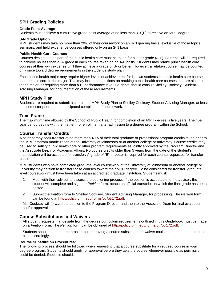#### **SPH Grading Policies**

#### **Grade Point Average**

Students must achieve a cumulative grade point average of no less than 3.0 (B) to receive an MPH degree.

#### **S-N Grade Option**

MPH students may take no more than 20% of their coursework on an S-N grading basis, exclusive of those topics, seminars, and field experience courses offered only on an S-N basis.

#### **Public Health Core Courses**

Courses designated as part of the public health core must be taken for a letter grade (A-F). Students will be required to achieve no less than a B- grade in each course taken on an A-F basis. Students may retake public health core courses at their own expense until they achieve a grade of B- or better. However, a retaken course may be counted only once toward degree requirements in the student's study plan.

Each public health major may require higher levels of achievement for its own students in public health core courses that are also core to the major. This may include restrictions on retaking public health core courses that are also core to the major, or requiring more than a B- performance level. Students should consult Shelley Cooksey, Student Advising Manager, for documentation of these requirements.

#### **MPH Study Plan**

Students are required to submit a completed MPH Study Plan to Shelley Cooksey, Student Advising Manager, at least one semester prior to their anticipated completion of coursework.

#### **Time Frame**

The maximum time allowed by the School of Public Health for completion of an MPH degree is five years. The fiveyear period begins with the first term of enrollment after admission to a degree program within the School.

#### **Course Transfer Credits**

A student may seek transfer of no more than 40% of their total graduate or professional program credits taken prior to the MPH program matriculation at the University of Minnesota or at another college or university. Course credits may be used to satisfy public health core or other program requirements as jointly approved by the Program Director and the Associate Dean for Academic Affairs. No course credits older than 5 years from the date of the student's matriculation will be accepted for transfer. A grade of "B" or better is required for each course requested for transfer credit.

MPH students who have completed graduate-level coursework at the University of Minnesota or another college or university may petition to transfer those courses toward their MPH degree. To be considered for transfer, graduate level coursework must have been taken at an accredited graduate institution. Students must:

- 1. Meet with their advisor to discuss the petitioning process. If the petition is acceptable to the advisor, the student will complete and sign the *Petition* form, attach an official transcript on which the final grade has been posted.
- 2. Submit the *Petition* form to Shelley Cooksey, Student Advising Manager, for processing. The *Petition* form can be found at [http://policy.umn.edu/forms/otr/otr172.pdf.](http://policy.umn.edu/forms/otr/otr172.pdf)

Ms. Cooksey will forward the petition to the Program Director and then to the Associate Dean for final evaluation and/or approval.

#### **Course Substitutions and Waivers**

All student requests that deviate from the degree curriculum requirements outlined in this Guidebook must be made on a *Petition* form. The *Petition* form can be obtained at [http://policy.umn.edu/forms/otr/otr172.pdf.](http://policy.umn.edu/forms/otr/otr172.pdf)

Students should note that the process for approving a course substitution or waiver could take up to one month, so plan accordingly.

#### **Course Substitution Procedures:**

The following process should be followed when requesting that a course substitute for a required course in your degree program. Students should apply for approval before they take the course whenever possible as permission could be denied. Students should: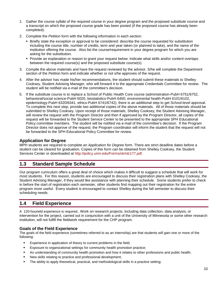- 1. Gather the course syllabi of the required course in your degree program and the proposed substitute course and a transcript on which the proposed course grade has been posted (if the proposed course has already been completed).
- 2. Complete the *Petition* form with the following information in each section:
	- **Briefly state the exception or approval to be considered: describe the course requested for substitution** including the course title, number of credits, term and year taken (or planned to take), and the name of the institution offering the course. Also list the course/requirement in your degree program for which you are asking for the substitution.
	- Provide an explanation or reason to grant your request below: Indicate what skills and/or content overlaps between the required course(s) and the proposed substitute course(s).
- 3. Compile the above materials and have the request reviewed by the advisor. S/he will complete the Department section of the *Petition* form and indicate whether or not s/he approves of the request.
- 4. After the advisor has made his/her recommendations, the student should submit these materials to Shelley Cooksey, Student Advising Manager, who will forward it to the appropriate Credentials Committee for review. The student will be notified via e-mail of the committee's decision.
- 5. If the substitute course is to replace a School of Public Health Core course (administration-PubH 6751/6752, behavioral/social science-PubH 6020, biostatistics-PubH 6450, environmental health-PubH 6101/6102, epidemiology-PubH 6320/6341, ethics-PubH 6741/6742), there is an additional step to get School-level approval. To complete this next step, provide two additional copies of the above materials. All of those materials should be submitted to Shelley Cooksey. Upon receipt of those materials, Shelley Cooksey, the Student Advising Manager, will review the request with the Program Director and then if approved by the Program Director, all copies of the request will be forwarded to the Student Service Center to be presented to the appropriate SPH Educational Policy committee members. The student will be notified via e-mail of the committee's decision. If the Program Director does not approve of the request, the Program coordinator will inform the student that the request will not be forwarded to the SPH Educational Policy Committee for review.

#### **Application for Degree**

MPH students are required to complete an *Application for Degree* form. There are strict deadline dates before a student can be cleared for graduation. Copies of this form can be obtained from Shelley Cooksey, the Student Services Center or downloaded at [http://policy.umn.edu/Forms/otr/otr177.pdf.](http://policy.umn.edu/Forms/otr/otr177.pdf)

#### **1.3 Standard Sample Schedule**

Our program curriculum offers a great deal of choice which makes it difficult to suggest a schedule that will work for most students. For this reason, students are encouraged to discuss their registration plans with Shelley Cooksey, the Student Advising Manager, if they would like assistance with planning their schedule. Some students prefer to check in before the start of registration each semester, other students find mapping out their registration for the entire program more useful. Every student is encouraged to contact Shelley during the fall semester to discuss their scheduling needs.

#### **1.4 Field Experience**

A 120-hourield experience is required.. Work on research projects, including data collection, data analysis, or intervention for the project, carried out in conjunction with a unit of the University of Minnesota or some other research institution, will not fulfill the fieldwork requirement for the CHP program.

#### **Goals of the Field Experience**

The goals of the field experience (sometimes referred to as an internship) are that students will gain one or more of the following:

- **Experience in application of theory to current problems in the field;**
- Exposure to organizational settings for community health promotion practice;
- An understanding of community health promotion and how it relates to other professions and public health;
- New skills relating to practice and professional development;
- The ability to apply theoretical, practical, and methodological skills in a practice setting;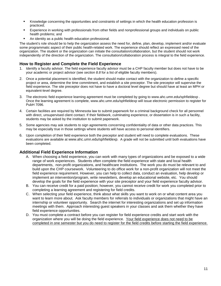- Knowledge concerning the opportunities and constraints of settings in which the health education profession is practiced;
- Experience in working with professionals from other fields and nonprofessional groups and individuals on public health problems; and
- An identity as a public health education professional.

The student's role should be to help the organization assess the need for, define, plan, develop, implement and/or evaluate some programmatic aspect of their public health-related work. The experience should reflect an expressed need of the organization. The student or the organization can initiate the consultation/collaboration, but the student should not work independently of the direction of the organization. The consultation/collaboration process is integral to the field experience.

#### **How to Register and Complete the Field Experience**

- 1. Identify a faculty advisor. The field experience faculty advisor must be a CHP faculty member but does not have to be your academic or project advisor (see *section 8.8* for a list of eligible faculty members).
- 2. Once a potential placement is identified, the student should make contact with the organization to define a specific project or area, determine the time commitment, and establish a site preceptor. The site preceptor will supervise the field experience. The site preceptor does not have to have a doctoral level degree but should have at least an MPH or equivalent-level degree.
- 3. The electronic field experience learning agreement must be completed by going to www.ahc.umn.edu/sphfieldexp . Once the learning agreement is complete, www.ahc.umn.edu/sphfieldexp will issue electronic permission to register for PubH 7096.
- 4. Certain facilities are required by Minnesota law to submit paperwork for a criminal background check for all personnel with direct, unsupervised client contact. If their fieldwork, culminating experience, or dissertation is in such a facility, students may be asked by the institution to submit paperwork.
- 5. Some agencies may ask students to sign agreements concerning confidentiality of data or other data practices. This may be especially true in those settings where students will have access to personal identifiers.
- 6. Upon completion of their field experience both the preceptor and student will need to complete evaluations. These evaluations are available at www.ahc.umn.edu/sphfieldexp. A grade will not be submitted until both evaluations have been completed.

#### **Additional Field Experience Information**

- A. When choosing a field experience, you can work with many types of organizations and be exposed to a wide range of work experiences. Students often complete the field experience with state and local health departments, non-profit organizations, and healthcare institutions. The work you do must be relevant to and build upon the CHP coursework. Volunteering to do office work for a non-profit organization will not meet the field experience requirement. However, you can help to collect data, conduct an evaluation, help develop or implement an intervention/program, write newsletters, develop an educational website, etc. You should develop the goals for the field experience with your site preceptor and your field experience faculty advisor.
- B. You can receive credit for a paid position; however, you cannot receive credit for work you completed prior to completing a learning agreement and registering for field credits.
- C. When selecting your field experience, think about what skills you want to work on or what content area you want to learn more about. Ask faculty members for referrals to individuals or organizations that might have an internship or volunteer opportunity. Search the internet for interesting organizations and set up information meetings with them. Approach interesting guest speakers in your classes and ask them whether they have field experience opportunities.
- D. You must complete a contract before you can register for field experience credits and start work with the organization where you will be doing the field experience. Your field experience does not need to be completed in one semester but you do need to register for the field credits before starting the field experience.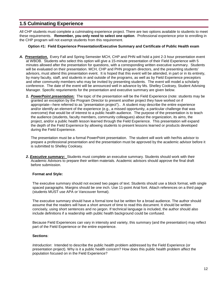#### **1.5 Culminating Experience**

All CHP students must complete a culminating experience project. There are two options available to students to meet these requirements. **Remember, you only need to select one option**. Professional experience prior to enrolling in the CHP program will not exempt students from this requirement.

#### **Option #1: Field Experience Presentation/Executive Summary and Certificate of Public Health exam**

- *A. Presentation.* Every Fall and Spring Semester MCH, CHP and PHN will hold a joint 2-3 hour presentation event at WBOB. Students who select this option will give a 15-minute presentation of their Field Experience with 5 minutes allowed after the presentation for questions, with a corresponding written executive summary. Students will be evaluated on their presentation. MCH, CHP and PHN program directors, and the presenting students' advisors, must attend this presentation event. It is hoped that this event will be attended, in part or in its entirety, by many faculty, staff, and students in and outside of the programs, as well as by Field Experience preceptors and other community members who may be invited by presenting students. The event will model a scholarly conference. The date of the event will be announced well in advance by Ms. Shelley Cooksey, Student Advising Manager. Specific requriements for the presentation and executive summary are given below.
	- *1. PowerPoint presentation:*The topic of the presentation will be the Field Experience (note: students may be granted an exception by the Program Director to present another project they have worked on if appropriate—here referred to as "presentation project").. A student may describe the entire experience and/or identify an element of the experience (e.g., a missed opportunity, a particular challenge that was overcome) that would be of interest to a public health audience. The purpose of the presentation is to teach the audience (students, faculty members, community colleagues) about the organization, its aims, the project, and/or a public health lesson learned through the Field Experience. This presentation will expand the depth of the Field Experience by allowing students to present lessons learned or products developed during the Field Experience.

The presentation must be a formal PowerPoint presentation. The student will work with her/his advisor to prepare a professional presentation and the presentation must be approved by the academic advisor before it is submitted to Shelley Cooksey.

2. **Executive summary:** Students must complete an executive summary. Students should work with their Academic Advisors to prepare their written materials. Academic advisors should approve the final draft before submission.

#### **Format and Style:**

The executive summary should not exceed two pages of text. Students should use a block format, with single spaced paragraphs. Margins should be one inch. Use 11-point Arial font. Attach references on a third page (students MUST use APA or Vancouver format).

The executive summary should have a formal tone but be written for a broad audience. The author should assume that the readers will have a short amount of time to read this document. It should be written concisely, using short sentences and no jargon. If technical language is included, the author should also include definitions if a readership with public health background could be confused.

Because Field Experiences can vary in intensity and variety, this summary (and the presentation) may reflect part of the Field Experience or the entire experience.

#### **Sections**:

*Introduction*: Intended to describe the public health problem addressed by the Field Experience (or presentation project). Why is it a public health concern? How does this public health problem affect the population focused on in the Field Experience?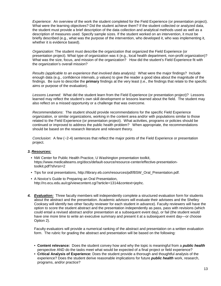*Experience*: An overview of the work the student completed for the Field Experience (or presentation project). What were the learning objectives? Did the student achieve them? If the student collected or analyzed data, the student must provide a brief description of the data collection and analytical methods used as well as a description of measures used. Specify sample sizes. If the student worked on an intervention, it must be briefly described (e.g., what was the purpose of the intervention, who developed it, who was implementing it, whether it is evidence based).

*Organization*: The student must describe the organization that organized the Field Experience (or presentation project). What type of organization was it (e.g., local health department, non-profit organization)? What was the size, focus, and mission of the organization? How did the student's Field Experience fit with the organization's overall mission?

*Results (applicable to an experience that involved data analysis):* What were the major findings? Include enough data (e.g., confidence intervals, p values) to give the reader a good idea about the magnitude of the findings. Be sure to describe the **primary** findings at the very least (i.e., the findings that relate to the specific aims or purpose of the evaluation).

*Lessons Learned:* What did the student learn from the Field Experience (or presentation project)? Lessons learned may reflect the student's own skill development or lessons learned about the field. The student may also reflect on a missed opportunity or a challenge that was overcome.

*Recommendations*: The student should provide recommendations for the specific Field Experience organization, or similar organizations, working in the content area and/or with populations similar to those related to the Field Experience (or presentation project). What activities, programs or policies should be continued or improved to address the public health problem? When appropriate, the recommendations should be based on the research literature and relevant theory.

*Conclusion*: A few (~2-4) sentences that reflect the major points of the Field Experience or presentation project.

#### *3. Resources:*

- NW Center for Public Health Practice, U Washington presentation toolkit, [https://www.medicalteams.org/docs/default-source/resource-center/effective-presentation](https://www.medicalteams.org/docs/default-source/resource-center/effective-presentation-toolkit.pdf?sfvrsn=2)[toolkit.pdf?sfvrsn=2](https://www.medicalteams.org/docs/default-source/resource-center/effective-presentation-toolkit.pdf?sfvrsn=2)
- Tips for oral presentations, [http://library.eb.com/resources/pdf/BSW\\_Oral\\_Presentation.pdf.](http://library.eb.com/resources/pdf/BSW_Oral_Presentation.pdf)
- A Novice's Guide to Preparing an Oral Presentation, [http://ro.ecu.edu.au/cgi/viewcontent.cgi?article=1314&context=jephc.](http://ro.ecu.edu.au/cgi/viewcontent.cgi?article=1314&context=jephc)
- *4. Evaluation:* Three faculty members will independently complete a structured evaluation form for students about the abstract and the presentation. Academic advisors will evaluate their advisees and the Shelley Cooksey will identify two other faculty reviewer for each student in advance). Faculty reviewers will have the option to score the student abstract and the presentation independently as pass, pass with revisions (which could entail a revised abstract and/or presentation at a subsequent event day), or fail (the student would have one more time to write an executive summary and present it at a subsequent event day—or choose Option 2).

Faculty evaluators will provide a numerical ranking of the abstract and presentation on a written evaluation form. The rubric for grading the abstract and presentation will be based on the following:

- **Content relevance:** Does the student convey how and why the topic is meaningful from a *public health* perspective AND do the tasks meet what would be expected of a final project or field experience?
- **Critical Analysis of Experience:** Does the student provide a thorough and thoughtful analysis of the experience? Does the student derive reasonable implications for future *public health* work, research, programs, and/or practice?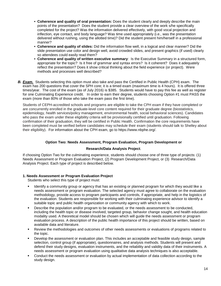- **Coherence and quality of oral presentation:** Does the student clearly and deeply describe the main points of the presentation? Does the student provide a clear overview of the work s/he specifically completed for the project? Was the information delivered effectively, with good vocal projection and inflection, eye contact, and body language? Was time used appropriately (i.e., was the presentation delivered without rushing, using the allotted time)? Did the student present him/herself in a professional manner?
- **Coherence and quality of slides:** Did the information flow well, in a logical and clear manner? Did the slide presentation use color and design well, avoid crowded slides, and present graphics (if used) clearly so attendees could easily read them?
- **Coherence and quality of written executive summary**: Is the Executive Summary in a structured form, appropriate for the topic? Is it free of grammar and syntax errors? Is it coherent? Does it adequately reflect the presentation? Does it show critical thinking about the field experience (or project). Were methods and processes well described?
- *B. Exam.* Students selecting this option must also take and pass the Certified in Public Health (CPH) exam. The exam has 200 questions that cover the SPH core; it is a timed exam (maximum time is 4 hours). It is offered three times/year. The cost of the exam (as of July 2016) is \$385. Students would have to pay this fee as well as register for one Culminating Experience credit. In order to earn their degree, students choosing Option #1 must PASS the exam (more than 80% of those who take the exam pass the first time).

Students of CEPH-accredited schools and programs are eligible to take the CPH exam if they have completed or are concurrently enrolled in the graduate-level core content required for their graduate degree (biostatistics, epidemiology, health services/policy management, environmental health, social behavioral sciences). Candidates who pass the exam under these eligibility criteria will be provisionally certified until graduation. Following confirmation of their graduation, they will be certified in Public Health. Confirmation the core requirements have been completed must be verified before candidates may schedule their exam (students should talk to Shelley about their eligibility). For information about the CPH exam, go to [https://www.nbphe.org/.](https://www.nbphe.org/)

#### **Option Two: Needs Assessment, Program Evaluation, Program Development or**

#### **Research/Data Analysis Project**.

If choosing Option Two for the culminating experience, students should choose one of three type of projects: (1) Needs Assessment or Program Evaluation Project, (2) Program Development Project, or (3) Research/Data Analysis Project. Each type of project is described below.

#### **1. Needs Assessment or Program Evaluation Project**

Students who select this type of project must:

- Identify a community group or agency that has an existing or planned program for which they would like a needs assessment or program evaluation. The selected agency must agree to collaborate on the evaluation methodology, provide access to program participants and controls, if appropriate, and help in the logistics of the evaluation. Students are responsible for working with their culminating experience advisor to identify a suitable topic and public health organization or community agency with which to work.
- **Describe the population and/or program to be evaluated, or the needs assessment to be conducted.** including the health topic or disease involved, targeted group, behavior change sought, and health education modality used. A theoretical model should be chosen which will guide the needs assessment or program evaluation process. A description of the public health importance of this project should be written, based on available data and literature.
- Review the methodologies and outcomes of other needs assessments or evaluations of programs related to the topic.
- Develop the assessment or evaluation plan. This includes an acceptable and feasible study design, sample selection, control group (if appropriate), questionnaires, and analysis methods. Students will present and defend their study designs, evaluation instruments, and the reliability and validity data of their instruments. A needs assessment or program evaluation using qualitative data analysis techniques is also acceptable.
- Conduct the needs assessment or evaluation by actual implementation of data collection according to the study design.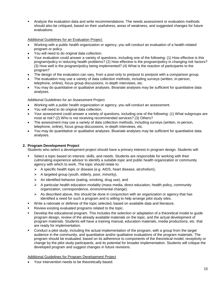Analyze the evaluation data and write recommendations. The needs assessment or evaluation methods should also be critiqued, based on their usefulness, areas of weakness, and suggested changes for future evaluations.

Additional Guidelines for an Evaluation Project:

- Working with a public health organization or agency, you will conduct an evaluation of a health-related program or policy.
- You will need to do original data collection.
- Your evaluation could answer a variety of questions, including one of the following: (1) How effective is this program/policy in reducing health problems? (2) How effective is the program/policy in changing risk factors? (3) How well is the program/policy being implemented? (4) What is the reaction of participants to the program?
- The design of the evaluation can vary, from a post-only to pre/post to pre/post with a comparison group.
- The evaluation may use a variety of data collection methods, including surveys (written, in-person, telephone, online), focus group discussions, in-depth interviews, etc.
- You may do quantitative or qualitative analyses. Bivariate analyses may be sufficient for quantitative data analyses.

Additional Guidelines for an Assessment Project

- Working with a public health organization or agency, you will conduct an assessment.
- You will need to do original data collection.
- Your assessment could answer a variety of questions, including one of the following: (1) What subgroups are most at risk? (2) Who is not receiving recommended services? (3) Others?
- The assessment may use a variety of data collection methods, including surveys (written, in-person, telephone, online), focus group discussions, in-depth interviews, etc.
- You may do quantitative or qualitative analyses. Bivariate analyses may be sufficient for quantitative data analyses.

#### **2. Program Development Project**

Students who select a development project should have a primary interest in program design. Students will:

- Select a topic based on interest, skills, and needs. Students are responsible for working with their culminating experience advisor to identify a suitable topic and public health organization or community agency with which to work. The topic should relate to:
	- $\triangleright$  A specific health topic or disease (e.g. AIDS, heart disease, alcoholism),
	- $\triangleright$  A targeted group (youth, elderly, poor, minority),
	- $\triangleright$  An identified behavior (eating, smoking, drug use), and
	- $\triangleright$  A particular health education modality (mass media, direct education, health policy, community organization, correspondence, environmental change).
	- $\triangleright$  As described above, this should be done in conjunction with an organization or agency that has identified a need for such a program and is willing to help arrange pilot study sites.
- Write a rationale or defense of the topic selected, based on available data and literature.
- Review existing evaluated programs related to the topic.
- Develop the educational program. This includes the selection or adaptation of a theoretical model to guide program design, review of the already available materials on the topic, and the actual development of program materials. Students will have a training manual, education materials, media productions, etc. that are ready for implementation.
- Conduct a pilot study, including the actual implementation of the program, with a group from the target audience in the community, and quantitative and/or qualitative evaluations of the program materials. The program should be evaluated, based on its adherence to components of the theoretical model, receptivity or change by the pilot study participants, and its potential for broader implementation. Students will critique the developed program and suggest changes in future revisions.

#### Additional Guidelines for Program Development Project

Your intervention needs to be theoretically based.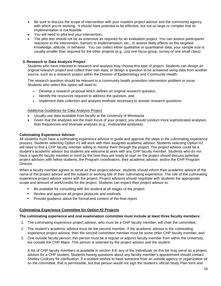- Be sure to discuss the scope of intervention with your masters project advisor and the community agency with which you're working. It should have potential to be effective, but not so large or complex that its implementation is not feasible.
- You will need to pilot test your intervention.
- The pilot test should not be as extensive as required for an evaluation project. You can assess participants' reactions to the intervention, barriers to implementation, etc., or assess likely effects on the targeted knowledge, attitude, or behavior. You can collect either qualitative or quantitative data; your sample size is usually smaller than required for the other projects (e.g., just one focus group, survey of one small class)

#### **3. Research or Data Analysis Project**

Students who have interests in research and analysis may choose this type of project. Students can design an original research project and collect their own data, or design a question to be answered using data from another source, such as a research project within the Division of Epidemiology and Community Health.

The research question should be relevant to a community health promotion intervention problem or issue. Students who select this option will need to:

- $\triangleright$  Develop a research proposal which defines an original research question,
- $\triangleright$  Identify the resources required to address the question, and
- $\triangleright$  Implement data collection and analysis methods necessary to answer research questions.

#### Additional Guidelines for Data Analysis Project

- Usually use data available from faculty at the University of Minnesota
- Given that the analyses are the main focus of your project, you should conduct more sophisticated analyses than frequencies and bivariate analyses (e.g., multivariate analyses).

#### **Culminating Experience Advisor**

All students must have a culminating experience advisor to guide and approve the steps in the culminating experience process. Students selecting Option #1 will work with their assigned academic advisor. Students selecting Option #2 will need to find a CHP faculty member willing to mentor them through the project. The project advisor could be a student's academic advisor but students are welcome to work with any CHP faculty member. Students who do not have a specific faculty member in mind by the time they are ready to start on the project should discuss potential project advisors with fellow students, the Program coordinators, their academic advisor, and/or the CHP Program Director.

When a faculty member agrees to serve as their project advisor, students should inform their academic advisor of the name of the project advisor and the subject or working title of their culminating experience. The role of the culminating experience project advisor varies with the project. Project advisors should negotiate with students the appropriate scope and amount of work/credits for the project. Students can expect their project advisor to:

- Be available for consulting with the student at all stages of the project.
- **Review and approve all project protocols and methods.**
- **Provide guidance about the format and content of the final report.**

#### **Culminating Experience Committee for Option #2 Projects**

#### **The culminating experience and oral examination committee must include at least three faculty members:**

- 1. The culminating experience project advisor, who must be a CHP faculty member, will chair the committee;
- 2. The student's academic advisor must be the second member. If the academic advisor is the culminating experience project advisor, then the second committee member must be some other CHP faculty member, and
- 3. One outside faculty person; this person must be a regular or adjunct faculty member from within the University, but outside the CHP Major. This person is selected by the project advisor and the student.

A list of CHP faculty members is available in *section 8.8*; any of the individuals on this list may serve as a project advisor for a CHP student. Students having questions about any faculty member's appointment should contact Shelley Cooksey for clarification. If a student wishes to have someone from an outside agency or organization sit on the committee, that is permissible, but that person would not sign the student's official Study Plan form and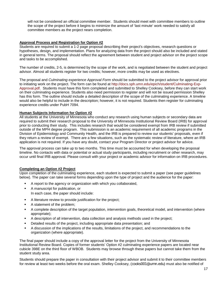will not be considered an official committee member. Students should meet with committee members to outline the scope of the project before it begins to minimize the amount of 'last minute' work needed to satisfy all committee members as the project nears completion.

#### **Approval Process and Registration for Option #2**

Students are required to submit a 1-2 page proposal describing their project's objectives, research questions or hypotheses, design, and implementation. Plans for analyzing data from the project should also be included and stated in general terms. The proposal should reflect the agreement between student and project advisor on the project scope and tasks to be accomplished.

The number of credits, 2-5, is determined by the scope of the work, and is negotiated between the student and project advisor. Almost all students register for two credits; however, more credits may be used as electives.

The proposal and *Culminating experience Approval Form* should be submitted to the project advisor for approval prior to initiating work on the project. The form can be found at [http://docs.sph.umn.edu/epich/student/Culminating-Exp-](http://docs.sph.umn.edu/epich/student/Culminating-Exp-Approval.pdf)[Approval.pdf.](http://docs.sph.umn.edu/epich/student/Culminating-Exp-Approval.pdf) Students must have this form completed and submitted to Shelley Cooksey, before they can start work on their culminating experience. Students also need permission to register and will not be issued permission Shelley has this form. The outline should include a detailed description of the scope of the culminating experience. A timeline would also be helpful to include in the description; however, it is not required. Students then register for culminating experience credits under PubH 7094.

#### **Human Subjects Information for Option #2**

All students at the University of Minnesota who conduct any research using human subjects or secondary data are required to submit their research proposal to the University of Minnesota Institutional Review Board (IRB) for approval prior to conducting their study. This includes research that would be considered exempt from IRB review if submitted outside of the MPH degree program. This submission is an academic requirement of all academic programs in the Division of Epidemiology and Community Health, and the IRB is prepared to review our students' proposals, even if they return a review of exempt. There are a few situations, such as the systematic review of literature, where an IRB application is not required. If you have any doubt, contact your Program Director or project advisor for advice.

The approval process can take up to two months. This time must be accounted for when developing the proposal timeline. No contacts with data or potential or actual study participants, including recruitment or other research, may occur until final IRB approval. Please consult with your project or academic advisor for information on IRB procedures.

#### **Completing an Option #2 Project**

Upon completion of the culminating experience, each student is expected to submit a paper (see paper guidelines below). The paper can take several forms depending upon the type of project and the audience for the paper:

- A report to the agency or organization with which you collaborated,
- A manuscript for publication, or In each case, the paper should include:
- A literature review to provide justification for the project;
- A statement of the problem;
- A complete description of the target population, intervention goals, theoretical model, and intervention (where appropriate);
- A description of all intervention, data collection and analysis methods used in the project;
- Detailed results of the project, including appropriate data presentation; and
- A discussion of the implications of the results, limitations of the project, and recommendations to the organization (where appropriate).

The final paper should include a copy of the approval letter for the project from the University of Minnesota Institutional Review Board. Copies of former students' Option #2 culminating experience papers are located near cubicle 398E on the third floor of WBOB. Students may browse through these papers but cannot take them from the student study area.

Students should prepare the paper in consultation with their project advisor and submit it to their committee members for review at least two weeks before the oral exam. Shelley Cooksey, ([cooks001@umn.edu](mailto:cooks001@umn.edu)) must also be notified of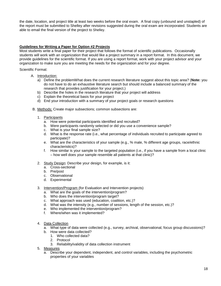the date, location, and project title at least two weeks before the oral exam. A final copy (unbound and unstapled) of the report must be submitted to Shelley after revisions suggested during the oral exam are incorporated. Students are able to email the final version of the project to Shelley.

#### **Guidelines for Writing a Paper for Option #2 Projects**

Most students write a final paper for their project that follows the format of scientific publications. Occasionally students will work with an organization that would like a project summary in a report format. In this document, we provide guidelines for the scientific format. If you are using a report format, work with your project advisor and your organization to make sure you are meeting the needs for the organization and for your degree.

Scientific Format:

- A. Introduction:
	- a) Define the problemWhat does the current research literature suggest about this topic area? (**Note:** you do not have to do an exhaustive literature search but should include a balanced summary of the research that provides justification for your project.)
	- b) Describe the holes in the research literature that your project will address
	- c) Explain the theoretical basis for your project
	- d) End your introduction with a summary of your project goals or research questions
- B. Methods: Create major subsections; common subsections are:
	- 1. Participants
		- a. How were potential participants identified and recruited?
		- b. Were participants randomly selected or did you use a convenience sample?
		- c. What is your final sample size?
		- d. What is the response rate (i.e., what percentage of individuals recruited to participate agreed to participate)?
		- e. What are the characteristics of your sample (e.g., % male, % different age groups, race/ethnic characteristics)?
		- f. How similar is your sample to the targeted population (i.e., if you have a sample from a local clinic – how well does your sample resemble all patients at that clinic)?
	- 2. Study Design: Describe your design, for example, is it:
		- a. Cross-sectional
		- b. Pre/post
		- c. Observational
		- d. Experimental
	- 3. Intervention/Program (for Evaluation and Intervention projects)
		- a. What are the goals of the intervention/program?
		- b. Who does the intervention/program target?
		- c. What approach was used (education, coalition, etc.)?
		- d. What was the intensity (e.g., number of sessions, length of the session, etc.)?
		- e. Who implemented the intervention/program?
		- f. Where/when was it implemented?
	- 4. Data Collection
		- a. What type of data were collected (e.g., survey, archival, observational, focus group discussions)?
		- b. How were data collected?
			- 1. Who collected data?
			- 2. Protocol
			- 3. Reliability/validity of data collection instrument
	- 5. Measures
		- a. Describe your dependent, independent, and control variables, including the psychometric properties of your variables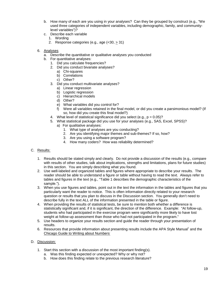- b. How many of each are you using in your analyses? Can they be grouped by construct (e.g., "We used three categories of independent variables, including demographic, family, and communitylevel variables")?
- c. Describe each variable
	- 1. Wording
	- 2. Response categories (e.g., age (<30, > 31)
- 6. Analyses
	- a. Describe the quantitative or qualitative analyses you conducted
	- b. For quantitative analyses:
		- 1. Did you calculate frequencies?
		- 2. Did you conduct bivariate analyses?
			- a) Chi-squares
			- b) Correlations
			- c) Other?
		- 3. Did you conduct multivariate analyses?
			- a) Linear regression
			- b) Logistic regression
			- c) Hierarchical models
			- d) Other?
			- e) What variables did you control for?
			- f) Were all variables retained in the final model, or did you create a parsimonious model? (If so, how did you create this final model?)
		- 4. What level of statistical significance did you select (e.g.,  $p = 0.05$ )?
		- 5. What statistical package did you use for your analyses (e.g., SAS, Excel, SPSS)?
			- a) For qualitative analyses:
				- 1. What type of analyses are you conducting?
				- 2. Are you identifying major themes and sub-themes? If so, how?
				- 3. Are you using a software program?
				- 4. How many coders? How was reliability determined?

#### C. Results:

- 1. Results should be stated simply and clearly. Do not provide a discussion of the results (e.g., compare with results of other studies, talk about implications, strengths and limitations, plans for future studies) in this section. You are simply describing what you found.
- 2. Use well-labeled and organized tables and figures where appropriate to describe your results. The reader should be able to understand a figure or table without having to read the text. Always refer to tables and figures in the text (e.g., "Table 1 describes the demographic characteristics of the sample.").
- 3. When you use figures and tables, point out in the text the information in the tables and figures that you particularly want the reader to notice. This is often information directly related to your research question or results that you plan to discuss in the Discussion section. You generally don't need to describe fully in the text ALL of the information presented in the table or figure.
- 4. When providing the results of statistical tests, be sure to mention both whether a difference is statistically significant and, if it is significant, the direction of the difference. Example: "At follow-up, students who had participated in the exercise program were significantly more likely to have lost weight at follow-up assessment than those who had not participated in the program."
- 5. Use headers to organize your results section and guide the reader through your presentation of results.
- 6. Resources that provide information about presenting results include the APA Style Manual<sup>1</sup> and the Chicago Guide to Writing about Numbers.

#### D. Discussion:

- 1. Start this section with a discussion of the most important finding(s).
	- a. Was this finding expected or unexpected? Why or why not?
	- b. How does this finding relate to the previous research literature?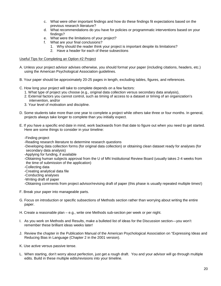- c. What were other important findings and how do these findings fit expectations based on the previous research literature?
- d. What recommendations do you have for policies or programmatic interventions based on your findings?
- e. What were the limitations of your project?
- f. What are your final conclusions?
	- 1. Why should the reader think your project is important despite its limitations?
	- 2. Have a header for each of these subsections

#### Useful Tips for Completing an Option #2 Project

- A. Unless your project advisor advises otherwise, you should format your paper (including citations, headers, etc.) using the American Psychological Association guidelines.
- B. Your paper should be approximately 20-25 pages in length, excluding tables, figures, and references.
- C. How long your project will take to complete depends on a few factors:
	- 1. What type of project you choose (e.g., original data collection versus secondary data analysis),
	- 2. External factors you cannot control, such as timing of access to a dataset or timing of an organization's intervention, and/or
	- 3. Your level of motivation and discipline.
- D. Some students take more than one year to complete a project while others take three or four months. In general, projects always take longer to complete than you initially expect.
- E. If you have a specific end date in mind, work backwards from that date to figure out when you need to get started. Here are some things to consider in your timeline:
	- -Finding project
	- -Reading research literature to determine research questions
	- -Developing data collection forms (for original data collection) or obtaining clean dataset ready for analyses (for secondary data analysis)
	- -Applying for funding, if available
	- -Obtaining human subjects approval from the U of MN Institutional Review Board (usually takes 2-4 weeks from the time of submission of the application)
	- -Collecting data
	- -Creating analytical data file
	- -Conducting analyses
	- -Writing draft of paper
	- -Obtaining comments from project advisor/revising draft of paper (this phase is usually repeated multiple times!)
- F. Break your paper into manageable parts.
- G. Focus on introduction or specific subsections of Methods section rather than worrying about writing the entire paper.
- H. Create a reasonable plan e.g., write one Methods sub-section per week or per night.
- I. As you work on Methods and Results, make a bulleted list of ideas for the Discussion section—you won't remember these brilliant ideas weeks later!
- J. Review the chapter in the Publication Manual of the American Psychological Association on "Expressing Ideas and Reducing Bias in Language (Chapter 2 in the 2001 version).
- K. Use active versus passive tense.
- L. When starting, don't worry about perfection, just get a rough draft. You and your advisor will go through multiple edits. Build in these multiple edits/revisions into your timeline.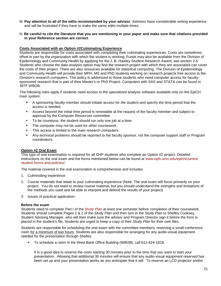- M. **Pay attention to all of the edits recommended by your advisor**. Advisors have considerable writing experience and will be frustrated if they have to make the same edits multiple times.
- N. **Be careful to cite the literature that you are mentioning in your paper and make sure that citations provided in your Reference section are correct**.

#### **Costs Associated with an Option #2Culminating Experience**

Students are responsible for costs associated with completing their culminating experiences. Costs are sometimes offset in part by the organization with which the student is working. Funds may also be available from the Division of Epidemiology and Community Health by applying for the J. B. Hawley Student Research Award; see section 2.6. Students who choose the data analysis option may find the research project with which they are associated can cover the costs of their project. There are also resources available for statistical computing. The Division of Epidemiology and Community Health will provide their MPH, MS and PhD students working on research projects free access to the Division's research computers. This policy is addressed to those students who need computer access for facultysponsored research that is part of their Master's or PhD Project. Computers with SAS and STATA can be found in 397F WBOB.

The following rules apply if students need access to the specialized analysis software available only on the EpiCH main system:

- A sponsoring faculty member should initiate access for the student and specify the time period that the access is needed.
- Access beyond the initial time period is renewable at the request of the faculty member and subject to approval by the Computer Resources committee.
- To be courteous, the student should run only one job at a time.
- The computer may not be used for other coursework.
- This access is limited to the main research computers.
- Any technical problems should be reported to the faculty sponsor, not the computer support staff or Program coordinators.

#### **Option #2 Oral Exam**

This type of oral examination is required for all CHP students who complete an Option #2 project. Detailed instructions on the oral exam and the forms mentioned below can be found at [www.isph.umn.edu/epich/current](http://www.isph.umn.edu/epich/current-student-forms-and-policies/)[student-forms-and-policies/.](http://www.isph.umn.edu/epich/current-student-forms-and-policies/)

The material covered in the oral examination is comprehensive and includes:

- 1. Culminating experience
- 2. Course materials that relate to your culminating experience (Note: The oral exam will focus primarily on your project. You do not need to review course material, but you should understand the strengths and limitations of the methods you used and be able to interpret and defend the results of your project)
- 3. Issues of practical application

#### **Before the exam**

Students need to complete Part I of the *[Study Plan](http://www.isph.umn.edu/epich/current-student-forms-and-policies/)* at least one semester before completion of their coursework. Students should complete Pages 1 & 2 of the *Study Plan* and then turn in the *Study Plan* to Shelley Cooksey, Student Advising Manager, who will then make sure the advisor and Program Director sign it before the form is placed in the student's file. Students are urged to keep a copy of their *Study Plan* for their own files.

Students are responsible for scheduling the oral exam with the committee members, reserving a small conference room for a minimum of two hours. Students are also responsible for arranging for any audio-visual equipment needed for the presentation through Shelley.

To schedule a room in the West Bank Office Building (WBOB), call 612-624-1818.

It is a good idea to reserve the room starting 30 minutes prior to the time that you want to start your presentation. Allowing that additional 30 minutes will ensure that any audio-visual equipment reserved has been set up and your presentation works as you anticipate that it will. To reserve an LCD projector and/or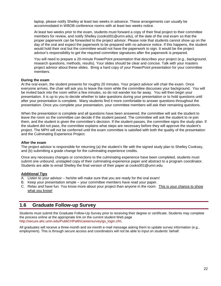laptop, please notify Shelley at least two weeks in advance. These arrangements can usually be accommodated in WBOB conference rooms with at least two weeks notice.

At least two weeks prior to the exam, students must forward a copy of their final project to their committee members for review, and notify Shelley [\(cooks001@umn.edu\)](mailto:cooks001@umn.edu), of the date of the oral exam so that the proper paperwork can be forwarded to the project advisor. Please note that students cannot show up on the day of the oral and expect the paperwork to be prepared with no advance notice. If this happens, the student would hold their oral but the committee would not have the paperwork to sign. It would be the project advisor's responsibility to get the required committee signatures after the paperwork is prepared.

You will need to prepare a 20-minute PowerPoint presentation that describes your project (e.g., background, research questions, methods, results). Your slides should be clear and concise. Talk with your masters project advisor about these slides. Bring a hard copy of your PowerPoint presentation for your committee members.

#### **During the exam**

At the oral exam, the student presents for roughly 20 minutes. Your project advisor will chair the exam. Once everyone arrives, the chair will ask you to leave the room while the committee discusses your background. You will be invited back into the room within a few minutes, so do not wander too far away. You will then begin your presentation. It is up to you to decide whether to take questions during your presentation or to hold questions until after your presentation is complete. Many students find it more comfortable to answer questions throughout the presentation. Once you complete your presentation, your committee members will ask their remaining questions.

When the presentation is complete and all questions have been answered, the committee will ask the student to leave the room so the committee can decide if the student passed. The committee will ask the student to re-join them, and the student is given the committee's decision. If the student passes, the committee signs the study plan. If the student did not pass, the committee explains what steps are necessary before they will approve the student's project. The MPH will not be conferred until the exam committee is satisfied with both the quality of the presentation and the Culminating Experience Project.

#### **After the exam**

The project advisor is responsible for returning (a) the student's file with the signed study plan to Shelley Cooksey, and (b) submitting a grade change for the culminating experience credits.

Once any necessary changes or corrections to the culminating experience have been completed, students must submit one unbound, unstapled copy of their culminating experience paper and abstract to a program coordinator. Students are able to email Shelley the final version of their paper at [cooks001@umn.edu.](mailto:cooks001@umn.edu)

#### **Additional Tips**

- A. Listen to your advisor he/she will make sure that you are ready for the oral exam!
- B. Keep your presentation simple your committee members have read your paper.
- C. Relax and have fun. You know more about your project than anyone in the room. This is your chance to show what you know!

#### **1.6 Graduate Follow-up Survey**

Students must submit the Graduate Follow-Up Survey prior to receiving their degree or certificate. Students may complete the process online at the appropriate link on the current student Web page [http://secure.ahc.umn.edu/PubliCHPalth/careersurvey/gs\\_login.cfm.](http://secure.ahc.umn.edu/PublicHealth/careersurvey/gs_login.cfm)

All graduates will receive a three-month and six-month e-mail message asking them to update survey information (e.g., employment). This is through secure access and coordinators will not be able to input on students' behalf.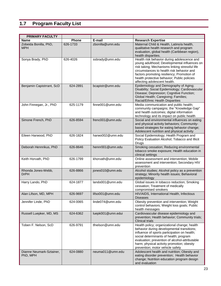# **1.7 Program Faculty List**

| <b>PRIMARY FACULTY</b>               |          |                   |                                                                                                                                                                                                                                                                                                                          |
|--------------------------------------|----------|-------------------|--------------------------------------------------------------------------------------------------------------------------------------------------------------------------------------------------------------------------------------------------------------------------------------------------------------------------|
| <b>Name</b>                          | Phone    | E-mail            | <b>Research Expertise</b>                                                                                                                                                                                                                                                                                                |
| Zobeida Bonilla, PhD,<br><b>MPH</b>  | 626-1733 | zbonilla@umn.edu  | Maternal Child & Health, Latino/a health,<br>qualitative health research and program<br>evaluation, global health (Caribbean region),<br>health disparities.                                                                                                                                                             |
| Sonya Brady, PhD                     | 626-4026 | ssbrady@umn.edu   | Health risk behavior during adolescence and<br>young adulthood; Developmental influences on<br>risk taking; Mechanisms linking stressful life<br>circumstances to health risk behavior and<br>factors promoting resiliency; Promotion of<br>health protective behavior; Public policies<br>affecting adolescent health.  |
| Benjamin Capistrrant, ScD            | 624-2891 | bcapistr@umn.edu  | Epidemiology and Demography of Aging;<br>Disability; Social Epidemiology; Cardiovascular<br>Disease; Depression; Cognitive Function;<br>Global Health; Caregiving; Families;<br>Racial/Ethnic Health Disparities                                                                                                         |
| John Finnegan, Jr., PhD              | 625-1179 | finne001@umn.edu  | Media communication and public health;<br>community campaigns; the "Knowledge Gap"<br>and health outcomes; digital information<br>technology and its impact on public health                                                                                                                                             |
| Simone French, PhD                   | 626-8594 | frenc001@umn.edu  | Social and environmental influences on eating<br>and physical activity behaviors; Community-<br>based strategies for eating behavior change;<br>Adolescent nutrition and physical activity                                                                                                                               |
| Eileen Harwood, PhD                  | 626-1824 | harwo002@umn.edu  | Social Epidemiology; Health Program and<br>Policy Evaluation Alcohol; Tobacco and Illicit<br>Drugs                                                                                                                                                                                                                       |
| Deborah Hennrikus, PhD               | 626-8646 | hennr001@umn.edu  | Smoking cessation; Reducing environmental<br>tobacco smoke exposure; Health education in<br>clinical settings                                                                                                                                                                                                            |
| Keith Horvath, PhD                   | 626-1799 | khorvath@umn.edu  | Online assessment and intervention; Mobile<br>assessment and intervention; Secondary HIV<br>prevention                                                                                                                                                                                                                   |
| Rhonda Jones-Webb,<br><b>DrPH</b>    | 626-8866 | jones010@umn.edu  | Alcohol studies; Alcohol policy as a prevention<br>strategy; Minority health issues; Behavioral<br>epidemiology                                                                                                                                                                                                          |
| Harry Lando, PhD                     | 624-1877 | lando001@umn.edu  | Global issues in tobacco reduction; Smoking<br>cessation; Treatment of medically<br>compromised smokers                                                                                                                                                                                                                  |
| Alan Lifson, MD, MPH                 | 626-9697 | lifso001@umn.edu  | HIV/AIDS, International Health, Infectious<br><b>Diseases</b>                                                                                                                                                                                                                                                            |
| Jennifer Linde, PhD                  | 624-0065 | linde074@umn.edu  | Obesity prevention and intervention; Weight<br>control behaviors; Weight loss goals; Public<br>health messages                                                                                                                                                                                                           |
| Russell Luepker, MD, MS              | 624-6362 | luepk001@umn.edui | Cardiovascular disease epidemiology and<br>prevention; Health behavior; Community trials;<br><b>Clinical trials</b>                                                                                                                                                                                                      |
| Toben F. Nelson, ScD                 | 626-9791 | tfnelson@umn.edu  | Health policy; organizational change; health<br>behavior during developmental transitions;<br>influence of sports participation on health;<br>social determinants of health; program<br>evaluation; prevention of alcohol-attributable<br>harm; physical activity promotion; obesity<br>prevention; motor vehicle safety |
| Dianne Neumark-Sztainer,<br>PhD, MPH | 624-0880 | neuma011@umn.edu  | Adolescent health and nutrition; Obesity and<br>eating disorder prevention; Health behavior<br>change; Nutrition education program design<br>and evaluation                                                                                                                                                              |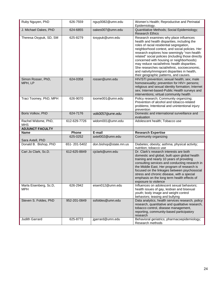| Ruby Nguyen, PhD                        | 626-7559                 | nguy0082@umn.edu                     | Women's Health; Reproductive and Perinatal<br>Epidemiology.                                                                                                                                                                                                                                                                                                                                                                                                                                                                      |
|-----------------------------------------|--------------------------|--------------------------------------|----------------------------------------------------------------------------------------------------------------------------------------------------------------------------------------------------------------------------------------------------------------------------------------------------------------------------------------------------------------------------------------------------------------------------------------------------------------------------------------------------------------------------------|
| J. Michael Oakes, PhD                   | 624-6855                 | oakes007@umn.edu                     | Quantitative Methods; Social Epidemiology;<br><b>Research Ethics</b>                                                                                                                                                                                                                                                                                                                                                                                                                                                             |
| Theresa Osypuk, SD, SM                  | 625-8279                 | tosypuk@umn.edu                      | Research examines why place influences<br>health and health disparities, including the<br>roles of racial residential segregation,<br>neighborhood context, and social policies. Her<br>research explores how seemingly "non-health<br>related" social policies (including those directly<br>concerned with housing or neighborhoods)<br>may reduce racial/ethnic health disparities.<br>She researches racial/ethnic, socioeconomic,<br>and nativity/immigrant disparities in health,<br>their geographic patterns, and causes. |
| Simon Rosser, PhD,<br>MPH, LP           | 624-0358                 | rosser@umn.edu                       | HIV/STI prevention; sexual health; sex; male<br>homosexuality; prevention for HIV+ persons;<br>religious and sexual identity formation; Internet<br>sex; Internet-based-Public Health surveys and<br>interventions; virtual community health                                                                                                                                                                                                                                                                                     |
| Traci Toomey, PhD, MPH                  | 626-9070                 | toome001@umn.edu                     | Policy research; Community organizing;<br>Prevention of alcohol and tobacco-related<br>problems; Intentional and unintentional injury<br>prevention                                                                                                                                                                                                                                                                                                                                                                              |
| Boris Volkov, PhD                       | 624-7176                 | volk0057@umn.edu                     | Domestic and international surveillance and<br>evaluation                                                                                                                                                                                                                                                                                                                                                                                                                                                                        |
| Rachel Widome, PhD,                     | 612-629-7726             | widom001@umn.edu                     | Adolescent health; Tobacco use                                                                                                                                                                                                                                                                                                                                                                                                                                                                                                   |
| <b>MHS</b>                              |                          |                                      |                                                                                                                                                                                                                                                                                                                                                                                                                                                                                                                                  |
| <b>ADJUNCT FACULTY</b>                  |                          |                                      |                                                                                                                                                                                                                                                                                                                                                                                                                                                                                                                                  |
| <b>Name</b>                             | Phone                    | E-mail                               | <b>Research Expertise</b>                                                                                                                                                                                                                                                                                                                                                                                                                                                                                                        |
| Sara Axtell, PhD                        | 625-0252                 | axtel002@umn.edu                     | Community organizing                                                                                                                                                                                                                                                                                                                                                                                                                                                                                                             |
| Donald B. Bishop, PhD                   | 651-201-5402             | don.bishop@state.mn.us               | Diabetes; obesity; asthma; physical activity;<br>nutrition; tobacco use                                                                                                                                                                                                                                                                                                                                                                                                                                                          |
| Cari Jo Clark, Sc.D.                    | 612-625-8849             | cjclark@umn.edu                      | Dr. Clark's research interests are both<br>domestic and global, built upon global health<br>training and nearly 10 years of providing<br>consulting services and conducting research in<br>the Middle East. Her program of research is<br>focused on the linkages between psychosocial<br>stress and chronic disease, with a special<br>emphasis on the long term health effects of<br>exposure to violence                                                                                                                      |
| Marla Eisenberg, Sc.D,<br>MPH           | 626-2942                 | eisen012@umn.edu                     | Influences on adolescent sexual behaviors;<br>health issues of gay, lesbian and bisexual<br>youth; body image and weight control<br>behaviors; teasing and bullying                                                                                                                                                                                                                                                                                                                                                              |
| Steven S. Foldes, PhD<br>Judith Garrard | 952-201-0849<br>625-8772 | ssfoldes@umn.edu<br>jgarrard@umn.edu | Data analytics, health services research, policy<br>research, quantitative and qualitative research,<br>tobacco control, disease management,<br>reporting, community-based participatory<br>research<br>Behavioral geriatrics; pharmacoepidemiology;                                                                                                                                                                                                                                                                             |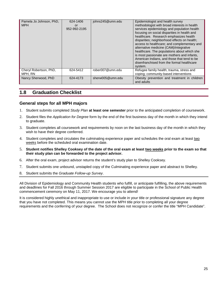| Pamela Jo Johnson, PhD,<br><b>MPH</b> | 624-1406<br>or<br>952-992-2195 | johns245@umn.edu | Epidemiologist and health survey<br>methodologist with broad interests in health<br>services epidemiology and population health<br>focusing on social disparities in health and<br>healthcare. Research emphasizes health<br>disparities; neighborhood effects on health;<br>access to healthcare; and complementary and<br>alternative medicine (CAM)/integrative<br>healthcare. The populations about which she<br>is most passionate are mothers and infants,<br>American Indians, and those that tend to be<br>disenfranchised from the formal healthcare<br>system. |
|---------------------------------------|--------------------------------|------------------|--------------------------------------------------------------------------------------------------------------------------------------------------------------------------------------------------------------------------------------------------------------------------------------------------------------------------------------------------------------------------------------------------------------------------------------------------------------------------------------------------------------------------------------------------------------------------|
| Cheryl Robertson, PhD,<br>MPH. RN     | 624-5412                       | rober007@umn.edu | Refugee family health; trauma, stress and<br>coping; community-based interventions                                                                                                                                                                                                                                                                                                                                                                                                                                                                                       |
| Nancy Sherwood, PhD                   | 624-4173                       | sherw005@umn.edu | Obesity prevention and treatment in children<br>and adults                                                                                                                                                                                                                                                                                                                                                                                                                                                                                                               |

#### **1.8 Graduation Checklist**

#### **General steps for all MPH majors**

- 1. Student submits completed *Study Plan* **at least one semester** prior to the anticipated completion of coursework.
- 2. Student files the *Application for Degree* form by the end of the first business day of the month in which they intend to graduate.
- 3. Student completes all coursework and requirements by noon on the last business day of the month in which they wish to have their degree conferred.
- 4. Student completes and circulates the culminating experience paper and schedules the oral exam at least two weeks before the scheduled oral examination date.
- 5. **Student notifies Shelley Cooksey of the date of the oral exam at least two weeks prior to the exam so that their study plan can be forwarded to the project advisor.**
- 6. After the oral exam, project advisor returns the student's study plan to Shelley Cooksey.
- 7. Student submits one unbound, unstapled copy of the Culminating experience paper and abstract to Shelley.
- 8. Student submits the *Graduate Follow-up Survey*.

All Division of Epidemiology and Community Health students who fulfill, or anticipate fulfilling, the above requirements and deadlines for Fall 2016 through Summer Session 2017 are eligible to participate in the School of Public Health commencement ceremony on May 11, 2017. We encourage you to attend!

It is considered highly unethical and inappropriate to use or include in your title or professional signature any degree that you have not completed. This means you cannot use the MPH title prior to completing all your degree requirements and the conferring of your degree. The School does not recognize or confer the title "MPH Candidate".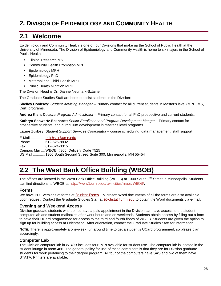# **2. DIVISION OF EPIDEMIOLOGY AND COMMUNITY HEALTH**

## **2.1 Welcome**

Epidemiology and Community Health is one of four Divisions that make up the School of Public Health at the University of Minnesota. The Division of Epidemiology and Community Health is home to six majors in the School of Public Health:

- Clinical Research MS
- Community Health Promotion MPH
- **Epidemiology MPH**
- **Epidemiology PhD**
- Maternal and Child Health MPH
- **Public Health Nutrition MPH**

The Division Head is Dr. Dianne Neumark-Sztainer

The Graduate Studies Staff are here to assist students in the Division:

**Shelley Cooksey:** *Student Advising Manager* – Primary contact for all current students in Master's level (MPH, MS, Cert) programs.

**Andrea Kish:** *Doctoral Program Administrator* – Primary contact for all PhD prospective and current students.

Kathryn Schwartz-Eckhardt: Senior Enrollment and Program Development Manger - Primary contact for prospective students, and curriculum development in master's level programs

**Laurie Zurbey:** *Student Support Services Coordinator* – course scheduling, data management, staff support

E-Mail............... [epichstu@umn.edu](mailto:gradstudies@epi.umn.edu) Phone .............. 612-626-8802 Fax................... 612-624-0315 Campus Mail.... WBOB, #300, Delivery Code 7525 US Mail ............ 1300 South Second Street, Suite 300, Minneapolis, MN 55454

# **2.2 The West Bank Office Building (WBOB)**

The offices are located in the West Bank Office Building (WBOB) at 1300 South 2<sup>nd</sup> Street in Minneapolis. Students can find directions to WBOB at <http://www1.umn.edu/twincities/maps/WBOB/>.

#### **Forms**

We have PDF versions of forms at [Student Forms](http://www.isph.umn.edu/epich/current-student-forms-and-policies/). Microsoft Word documents of all the forms are also available upon request. Contact the Graduate Studies Staff at [epi](mailto:epichstu@umn.edu)chstu@umn.edu to obtain the Word documents via e-mail.

#### **Evening and Weekend Access**

Division graduate students who do not have a paid appointment in the Division can have access to the student computer lab and student mailboxes after work hours and on weekends. Students obtain access by filling out a form to have their UCard programmed for access to the third and fourth floors of WBOB. Students are given the option to sign up for building access at Orientation. After orientation, contact the Graduate Studies Staff for information.

**NOTE:** There is approximately a one-week turnaround time to get a student's UCard programmed, so please plan accordingly.

#### **Computer Lab**

The Division computer lab in WBOB includes four PC's available for student use. The computer lab is located in the student lounge in room 466. The general policy for use of these computers is that they are for Division graduate students for work pertaining to their degree program. All four of the computers have SAS and two of them have STATA. Printers are available.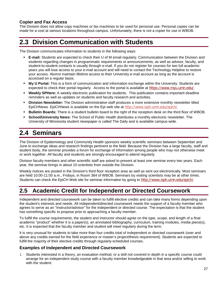#### **Copier and Fax Access**

The Division does not allow copy machines or fax machines to be used for personal use. Personal copies can be made for a cost at various locations throughout campus. Unfortunately, there is not a copier for use in WBOB.

# **2.3 Division Communication with Students**

The Division communicates information to students in the following ways:

- **E-mail:** Students are expected to check their U of M email regularly. Communication between the Division and students regarding changes in programmatic requirements or announcements, as well as advisor, faculty, and student-to-student contacts is usually through e-mail. If you do not register for courses for two full academic years you will lose access to your e-mail account and will need to contact the Technology Helpline to restore your access. Alumni maintain lifetime access to their University e-mail account as long as the account is accessed on a regular basis.
- **My U Portal:** This is a form of communication and information exchange within the University. Students are expected to check their portal regularly. Access to the portal is available at <https://www.myu.umn.edu/>.
- **Weekly SPHere:** A weekly electronic publication for students. This publication contains important deadline reminders as well as updates on students and faculty research and activities.
- **Division Newsletter:** The Division administrative staff produces a more extensive monthly newsletter titled EpiCHNews. EpiCHNews is available on the Epi web site at <http://www.isph.umn.edu/epich/>.
- **Bulletin Boards:** There is a student bulletin board to the right of the reception desk on the third floor of WBOB.
- **School/University News:** The School of Public Health distributes a monthly electronic newsletter. The University of Minnesota student newspaper is called The Daily and is available campus-wide.

# **2.4 Seminars**

The Division of Epidemiology and Community Health sponsors weekly scientific seminars between September and June to exchange ideas and research findings pertinent to the field. Because the Division has a large faculty, staff and student body, the seminar provides a forum for exchange of information among people who may not otherwise meet or work together. All faculty and students are strongly encouraged to attend regularly.

Division faculty members and other scientific staff are asked to present at least one seminar every two years. Each year, the seminar brings in about 10 scientists from outside the Division.

Weekly notices are posted in the Division's third floor reception area as well as sent out electronically. Most seminars are held 10:00-11:00 a.m., Fridays, in Room 364 of WBOB. Seminars by visiting scientists may be at other times. Students can check the EpiCH Web site for seminar information by going to <http://www.isph.umn.edu/epich/>

# **2.5 Academic Credit for Independent or Directed Coursework**

Independent and directed coursework can be taken to fulfill elective credits and can take many forms depending upon the student's interests and needs. All independent/directed coursework needs the support of a faculty member who agrees to serve as an "instructor/advisor" for the independent or directed course. The expectation is that the student has something specific to propose prior to approaching a faculty member.

To fulfill the course requirements, the student and instructor should agree on the type, scope, and length of a final academic "product" whether it is a paper(s), an annotated bibliography, curriculum, training modules, media piece(s), etc. It is expected that the faculty member and student will meet regularly during the term.

It is very unusual for students to take more than four credits total of independent or directed coursework (over and above any credits earned for the field experience or master's project/thesis requirement). Students are expected to fulfill the majority of their elective credits through regularly-scheduled courses.

#### **Examples of Independent and Directed Coursework**

1. Students interested in a theory, an evaluation method, or a skill not covered in depth in a specific course could arrange for an independent study course with a faculty member knowledgeable in that area and/or willing to work with the student.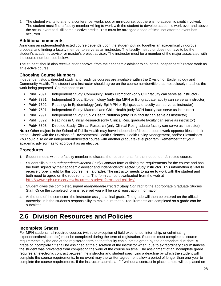2. The student wants to attend a conference, workshop, or mini-course, but there is no academic credit involved. The student must find a faculty member willing to work with the student to develop academic work over and above the actual event to fulfill some elective credits. This must be arranged ahead of time, not after the event has occurred.

#### **Additional comments**

Arranging an independent/directed course depends upon the student putting together an academically rigorous proposal and finding a faculty member to serve as an instructor. The faculty instructor does not have to be the student's academic advisor or master's project advisor. The instructor must be a member of the major associated with the course number; see below.

The student should also receive prior approval from their academic advisor to count the independent/directed work as an elective course.

#### **Choosing Course Numbers**

Independent study, directed study, and readings courses are available within the Division of Epidemiology and Community Health. The student and instructor should agree on the course number/title that most closely matches the work being proposed. Course options are:

- PubH 7091 Independent Study: Community Health Promotion (only CHP faculty can serve as instructor)
- PubH 7391 Independent Study: Epidemiology (only Epi MPH or Epi graduate faculty can serve as instructor)
- PubH 7392 Readings in Epidemiology (only Epi MPH or Epi graduate faculty can serve as instructor)
- PubH 7691 Independent Study: Maternal and Child Health (only MCH faculty can serve as instructor)
- **PubH 7991** Independent Study: Public Health Nutrition (only PHN faculty can serve as instructor)
- **PubH 8392** Readings in Clinical Research (only Clinical Res. graduate faculty can serve as instructor)
- PubH 8393 Directed Study: Clinical Research (only Clinical Res.graduate faculty can serve as instructor)

**NOTE:** Other majors in the School of Public Health may have independent/directed coursework opportunities in their areas. Check with the Divisions of Environmental Health Sciences, Health Policy Management, and/or Biostatistics. You could also do an independent/directed course with another graduate-level program. Remember that your academic advisor has to approve it as an elective.

#### **Procedures**

- 1. Student meets with the faculty member to discuss the requirements for the independent/directed course.
- 2. Student fills out an *Independent/Directed Study Contract* form outlining the requirements for the course and has the form signed by their academic advisor and Independent/Directed Study instructor. This information is vital to receive proper credit for this course (i.e., a grade). The instructor needs to agree to work with the student and both need to agree on the requirements. The form can be downloaded from the web at <http://www.isph.umn.edu/epich/current-student-forms-and-policies/>.
- 3. Student gives the completed/signed *Independent/Directed Study Contract to* the appropriate Graduate Studies Staff. Once the completed form is received you will be sent registration information.
- 4. At the end of the semester, the instructor assigns a final grade. The grade will then be entered on the official transcript. It is the student's responsibility to make sure that all requirements are completed so a grade can be submitted.

# **2.6 Division Resources and Policies**

#### **Incomplete Grades**

For MPH students, all required courses (with the exception of field experience, internship, or culminating experience/thesis credits) must be completed during the term of registration. Students must complete all course requirements by the end of the registered term so that faculty can submit a grade by the appropriate due date. A grade of incomplete "I" shall be assigned at the discretion of the instructor when, due to extraordinary circumstances, the student was prevented from completing the work of the course on time. The assignment of an incomplete grade requires an electronic contract between the instructor and student specifying a deadline by which the student will complete the course requirements. In no event may the written agreement allow a period of longer than one year to complete the course requirements. If the instructor submits an "I" without a contract in place, a hold will be placed on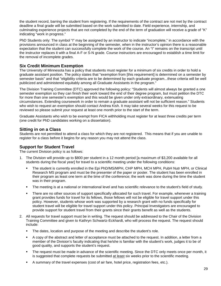the student record, barring the student from registering. If the requirements of the contract are not met by the contract deadline a final grade will be submitted based on the work submitted to date. Field experience, internship, and culminating experience projects that are not completed by the end of the term of graduation will receive a grade of "K" indicating "work in progress."

PhD Students only: The symbol "I" may be assigned by an instructor to indicate "incomplete," in accordance with the provisions announced in class at the beginning of the semester, when in the instructor's opinion there is a reasonable expectation that the student can successfully complete the work of the course. An "I" remains on the transcript until the instructor replaces it with a final A-F or S-N grade. Course instructors are encouraged to establish a time limit for the removal of incomplete grades.

#### **Six Credit Minimum Exemption**

The University of Minnesota has a policy that students must register for a minimum of six credits in order to hold a graduate assistant position. The policy states that "exemption from [this requirement] is determined on a semester by semester basis" and that "eligibility criteria are to be determined by each graduate program...these criteria will be well publicized and administered equitably among all Graduate Assistants in the program."

The Division Training Committee (DTC) approved the following policy: "Students will almost always be granted a one semester exemption so they can finish their work toward the end of their degree program, but must petition the DTC for more than one semester's exemption and this would be given under only extraordinary, extenuating circumstances. Extending coursework in order to remain a graduate assistant will not be sufficient reason." Students who wish to request an exemption should contact Andrea Kish. It may take several weeks for this request to be reviewed so please submit your request at least one month prior to the start of the term.

Graduate Assistants who wish to be exempt from FICA withholding must register for at least three credits per term (one credit for PhD candidates working on a dissertation).

#### **Sitting in on a Class**

Students are not permitted to attend a class for which they are not registered. This means that if you are unable to register for a class before it begins for any reason you may not attend the class.

#### **Support for Student Travel**

The current Division policy is as follows:

- 1. The Division will provide up to \$800 per student in a 12 month period [a maximum of \$3,200 available for all students during the fiscal year] for travel to a scientific meeting under the following conditions:
	- The student is currently enrolled in the Epi PhD/MS/MPH, CHP MPH, MCH MPH, PubH Nutr MPH, or Clinical Research MS program and must be the presenter of the paper or poster. The student has been enrolled in their program as least one term at the time of the conference; the work was done during the time the student was in their program.
	- The meeting is at a national or international level and has scientific relevance to the student's field of study.
	- There are no other sources of support specifically allocated for such travel. For example, whenever a training grant provides funds for travel for its fellows, those fellows will not be eligible for travel support under this policy. However, students whose work was supported by a research grant with no funds specifically for student travel will be eligible for travel support under this policy. Principal Investigators are encouraged to provide support for student travel from their grants since their grants benefit as well as the students.
- 2. All requests for travel support must be in writing. The request should be addressed to the Chair of the Division Training Committee and given to Kathryn Schwartz-Eckhardt, who will process the request. The request should include:
	- The dates, location and purpose of the meeting and describe the student's role.
	- A copy of the abstract and letter of acceptance must be attached to the request. In addition, a letter from a member of the Division's faculty indicating that he/she is familiar with the student's work, judges it to be of good quality, and supports the student's request.
	- The request must be made in advance of the scientific meeting. Since the DTC only meets once per month, it is suggested that complete requests be submitted at least six weeks prior to the scientific meeting.
	- A summary of the travel expenses (cost of air fare, hotel price, registration fees, etc.).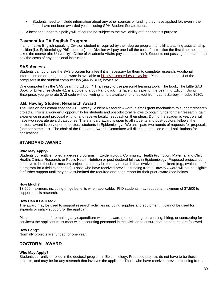- Students need to include information about any other sources of funding they have applied for, even if the funds have not been awarded yet, including SPH Student Senate funds.
- 3. Allocations under this policy will of course be subject to the availability of funds for this purpose.

#### **Payment for TA English Program**

If a nonnative English-speaking Division student is required by their degree program to fulfill a teaching assistantship position (i.e. Epidemiology PhD students), the Division will pay one-half the cost of instruction the first time the student takes the course (the University's Office of Academic Affairs pays the other half). Students not passing the exam must pay the costs of any additional instruction.

#### **SAS Access**

Students can purchase the SAS program for a fee if it is necessary for them to complete research. Additional information on ordering the software is available at <http://it.umn.edu/sas-sas-inc>. Please note that all 4 of the computers in the student computer lab (466 WBOB) have SAS.

One computer has the SAS Learning Edition 4.1 (an easy to use personal learning tool). The book, The Little SAS Book for Enterprise Guide 4.1 is a guide to a point-and-click interface that is part of the Learning Edition. Using Enterprise, you generate SAS code without writing it. It is available for checkout from Laurie Zurbey, in cube 398C.

#### **J.B. Hawley Student Research Award**

The Division has established the J.B. Hawley Student Research Award, a small grant mechanism to support research projects. This is a wonderful opportunity for students and post-doctoral fellows to obtain funds for their research, gain experience in grant proposal writing, and receive faculty feedback on their ideas. During the academic year, we will have two separate award categories. The standard award is open to all students and post-doctoral fellows; the doctoral award is only open to doctoral students in Epidemiology. We anticipate two rounds of requests for proposals (one per semester). The chair of the Research Awards Committee will distribute detailed e-mail solicitations for applications.

#### **STANDARD AWARD**

#### **Who May Apply?**

Students currently enrolled in degree programs in Epidemiology, Community Health Promotion, Maternal and Child Health, Clinical Research, or Public Health Nutrition or post-doctoral fellows in Epidemiology. Proposed projects do not have to be thesis or masters projects, and may be for any research that involves the applicant (e.g., evaluation of a program for a field experience). Those who have received previous funding from a Hawley Award will not be eligible for further support until they have submitted the required one-page report for their prior award (see below).

#### **How Much?**

\$3,500 maximum, including fringe benefits when applicable. PhD students may request a maximum of \$7,500 to support thesis research.

#### **How Can It Be Used?**

The award may be used to support research activities including supplies and equipment. It cannot be used for stipends or salary support for the applicant.

Please note that before making any expenditure with the award (i.e., ordering, purchasing, hiring, or contracting for services) the applicant must meet with accounting personnel in the Division to ensure that procedures are followed.

#### **How Long?**

Normally projects are funded for one year.

#### **DOCTORAL AWARD**

#### **Who May Apply?**

Students currently enrolled in the doctoral program in Epidemiology. Proposed projects do not have to be thesis projects, and may be for any research that involves the applicant. Those who have received previous funding from a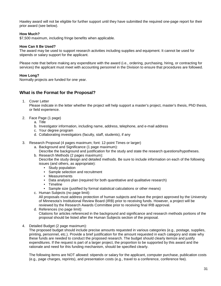Hawley award will not be eligible for further support until they have submitted the required one-page report for their prior award (see below).

#### **How Much?**

\$7,500 maximum, including fringe benefits when applicable.

#### **How Can It Be Used?**

The award may be used to support research activities including supplies and equipment. It cannot be used for stipends or salary support for the applicant.

Please note that before making any expenditure with the award (i.e., ordering, purchasing, hiring, or contracting for services) the applicant must meet with accounting personnel in the Division to ensure that procedures are followed.

#### **How Long?**

Normally projects are funded for one year.

#### **What is the Format for the Proposal?**

1. Cover Letter

Please indicate in the letter whether the project will help support a master's project, master's thesis, PhD thesis, or field experience.

- 2. Face Page (1 page)
	- a. Title
	- b. Investigator information, including name, address, telephone, and e-mail address
	- c. Your degree program
	- d. Collaborating investigators (faculty, staff, students), if any
- 3. Research Proposal (4 pages maximum; font: 12-point Times or larger)
	- a. Background and Significance (1 page maximum):
		- Describe the background and justification for the study and state the research questions/hypotheses.
	- b. Research Methods (2 pages maximum): Describe the study design and detailed methods. Be sure to include information on each of the following issues (and others, as appropriate):
		- Study population
		- Sample selection and recruitment
		- Measurements
		- Data analysis plan (required for both quantitative and qualitative research)
		- Timeline
		- Sample size (justified by formal statistical calculations or other means)
	- c. Human Subjects (no page limit):

All proposals must address protection of human subjects and have the project approved by the University of Minnesota's Institutional Review Board (IRB) prior to receiving funds. However, a project will be reviewed by the Research Awards Committee prior to receiving final IRB approval.

- d. References (no page limit): Citations for articles referenced in the background and significance and research methods portions of the proposal should be listed after the Human Subjects section of the proposal.
- 4. Detailed Budget (2 page maximum):

The proposed budget should include precise amounts requested in various categories (e.g., postage, supplies, printing, personnel, etc.). Provide a brief justification for the amount requested in each category and state why these funds are needed to conduct the proposed research. The budget should clearly itemize and justify expenditures. If the request is part of a larger project, the proportion to be supported by this award and the rationale and need for this funding mechanism, should be specified clearly.

The following items are NOT allowed: stipends or salary for the applicant, computer purchase, publication costs (e.g., page charges, reprints), and presentation costs (e.g., travel to a conference, conference fee).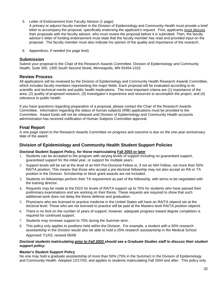5. Letter of Endorsement from Faculty Advisor (1 page):

A primary or adjunct faculty member in the Division of Epidemiology and Community Health must provide a brief letter to accompany the proposal, specifically endorsing the applicant's request. First, applicants must discuss their proposals with the faculty advisor, who must review the proposal before it is submitted. Then, the faculty advisor's letter of funding endorsement must state that the faculty member has read and provided input on the proposal. The faculty member must also indicate his opinion of the quality and importance of the research.

6. Appendices, if needed (no page limit)

#### **Submission**

Submit your proposal to the Chair of the Research Awards Committee, Division of Epidemiology and Community Health, Suite 300, 1300 South Second Street, Minneapolis, MN 55454-1015

#### **Review Process**

All applications will be reviewed by the Division of Epidemiology and Community Health Research Awards Committee, which includes faculty members representing the major fields. Each proposal will be evaluated according to its scientific and technical merits and public health implications. The most important criteria are (1) importance of the area, (2) quality of proposed research, (3) investigator's experience and resources to accomplish the project, and (4) relevance to public health.

If you have questions regarding preparation of a proposal, please contact the Chair of the Research Awards Committee. Information regarding the status of human subjects (IRB) applications must be provided to the Committee. Award funds will not be released until Division of Epidemiology and Community Health accounts administration has received notification of Human Subjects Committee approval.

#### **Final Report**

A one-page report to the Research Awards Committee on progress and outcome is due on the one-year anniversary date of the award.

#### **Division of Epidemiology and Community Health Student Support Policies**

#### **Doctoral Student Support Policy, for those matriculating Fall 2003 or later**

- 1. Students can be accepted to the program with varying levels of support including no guaranteed support, guaranteed support for the initial year, or support for multiple years.
- 2. Support levels will be set at the level of an NIH Pre-Doctoral Fellow or, if not an NIH Fellow, not more than 50% RA/TA position. This means that those who accept a pre-doctoral fellowship may not also accept an RA or TA position in the Division. Scholarship or block grant awards are not included.
- 3. Students on fellowships perform their TA requirement as part of the fellowship, with terms to be negotiated with the training director.
- 4. Requests may be made to the DGS for levels of RA/TA support up to 75% for students who have passed their preliminary examinations and are working on their thesis. These requests are required to show that such additional work does not delay the thesis defense and graduation.
- 5. Physicians who are licensed to practice medicine in the United States will have an RA/TA stipend set at the doctoral level. Those who are not licensed to practice will be paid at the Masters level RA/TA position stipend.
- 6. There is no limit on the number of years of support; however, adequate progress toward degree completion is required for continued support.
- 7. Students may increase support to 75% during the Summer term.
- 8. This policy only applies to positions held within the Division. For example, a student with a 50% research assistantship in the Division would also be able to hold a 25% research assistantship in the Medical School. Approved 7/1/03, revised 06/08

#### *Doctoral students matriculating prior to Fall 2003 should see a Graduate Studies staff to discuss their student support policy.*

#### **Master's Student Support Policy**

No one may hold a graduate assistantship of more than 50% (75% in the Summer) in the Division of Epidemiology and Community Health. Adopted 12/17/03, and applies to students matriculating Fall 2004 and after. This policy only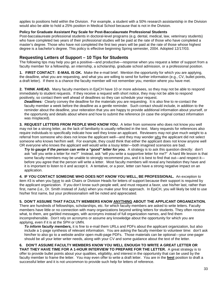applies to positions held within the Division. For example, a student with a 50% research assistantship in the Division would also be able to hold a 25% position in Medical School because that is not in the Division.

#### **Policy for Graduate Assistant Pay Scale for Post-Baccalaureate Professional Students**

Post-baccalaureate professional students in doctoral-level programs (e.g. dental, medical, law, veterinary students) who have completed two years of their professional studies will be paid at the rate of those who have completed a master's degree. Those who have not completed the first two years will be paid at the rate of those whose highest degree is a bachelor's degree. This policy is effective beginning Spring semester, 2004. Adopted 12/17/03.

#### **Requesting Letters of Support – 10 Tips for Students**

The following tips may help you get a positive—and productive—response when you request a letter of support from a faculty member for a fellowship, an internship, a scholarship, graduate school admission, or a professional position.

**1. FIRST CONTACT: E-MAIL IS OK.** Make the e-mail brief. Mention the opportunity for which you are applying, the deadline, what you are requesting, and what you are willing to send for further information (e.g., CV, bullet points, a draft letter). If there is a chance the faculty member will not remember you, mention where you have met.

**2. THINK AHEAD.** Many faculty members in EpiCH have 10 or more advisees, so they may not be able to respond immediately to student requests. If they receive a request with short notice, they may not be able to respond positively, so contact them well ahead of deadlines so they can schedule your request.

*Deadlines:* Clearly convey the deadline for the materials you are requesting. It is also fine to re-contact the faculty member a week before the deadline as a gentle reminder. Such contact should include, in addition to the reminder about the deadline, your reiteration that you are happy to provide additional information about yourself, or the opportunity and details about where and how to submit the reference (in case the original contact information was misplaced).

**3. REQUEST LETTERS FROM PEOPLE WHO KNOW YOU.** A letter from someone who does not know you well may not be a strong letter, as the lack of familiarity is usually reflected in the text. Many requests for references also require individuals to specifically indicate how well they know an applicant. Reviewers may not give much weight to a referral from someone who does not know the applicant well—and they may wonder why the applicant did not select someone who knows her/him well. For example, they could think that either the applicant does not know anyone well OR everyone who knows the applicant well would write a lousy letter—both imagined scenarios are bad.

*Try to gauge if the person can write a "good" letter for you.* A strategy is to ask this question directly: don't ask "will you write a letter for me?" Instead, ask "will you write a supportive letter for me?" A hard life lesson is that some faculty members may be unable to strongly recommend you, and it is best to find that out—and respect it before you agree that the person will write a letter. Most faculty members will reveal any hesitation they have and it is important to listen to it and accept it. A tentative, or a poor, letter can have a strong negative impact on an application.

**4. IF YOU CONTACT SOMEONE WHO DOES NOT KNOW YOU WELL, BE PROFESSIONAL.** An exception to item #3 is when you have to ask Chairs or Division Heads for letters of support because their support is required by the applicant organization. If you don't know such people well, and must request a favor, use his/her last, rather than first, name (i.e., Dr. Smith instead of Judy) when you make your first approach. In EpiCH, you will likely be told to use his/her first name, but your professionalism will be noted and appreciated.

#### **5. DON'T ASSUME THAT FACULTY MEMBERS KNOW ANYTHING ABOUT THE APPLICANT ORGANIZATION.**

There are hundreds of fellowships, scholarships, etc. for which faculty members are asked to write letters. Faculty members have little or no connection with many organizations beyond writing letters for students. They often receive what, to them, are garbled messages, with acronyms instead of full organization names, and find them incomprehensible. Don't rely on acronyms or assume any knowledge about the opportunity for which you are applying, even if it is at the SPH or UMN.

*To inform faculty members,* it is fine to e-mail them URLs and PDFs about the applicant organization, but also include a 1-page synthesis of relevant information. You are asking the faculty member to volunteer time: don't ask him/her to also go to a website and/or open multi-page PDFs. Those materials can be optional—your one-pager should be all your letter writer needs, along with your CV and some guidance about the text of the letter.

#### **6. DON'T ASSUME FACULTY MEMBERS KNOW YOU WELL ENOUGH TO WRITE A GREAT LETTER OR THAT THEY HAVE TIME FOR A 1-HOUR INTERVIEW TO PREPARE FOR THE LETTER.** A great strategy is to offer to provide bullet points about your qualities, eligibility, and interest in the opportunity that can be used by the faculty member to frame the letter. You may even offer to write a draft letter. You are in the **best** position to draft a successful letter and it is not uncommon to provide such help for letters of reference.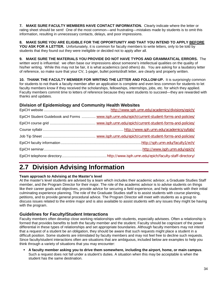**7. MAKE SURE FACULTY MEMBERS HAVE CONTACT INFORMATION.** Clearly indicate where the letter or rating sheet should be sent! One of the most common—and frustrating—mistakes made by students is to omit this information, resulting in unnecessary contacts, delays, and poor impressions.

**8. MAKE SURE YOU ARE ELIGIBLE FOR THE OPPORTUNITY AND THAT YOU INTEND TO APPLY BEFORE YOU ASK FOR A LETTER.** Unfortunately, it is common for faculty members to write letters, only to be told by students that they found out they were ineligible or decided not to apply after all.

**9. MAKE SURE THE MATERIALS YOU PROVIDE DO NOT HAVE TYPOS AND GRAMMATICAL ERRORS.** The written word is influential: we often base our impressions about someone's intellectual qualities on the quality of his/her writing. While this may not be fair, it is what academics (and others) do. You are asking for a laudatory letter of reference, so make sure that your CV, 1-pager, bullet points/draft letter, are clearly and properly written.

**10. THANK THE FACULTY MEMBER FOR WRITING THE LETTER AND FOLLOW-UP.** It is surprisingly common for students to not thank a faculty member after an application is complete and even less common for students to let faculty members know if they received the scholarships, fellowships, internships, jobs, etc. for which they applied. Faculty members commit time to letters of reference because they want students to succeed—they are rewarded with thanks and updates.

#### **Division of Epidemiology and Community Health Websites**

| EpiCH Student Guidebook and Forms  www.isph.umn.edu/epich/current-student-forms-and-policies/ |
|-----------------------------------------------------------------------------------------------|
|                                                                                               |
|                                                                                               |
|                                                                                               |
|                                                                                               |
|                                                                                               |
|                                                                                               |

# **2.7 Division Advising Information**

#### **Team approach to Advising at the Master's level**

At the master's level students are advised by a team which includes their academic advisor, a Graduate Studies Staff member, and the Program Director for their major. The role of the academic advisor is to advise students on things like their career goals and objectives, provide advice for securing a field experience, and help students with their initial culminating experience planning. The role of the Graduate Studies staff is to assist students with course planning, petitions, and to provide general procedural advice. The Program Director will meet with students as a group to discuss issues related to the entire major and is also available to assist students with any issues they might be having with the program.

#### **Guidelines for Faculty/Student Interactions**

Faculty members often develop close working relationships with students, especially advisees. Often a relationship is formed that provides benefits to both the faculty member and the student. Faculty should be cognizant of the power differential in these types of relationships and set appropriate boundaries. Although faculty members may not intend that a request of a student be an obligation, they should be aware that such requests might place a student in a difficult position. Some students are intimidated by faculty members and may not feel free to decline such requests. Since faculty/student interactions often are situations that are ambiguous, included below are examples to help you think through a variety of situations that you may encounter:

 **A faculty member asking you to drive them somewhere, including the airport, home, or main campus**. Such a request does not fall under a student's duties. A situation when this may be acceptable is when the student has the same destination.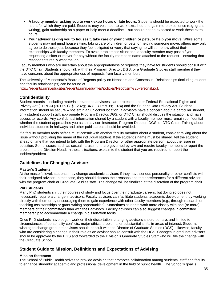- **A faculty member asking you to work extra hours or late hours**. Students should be expected to work the hours for which they are paid. Students may volunteer to work extra hours to gain more experience (e.g. grant writing), gain authorship on a paper or help meet a deadline – but should not be expected to work these extra hours.
- **Your advisor asking you to housesit, take care of your children or pets, or help you move**. While some students may not mind house sitting, taking care of children or pets, or helping someone move, others may only agree to do these jobs because they feel obligated or worry that saying no will somehow affect their relationships with faculty members. To avoid problematic situations, a faculty member may post a flyer requesting a sitter or mover for pay without the faculty member's name attached to the request – ensuring that respondents really want the job.

Faculty members who are uncertain about the appropriateness of requests they have for students should consult with the DTC Chair. Students should talk with their Program Director, DGS, or a Graduate Studies staff member if they have concerns about the appropriateness of requests from faculty members.

The University of Minnesota's Board of Regents policy on Nepotism and Consensual Relationships (including student and faculty relationships) can be found at

<http://regents.umn.edu/sites/regents.umn.edu/files/policies/Nepotism%26Personal.pdf>.

#### **Confidentiality**

Student records—including materials related to advisees—are protected under Federal Educational Rights and Privacy Act (FERPA) (20 U.S.C. § 1232g; 34 CFR Part 99; 1974) and the Student Data Privacy Act. Student information should be secure – not left in an unlocked location. If advisors have a concern about a particular student, only student support staff, appropriate Program Director/DGS, or DTC Chair should discuss the situation and have access to records. Any confidential information shared by a student with a faculty member must remain confidential – whether the student approaches you as an advisor, instructor, Program Director, DGS, or DTC Chair. Talking about individual students in hallways and other public areas should be avoided.

If a faculty member feels he/she must consult with another faculty member about a student, consider talking about the issue without providing the name of the individual student. If the student's name must be shared, tell the student ahead of time that you intend to talk with the Program Director (or other appropriate person) about the issue in question. Some issues, such as sexual harassment, are governed by law and require faculty members to report the problem to the Division Head. In these situations, explain to the student that you are required to report the incident/problem.

#### **Guidelines for Changing Advisors**

#### **Master's Students**

At the master's level, students may change academic advisors if they have serious personality or other conflicts with their assigned advisor. In that case, they should discuss their reasons and their preferences for a different advisor with the program chair or Graduate Studies staff. The change will be finalized at the discretion of the program chair.

#### **PhD Students**

Many PhD students shift their courses of study and focus over their graduate careers, but doing so does not necessarily require a change in advisors. Faculty advisors can facilitate students' academic development, by working directly with them or by encouraging them to gain experience with other faculty members (e.g., through research or teaching assistantships or grant-writing opportunities). Sometimes students work more closely with one (or more) members of their committees than with their advisors. Faculty advisors can also suggest changes in committee membership to accommodate a change in dissertation focus.

Once PhD students have begun work on their dissertation, changing advisors should be rare, and limited to circumstances of personality conflicts, major ethical problems, or substantial shifts in areas of interest. Students wishing to change graduate advisors should consult with the Director of Graduate Studies (DGS). Likewise, faculty who are considering a change in their role as an advisor should consult with the DGS. Changes in graduate advisors should be approved by the DGS and forwarded to the Division's Graduate Studies Staff who will file the change with the Graduate School.

#### **Student Guide to Mission, Definitions and Expectations of Advising**

#### **Mission Statement**

The School of Public Health strives to provide advising that promotes collaboration among students, staff and faculty to enhance students' academic and professional development in the field of public health. The School's goal is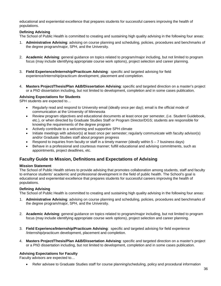educational and experiential excellence that prepares students for successful careers improving the health of populations.

#### **Defining Advising**

The School of Public Health is committed to creating and sustaining high quality advising in the following four areas:

- 1. **Administrative Advising**: advising on course planning and scheduling, policies, procedures and benchmarks of the degree program/major, SPH, and the University.
- 2. **Academic Advising**: general guidance on topics related to program/major including, but not limited to program focus (may include identifying appropriate course work options), project selection and career planning.
- 3. **Field Experience/Internship/Practicum Advising**: specific and targeted advising for field experience/internship/practicum development, placement and completion.
- 4. **Masters Project/Thesis/Plan A&B/Dissertation Advising**: specific and targeted direction on a master's project or a PhD dissertation including, but not limited to development, completion and in some cases publication.

#### **Advising Expectations for Students**

SPH students are expected to…

- Regularly read and respond to University email (ideally once per day); email is the official mode of communication at the University of Minnesota
- Review program objectives and educational documents at least once per semester, (i.e. Student Guidebook, etc.), or when directed by Graduate Studies Staff or Program Director/DGS; students are responsible for knowing the requirements of the degree program
- Actively contribute to a welcoming and supportive SPH climate
- Initiate meetings with advisor(s) at least once per semester; regularly communicate with faculty advisor(s) and/or Graduate Studies staff about program progress
- Respond to inquiries from faculty or staff in a timely manner (ideally within  $5 7$  business days)
- Behave in a professional and courteous manner; fulfill educational and advising commitments, such as appointments, project deadlines, etc.

#### **Faculty Guide to Mission, Definitions and Expectations of Advising**

#### **Mission Statement**

The School of Public Health strives to provide advising that promotes collaboration among students, staff and faculty to enhance students' academic and professional development in the field of public health. The School's goal is educational and experiential excellence that prepares students for successful careers improving the health of populations.

#### **Defining Advising**

The School of Public Health is committed to creating and sustaining high quality advising in the following four areas:

- 1. **Administrative Advising**: advising on course planning and scheduling, policies, procedures and benchmarks of the degree program/major, SPH, and the University.
- 2. **Academic Advising**: general guidance on topics related to program/major including, but not limited to program focus (may include identifying appropriate course work options), project selection and career planning.
- 3. **Field Experience/Internship/Practicum Advising**: specific and targeted advising for field experience /internship/practicum development, placement and completion.
- 4. **Masters Project/Thesis/Plan A&B/Dissertation Advising**: specific and targeted direction on a master's project or a PhD dissertation including, but not limited to development, completion and in some cases publication.

#### **Advising Expectations for Faculty**

Faculty advisors are expected to…

• Refer advisee to Graduate Studies staff for course planning/scheduling, policy and procedural information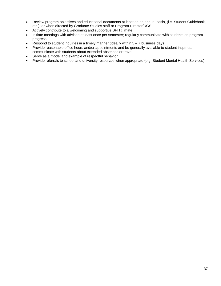- Review program objectives and educational documents at least on an annual basis, (i.e. Student Guidebook, etc.), or when directed by Graduate Studies staff or Program Director/DGS
- Actively contribute to a welcoming and supportive SPH climate
- Initiate meetings with advisee at least once per semester; regularly communicate with students on program progress
- Respond to student inquiries in a timely manner (ideally within  $5 7$  business days)
- Provide reasonable office hours and/or appointments and be generally available to student inquiries; communicate with students about extended absences or travel
- Serve as a model and example of respectful behavior
- Provide referrals to school and university resources when appropriate (e.g. Student Mental Health Services)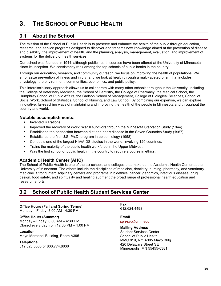# **3. THE SCHOOL OF PUBLIC HEALTH**

## **3.1 About the School**

The mission of the School of Public Health is to preserve and enhance the health of the public through education, research, and service programs designed to discover and transmit new knowledge aimed at the prevention of disease and disability, the improvement of health, and the planning, analysis, management, evaluation, and improvement of systems for the delivery of health services.

Our school was founded in 1944, although public health courses have been offered at the University of Minnesota since its inception. We consistently rank among the top schools of public health in the country.

Through our education, research, and community outreach, we focus on improving the health of populations. We emphasize prevention of illness and injury, and we look at health through a multi-faceted prism that includes physiology, the environment, communities, economics, and public policy.

This interdisciplinary approach allows us to collaborate with many other schools throughout the University, including the College of Veterinary Medicine, the School of Dentistry, the College of Pharmacy, the Medical School, the Humphrey School of Public Affairs, the Carlson School of Management, College of Biological Sciences, School of Social Work, School of Statistics, School of Nursing, and Law School. By combining our expertise, we can explore innovative, far-reaching ways of maintaining and improving the health of the people in Minnesota and throughout the country and world.

### **Notable accomplishments:**

- § Invented K Rations.
- **Improved the recovery of World War II survivors through the Minnesota Starvation Study (1944).**
- **Established the connection between diet and heart disease in the Seven Countries Study (1967).**
- **Established the first U.S. Ph.D. program in epidemiology (1958).**
- § Conducts one of the largest HIV/AIDS studies in the world, involving 120 countries.
- Trains the majority of the public health workforce in the Upper Midwest.
- **Was the first school of public health in the country to require a course in ethics.**

### **Academic Health Center (AHC)**

The School of Public Health is one of the six schools and colleges that make up the Academic Health Center at the University of Minnesota. The others include the disciplines of medicine, dentistry, nursing, pharmacy, and veterinary medicine. Strong interdisciplinary centers and programs in bioethics, cancer, genomics, infectious disease, drug design, food safety, and spirituality and healing augment the broad range of professional health education and research efforts.

## **3.2 School of Public Health Student Services Center**

### **Office Hours (Fall and Spring Terms)**

Monday – Friday, 8:00 AM - 4:30 PM

**Office Hours (Summer)**

Monday – Friday, 8:00 AM – 4:30 PM Closed every day from 12:00 PM – 1:00 PM

#### **Location**

Mayo Memorial Building, Room A395

#### **Telephone**

612.626.3500 or 800.774.8636

**Fax** 612.624.4498

**Email** [sph-ssc@umn.edu](mailto:sph-oasr@umn.edu)

#### **Mailing Address**

Student Services Center School of Public Health MMC 819, Rm A395 Mayo Bldg 420 Delaware Street SE Minneapolis, MN 55455-0381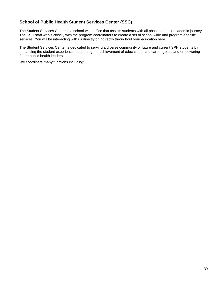## **School of Public Health Student Services Center (SSC)**

The Student Services Center is a school-wide office that assists students with all phases of their academic journey. The SSC staff works closely with the program coordinators to create a set of school-wide and program-specific services. You will be interacting with us directly or indirectly throughout your education here.

The Student Services Center is dedicated to serving a diverse community of future and current SPH students by enhancing the student experience, supporting the achievement of educational and career goals, and empowering future public health leaders.

We coordinate many functions including: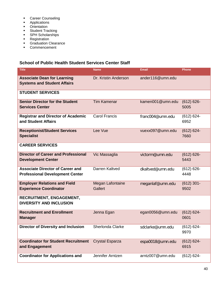- **Career Counseling**
- **Applications**
- **Crientation**
- **Student Tracking**
- **SPH Scholarships**
- **Registration**
- **F** Graduation Clearance
- **Commencement**

## **School of Public Health Student Services Center Staff**

| <b>Title</b>                                                                      | <b>Name</b>                        | <b>Email</b>     | Phone                 |
|-----------------------------------------------------------------------------------|------------------------------------|------------------|-----------------------|
| <b>Associate Dean for Learning</b><br><b>Systems and Student Affairs</b>          | Dr. Kristin Anderson               | ander116@umn.edu |                       |
| <b>STUDENT SERVICES</b>                                                           |                                    |                  |                       |
| <b>Senior Director for the Student</b><br><b>Services Center</b>                  | <b>Tim Kamenar</b>                 | kamen001@umn.edu | $(612) 626 -$<br>5005 |
| <b>Registrar and Director of Academic</b><br>and Student Affairs                  | <b>Carol Francis</b>               | franc004@umn.edu | $(612) 624 -$<br>6952 |
| <b>Receptionist/Student Services</b><br><b>Specialist</b>                         | Lee Vue                            | vuexx097@umn.edu | $(612) 624 -$<br>7660 |
| <b>CAREER SERVICES</b>                                                            |                                    |                  |                       |
| <b>Director of Career and Professional</b><br><b>Development Center</b>           | Vic Massaglia                      | victorm@umn.edu  | $(612) 626 -$<br>5443 |
| <b>Associate Director of Career and</b><br><b>Professional Development Center</b> | Darren Kaltved                     | dkaltved@umn.edu | $(612) 626 -$<br>4448 |
| <b>Employer Relations and Field</b><br><b>Experience Coordinator</b>              | Megan Lafontaine<br><b>Gallert</b> | meganlaf@umn.edu | $(612)$ 301-<br>9502  |
| RECRUITMENT, ENGAGEMENT,<br><b>DIVERSITY AND INCLUSION</b>                        |                                    |                  |                       |
| <b>Recruitment and Enrollment</b><br><b>Manager</b>                               | Jenna Egan                         | egan0056@umn.edu | $(612) 624 -$<br>0601 |
| <b>Director of Diversity and Inclusion</b>                                        | Sherlonda Clarke                   | sdclarke@umn.edu | $(612) 624 -$<br>9970 |
| <b>Coordinator for Student Recruitment</b><br>and Engagement                      | <b>Crystal Esparza</b>             | espa0018@umn.edu | $(612) 624 -$<br>6915 |
| <b>Coordinator for Applications and</b>                                           | Jennifer Arntzen                   | arntz007@umn.edu | $(612) 624 -$         |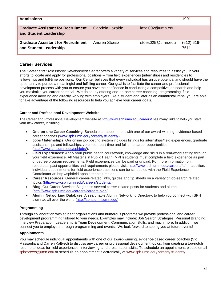| <b>Admissions</b>                                                   |                  |                     | 1991                 |
|---------------------------------------------------------------------|------------------|---------------------|----------------------|
| <b>Graduate Assistant for Recruitment</b><br>and Student Leadership | Gabriela Lazalde | $lazal002@$ umn.edu |                      |
| <b>Graduate Assistant for Recruitment</b><br>and Student Leadership | Andrea Stoesz    | stoes025@umn.edu    | $(612) 616-$<br>7511 |

### **Career Services**

The *Career and Professional Development Center* offers a variety of services and resources to assist you in your efforts to locate and apply for professional positions – from field experiences (internships) and residencies to fellowships and full-time positions. Our Center believes that every individual has unique potential and should have the opportunity to pursue a meaningful and fulfilling career. Our goal is to facilitate the career and professional development process with you to ensure you have the confidence in conducting a competitive job search and help you maximize you career potential. We do so, by offering one-on-one career coaching, programming, field experience advising and directly working with employers. As a student and later as an alumnus/alumna, you are able to take advantage of the following resources to help you achieve your career goals.

#### **Career and Professional Development Website**

The Career and Professional Development website at<http://www.sph.umn.edu/careers/> has many links to help you start your new career, including:

- **One-on-one Career Coaching**: Schedule an appointment with one of our award-winning, evidence-based career coaches ([www.sph.umn.edu/careers/students/](http://www.sph.umn.edu/careers/students/)).
- **Jobs / Internships**: Our online job posting system includes listings for internships/field experiences, graduate assistantships and fellowships, volunteer, part-time and full-time career opportunities [\(http://www.ahc.umn.edu/sphjobs/\)](http://www.ahc.umn.edu/sphjobs/).
- **Field Experiences**: Apply your public health coursework, knowledge and skills in a real-world setting through your field experience. All Master's in Public Health (MPH) students must complete a field experience as part of degree program requirements. Field experiences can be paid or unpaid. For more information on resources, past opportunities and requirements please visit: [http://www.sph.umn.edu/careers/fe/.](http://www.sph.umn.edu/careers/fe/) In addition, individual appointments for field experience questions can be scheduled with the Field Experience Coordinator at: http://sphfield.appointments.umn.edu.
- **Career Resources**: General career-related links, guides and tip sheets on a variety of job-search related topics [\(http://www.sph.umn.edu/careers/students/\)](http://www.sph.umn.edu/careers/students/).
- **Blog**: Our Career Services Blog hosts several career-related posts for students and alumni [\(http://www.sph.umn.edu/careers/careers-blog/\)](http://www.sph.umn.edu/careers/careers-blog/).
- **Alumni Networking Database**: A searchable Alumni Networking Directory, to help you connect with SPH alumnae all over the world [\(http://sphalumni.umn.edu\)](http://sphalumni.umn.edu/).

### **Programming**

Through collaboration with student organizations and numerous programs we provide professional and career development programming tailored to your needs. Examples may include: Job Search Strategies, Personal Branding; Interview Preparation; Leadership & Team Development; Communication Skills, and much more. In addition, we connect you to employers through programming and events. We look forward to seeing you at future events!

#### **Appointments**

You may schedule individual appointments with one of our award-winning, evidence-based career coaches (Vic Massaglia and Darren Kaltved) to discuss any career or professional development topics, from creating a top-notch resume to ideas for field experiences, interviewing, and presentation skills. To schedule an appointment, please email [sphcareers@umn.edu](mailto:sphcareers@umn.edu) or schedule an appointment electronically at [www.sph.umn.edu/careers/students/](http://www.sph.umn.edu/careers/students/).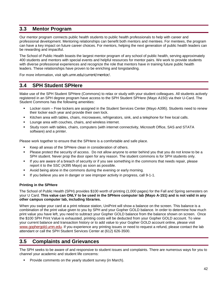## **3.3 Mentor Program**

Our mentor program connects public health students to public health professionals to help with career and professional development. Mentoring relationships can benefit both mentors and mentees. For mentees, the program can have a key impact on future career choices. For mentors, helping the next generation of public health leaders can be rewarding and impactful.

The School of Public Health boasts the largest mentor program of any school of public health, serving approximately 400 students and mentors with special events and helpful resources for mentor pairs. We work to provide students with diverse professional experiences and recognize the role that mentors have in training future public health leaders. These relationships have proven to be enriching and longstanding.

For more information, visit [sph.umn.edu/current/mentor/](http://sph.umn.edu/current/mentor/).

## **3.4 SPH Student SPHere**

Make use of the SPH Student SPHere (Commons) to relax or study with your student colleagues. All students actively registered in an SPH degree program have access to the SPH Student SPHere (Mayo A150) via their U-Card. The Student Commons has the following amenities:

- Locker room Free lockers are assigned in the Student Services Center (Mayo A395). Students need to renew their locker each year and provide their own lock.
- Kitchen area with tables, chairs, microwaves, refrigerators, sink, and a telephone for free local calls.
- Lounge area with couches, chairs, and wireless internet.
- Study room with tables, chairs, computers (with internet connectivity, Microsoft Office, SAS and STATA software) and a printer.

Please work together to ensure that the SPHere is a comfortable and safe place.

- Keep all areas of the SPHere clean in consideration of others.
- Please protect the security of access. Do not allow anyone to enter behind you that you do not know to be a SPH student. Never prop the door open for any reason. The student commons is for SPH students only.
- If you are aware of a breach of security or if you see something in the commons that needs repair, please report it to the SSC (A395 Mayo) as soon as possible.
- Avoid being alone in the commons during the evening or early morning.
- If you believe you are in danger or see improper activity in progress, call 9-1-1.

#### **Printing in the SPHere**

The School of Public Health (SPH) provides \$100 worth of printing (1,000 pages) for the Fall and Spring semesters on your U Card. **This value can ONLY to be used in the SPHere computer lab (Mayo A-151) and is not valid in any other campus computer lab, including libraries.**

When you swipe your card at a print release station, UniPrint will show a balance on the screen. This balance is a combination of the print value given to you by SPH and your Gopher GOLD balance. In order to determine how much print value you have left, you need to subtract your Gopher GOLD balance from the balance shown on screen. Once the \$100 SPH Print Value is exhausted, printing costs will be deducted from your Gopher GOLD account. To view your current balance and transaction history or to add value to your Gopher GOLD account online, please visit [www.gophergold.umn.edu](http://www.gophergold.umn.edu/). If you experience any printing issues or need to request a refund, please contact the lab attendant or call the SPH Student Services Center at (612) 626-3500.

## **3.5 Complaints and Grievances**

The SPH seeks to be aware of and responsive to student issues and complaints. There are numerous ways for you to channel your academic and student life concerns:

Provide comments on the yearly student survey (in March).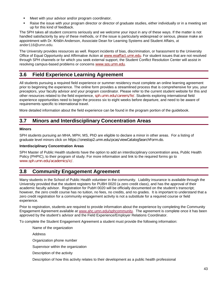- Meet with your advisor and/or program coordinator.
- Raise the issue with your program director or director of graduate studies, either individually or in a meeting set up for this kind of feedback.

The SPH takes all student concerns seriously and we welcome your input in any of these ways. If the matter is not handled satisfactorily by any of these methods, or if the issue is particularly widespread or serious, please make an appointment with Dr. [Kristin](mailto:Kristin) Anderson, Associate Dean for Learning Systems and Student Affairs, at ander116@umn.edu.

The University provides resources as well. Report incidents of bias, discrimination, or harassment to the University Office of Equal Opportunity and Affirmative Action at [www.eoaffact.umn.edu](http://www.eoaffact.umn.edu/). For student issues that are not resolved through SPH channels or for which you seek external support, the Student Conflict Resolution Center will assist in resolving campus-based problems or concerns [www.sos.umn.edu](http://www.sos.umn.edu/).

## **3.6 Field Experience Learning Agreement**

All students pursuing a required field experience or summer residency must complete an online learning agreement prior to beginning the experience. The online form provides a streamlined process that is comprehensive for you, your preceptors, your faculty advisor and your program coordinator. Please refer to the current student website for this and other resources related to the field experience, [sph.umn.edu/careers/fe/](http://www.sph.umn.edu/careers/fe/). Students exploring international field experience opportunities need to begin the process six to eight weeks before departure, and need to be aware of requirements specific to international travel.

More detailed information about the field experience can be found in the program portion of the guidebook.

## **3.7 Minors and Interdisciplinary Concentration Areas**

### **Minors**

SPH students pursuing an MHA, MPH, MS, PhD are eligible to declare a minor in other areas. For a listing of graduate level minors click on [https://onestop2.umn.edu/pcas/viewCatalogSearchForm.do.](https://onestop2.umn.edu/pcas/viewCatalogSearchForm.do)

#### **Interdisciplinary Concentration Areas**

SPH Master of Public Health students have the option to add an interdisciplinary concentration area, Public Health Policy (PHPIC), to their program of study. For more information and link to the required forms go to [www.sph.umn.edu/academics/ic/](http://www.sph.umn.edu/academics/ic/).

## **3.8 Community Engagement Agreement**

Many students in the School of Public Health volunteer in the community. Liability insurance is available through the University provided that the student registers for PUBH 0020 (a zero credit class), and has the approval of their academic faculty advisor. Registration for PubH 0020 will be officially documented on the student's transcript; however, the zero credit course has no tuition, no fees, no credits, and no grades. It is important to understand that a zero credit registration for a community engagement activity is not a substitute for a required course or field experience.

Prior to registration, students are required to provide information about the experience by completing the Community Engagement Agreement available at [www.ahc.umn.edu/sphcommunity.](http://www.ahc.umn.edu/sphcommunity) The agreement is complete once it has been approved by the student's advisor and the Field Experience/Employer Relations Coordinator.

To complete the Student Engagement Agreement a student must provide the following information:

Name of the organization

Address

Organization phone number

Supervisor within the organization

Description of the activity

Description of how this activity relates to their development as a public health professional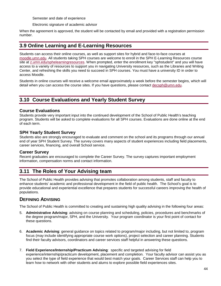Semester and date of experience

Electronic signature of academic advisor

When the agreement is approved, the student will be contacted by email and provided with a registration permission number.

## **3.9 Online Learning and E-Learning Resources**

Students can access their online courses, as well as support sites for hybrid and face-to-face courses at [moodle.umn.edu.](http://moodle.umn.edu/) All students taking SPH courses are welcome to enroll in the SPH E-Learning Resources course site at [z.umn.edu/sphelearningresources.](http://z.umn.edu/sphelearningresources) When prompted, enter the enrollment key "sphstudent" and you will have access to a variety of resources to support you in navigating University resources, such as the Libraries and Writing Center, and refreshing the skills you need to succeed in SPH courses. You must have a university ID in order to access Moodle.

Students in online courses will receive a welcome email approximately a week before the semester begins, which will detail when you can access the course sites. If you have questions, please contact [decsph@umn.edu.](mailto:decsph@umn.edu)

## **3.10 Course Evaluations and Yearly Student Survey**

## **Course Evaluations**

Students provide very important input into the continued development of the School of Public Health's teaching program. Students will be asked to complete evaluations for all SPH courses. Evaluations are done online at the end of each term.

## **SPH Yearly Student Survey**

Students also are strongly encouraged to evaluate and comment on the school and its programs through our annual end of year SPH Student Survey. The survey covers many aspects of student experiences including field placements, career services, financing, and overall School service.

## **Career Survey**

Recent graduates are encouraged to complete the Career Survey. The survey captures important employment information, compensation norms and contact information.

## **3.11 The Roles of Your Advising team**

The School of Public Health provides advising that promotes collaboration among students, staff and faculty to enhance students' academic and professional development in the field of public health. The School's goal is to provide educational and experiential excellence that prepares students for successful careers improving the health of populations.

## **DEFINING ADVISING**

The School of Public Health is committed to creating and sustaining high quality advising in the following four areas:

- 5. **Administrative Advising**: advising on course planning and scheduling, policies, procedures and benchmarks of the degree program/major, SPH, and the University. Your program coordinator is your first point of contact for these questions.
- 6. **Academic Advising**: general guidance on topics related to program/major including, but not limited to, program focus (may include identifying appropriate course work options), project selection and career planning. Students find their faculty advisors, coordinators and career services staff helpful in answering these questions.
- 7. **Field Experience/Internship/Practicum Advising**: specific and targeted advising for field experience/internship/practicum development, placement and completion. Your faculty advisor can assist you as you select the type of field experience that would best match your goals. Career Services staff can help you to learn how to network with other students and alums to explore possible field experiences sites.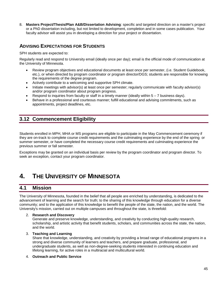8. **Masters Project/Thesis/Plan A&B/Dissertation Advising**: specific and targeted direction on a master's project or a PhD dissertation including, but not limited to development, completion and in some cases publication. Your faculty advisor will assist you in developing a direction for your project or dissertation.

## **ADVISING EXPECTATIONS FOR STUDENTS**

SPH students are expected to:

Regularly read and respond to University email (ideally once per day); email is the official mode of communication at the University of Minnesota.

- Review program objectives and educational documents at least once per semester, (i.e. Student Guidebook, etc.), or when directed by program coordinator or program director/DGS; students are responsible for knowing the requirements of the degree program.
- Actively contribute to a welcoming and supportive SPH climate.
- Initiate meetings with advisor(s) at least once per semester; regularly communicate with faculty advisor(s) and/or program coordinator about program progress.
- Respond to inquiries from faculty or staff in a timely manner (ideally within 5 7 business days).
- Behave in a professional and courteous manner; fulfill educational and advising commitments, such as appointments, project deadlines, etc.

## **3.12 Commencement Eligibility**

Students enrolled in MPH, MHA or MS programs are eligible to participate in the May Commencement ceremony if they are on-track to complete course credit requirements and the culminating experience by the end of the spring or summer semester, or have completed the necessary course credit requirements and culminating experience the previous summer or fall semester.

Exceptions may be granted on an individual basis per review by the program coordinator and program director. To seek an exception, contact your program coordinator.

# **4. THE UNIVERSITY OF MINNESOTA**

## **4.1 Mission**

The University of Minnesota, founded in the belief that all people are enriched by understanding, is dedicated to the advancement of learning and the search for truth; to the sharing of this knowledge through education for a diverse community; and to the application of this knowledge to benefit the people of the state, the nation, and the world. The University's mission, carried out on multiple campuses and throughout the state, is threefold:

#### 2. **Research and Discovery**

Generate and preserve knowledge, understanding, and creativity by conducting high-quality research, scholarship, and artistic activity that benefit students, scholars, and communities across the state, the nation, and the world.

#### 3. **Teaching and Learning**

Share that knowledge, understanding, and creativity by providing a broad range of educational programs in a strong and diverse community of learners and teachers, and prepare graduate, professional, and undergraduate students, as well as non-degree-seeking students interested in continuing education and lifelong learning, for active roles in a multiracial and multicultural world.

#### 4. **Outreach and Public Service**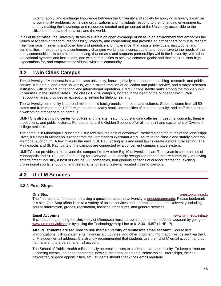Extend, apply, and exchange knowledge between the University and society by applying scholarly expertise to community problems, by helping organizations and individuals respond to their changing environments, and by making the knowledge and resources created and preserved at the University accessible to the citizens of the state, the nation, and the world.

In all of its activities, the University strives to sustain an open exchange of ideas in an environment that embodies the values of academic freedom, responsibility, integrity, and cooperation; that provides an atmosphere of mutual respect, free from racism, sexism, and other forms of prejudice and intolerance; that assists individuals, institutions, and communities in responding to a continuously changing world; that is conscious of and responsive to the needs of the many communities it is committed to serving; that creates and supports partnerships within the University, with other educational systems and institutions, and with communities to achieve common goals; and that inspires, sets high expectations for, and empowers individuals within its community.

## **4.2 Twin Cities Campus**

The University of Minnesota is a world-class university, known globally as a leader in teaching, research, and public service. It is both a land-grant university, with a strong tradition of education and public service, and a major research institution, with scholars of national and international reputation. UMNTC consistently ranks among the top 20 public universities in the United States. The classic Big 10 campus, located in the heart of the Minneapolis-St. Paul metropolitan area, provides an exceptional setting for lifelong learning.

The University community is a broad mix of ethnic backgrounds, interests, and cultures. Students come from all 50 states and from more than 100 foreign countries. Many small communities of students, faculty, and staff help to create a welcoming atmosphere on campus.

UMNTC is also a thriving center for culture and the arts, featuring outstanding galleries, museums, concerts, theatre productions, and public lectures. For sports fans, the Golden Gophers offer all the spirit and excitement of Division I college athletics.

The campus in Minneapolis is located just a few minutes east of downtown. Nestled along the bluffs of the Mississippi River, buildings in Minneapolis range from the ultramodern Weisman Art Museum to the classic and stately Northrop Memorial Auditorium. A few miles to the east in St. Paul, rolling hills and quiet lawns create a more rural setting. The Minneapolis and St. Paul parts of the campus are connected by a convenient campus shuttle system.

UMNTC also provides a life beyond the campus like few other Big 10 universities can. The dynamic communities of Minneapolis and St. Paul offer something for everyone - a nationally recognized art and theatre community, a thriving entertainment industry, a host of Fortune 500 companies, four glorious seasons of outdoor recreation, exciting professional sports, shopping, and restaurants for every taste--all located close to campus.

## **4.3 U of M Services**

## **4.3.1 First Steps**

#### **One Stop** [onestop.umn.edu](http://onestop.umn.edu/)

The first resource for students having a question about the University is **onestop.umn.edu.** Please bookmark this site. One Stop offers links to a variety of online services and information about the University including course information, grades, registration, finances, transcripts, and general services.

#### **Email Accounts** [www.umn.edu/initiate](http://www.umn.edu/initiate)

Each student attending the University of Minnesota must set-up a student internet/email account by going to [www.umn.edu/initiate](http://www.umn.edu/initiate) or by calling the Technology Help Line at 612.301.4357 (1-HELP).

**All SPH students are required to use their University of Minnesota email account.** Course lists, immunizations, billing statements, financial aid updates, and other important information will be sent via the U of M student email address. It is strongly recommended that students use their U of M email account and do not transfer it to a personal email account.

The School of Public Health relies heavily on email notices to students, staff, and faculty. To keep current on upcoming events, job announcements, new course announcements, scholarships, internships, the SPH newsletter, or good opportunities, etc., students should check their email regularly.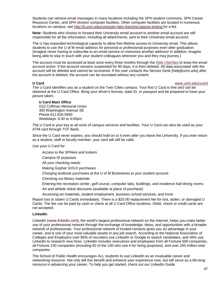Students can retrieve email messages in many locations including the SPH student commons, SPH Career Resource Center, and SPH division computer facilities. Other computer facilities are located in numerous locations on campus; see<http://it.umn.edu/computer-labs-learning-spaces-testing> for a list.

**Note:** Students who choose to forward their University email account to another email account are still responsible for all the information, including all attachments, sent to their University email account.

The U has expanded technological capacity to allow free lifetime access to University email. This allows students to use the U of M email address for personal or professional purposes even after graduation. (Imagine never having to subscribe to an email service or memorize another address! In addition, imagine being able to stay in touch with your student colleagues wherever you and they may journey.)

The account must be accessed at least once every three months through the [Web Interface](http://gmail.umn.edu/) to keep the email account active. If the account remains suspended for 90 days, it is then deleted. All data associated with the account will be deleted and cannot be recovered. If the user contacts the Service Desk [help@umn.edu] after the account is deleted, the account can be recreated without any content.

#### **U Card** [www.umn.edu/ucard](http://www.umn.edu/ucard/)

The U Card identifies you as a student on the Twin Cities campus. Your first U Card is free and can be obtained at the [U Card Office.](http://www1.umn.edu/ucard/umtc/tcget.html) Bring your driver's license, state ID, or passport and be prepared to have your picture taken.

#### **U Card Main Office**

G22 Coffman Memorial Union 300 Washington Avenue SE Phone 612.626.9900 Weekdays: 8:30 to 4:00pm

The U Card is your key to all sorts of [campus services and facilities.](http://www1.umn.edu/ucard/umtc/tcuse.html) Your U Card can also be used as your [ATM card](http://www1.umn.edu/ucard/umtc/tcchecking.html) through TCF Bank.

Since the U Card never expires, you should hold on to it even after you leave the University. If you ever return as a student, staff or faculty member, your card will still be valid.

Use your U Card for:

Access to the SPHere and lockers

Campus ID purposes

All your [checking](http://www1.umn.edu/ucard/umtc/tcchecking.html) needs

Making [Gopher GOLD](http://www1.umn.edu/ucard/umtc/tcg4g.html) purchases

Charging textbook purchases at the U of M Bookstores to your student account

Checking out [library](http://www.lib.umn.edu/) materials

Entering the [recreation center,](http://www.recsports.umn.edu/) golf course, [computer labs,](http://www.umn.edu/adcs/info/publabs.html) buildings, and [residence hall dining rooms](http://www1.umn.edu/dining/reshall/) Art and [athletic ticket](http://www.gophersports.com/) discounts (available at place of purchase)

Accessing art materials, student employment, business school services, and more

Report lost or stolen U Cards immediately. There is a \$25.00 [replacement](http://www1.umn.edu/ucard/umtc/tcreplace.html) fee for lost, stolen, or damaged U Cards. The fee can be paid by cash or check at all U Card Office locations. Debit, check or credit cards are not accepted.

#### **LinkedIn**

LinkedIn ([www.linkedin.com](http://www.linkedin.com/)), the world's largest professional network on the Internet, helps you make better use of your professional network through the exchange of knowledge, ideas, and opportunities with a broader network of professionals. Your professional network of trusted contacts gives you an advantage in your career, and is one of your most valuable assets in any job search. According to the National Association of Colleges and Employers over 85% of recruiters use LinkedIn or Google to search candidates, and 46% use LinkedIn to research new hires. LinkedIn includes executives and employees from all Fortune 500 companies, all Fortune 100 companies (including 82 of the 100 who use it for hiring purposes), and over 200 million total companies.

The School of Public Health encourages ALL students to use LinkedIn as an invaluable career and networking resource. Not only will this benefit and enhance your experience now, but will serve as a life-long resource in advancing your career. To help you get started, check out our LinkedIn Guide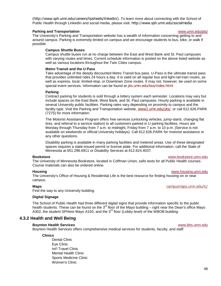(<http://www.sph.umn.edu/careers/tipsheets/linkedin/>). To learn more about connecting with the School of Public Health through LinkedIn and social media, please visit: <http://www.sph.umn.edu/socialmedia>.

#### **Parking and Transportation** [www.umn.edu/pts/](http://www1.umn.edu/pts/)

The University's Parking and Transportation website has a wealth of information concerning getting to and around campus. Parking is extremely limited on campus and we encourage students to bus, bike, or walk if possible.

#### **Campus Shuttle Buses**

Campus shuttle buses run at no charge between the East and West Bank and St. Paul campuses with varying routes and times. Current schedule information is posted on the above listed website as well as various locations throughout the Twin Cities campus.

#### **Metro Transit and the U Pass**

Take advantage of the deeply discounted Metro Transit bus pass. U-Pass is the ultimate transit pass that provides unlimited rides 24 hours a day. It is valid on all regular bus and light-rail train routes, as well as express, local, limited-stop, or Downtown Zone routes. It may not, however, be used on some special event services. Information can be found at [pts.umn.edu/bus/index.html](http://pts.umn.edu/bus/index.html).

#### **Parking**

Contract parking for students is sold through a lottery system each semester. Locations may vary but include spaces on the East Bank, West Bank, and St. Paul campuses. Hourly parking is available in several University public facilities. Parking rates vary depending on proximity to campus and the facility type. Visit the Parking and Transportation website, [www1.umn.edu/pts/](http://www1.umn.edu/pts/), or call 612.626.PARK (7275) for more information.

The Motorist Assistance Program offers free services (unlocking vehicles, jump-starts, changing flat tires, and referral to a service station) to all customers parked in U parking facilities. Hours are Monday through Thursday from 7 a.m. to midnight, Friday from 7 a.m. to 10 p.m. (Service is not available on weekends or official University holidays). Call 612.626.PARK for motorist assistance or any other questions.

Disability parking is available in many parking facilities and metered areas. Use of these designated spaces requires a state-issued permit or license plate. For additional information, call the State of Minnesota at 651.296.6911 or Disability Services at 612.624.4037.

#### **Bookstore** [www.bookstore.umn.edu](http://www.bookstore.umn.edu/)

The University of Minnesota Bookstore, located in Coffman Union, sells texts for all Public Health courses. Course materials can also be ordered online.

#### **Housing** [www.housing.umn.edu](http://www.housing.umn.edu/)

The University's Office of Housing & Residential Life is the best resource for finding housing on or near campus.

#### **Maps** [campusmaps.umn.edu/tc/](http://campusmaps.umn.edu/tc/)

Find the way to any University building.

#### **Digital Signage**

The School of Public Health had three different digital signs that provide information specific to the public health students. These can be found on the  $3^{rd}$  floor of the Mayo building – right near the Dean's office Mayo A302, the student SPHere Mavo A150, and the  $3^{\text{rd}}$  floor (Lobby level) of the WBOB building.

### **4.3.2 Health and Well Being**

#### **Boynton Health Services** [www.bhs.umn.edu](http://www.bhs.umn.edu/)

Boynton Health Services offers comprehensive medical services for students, faculty, and staff.

#### **Clinics**

[Dental Clinic](http://www.bhs.umn.edu/services/dentalclinic.htm) [Eye Clinic](http://www.bhs.umn.edu/services/eyeclinic.htm) [Int'l Travel Clinic](http://www.bhs.umn.edu/services/internationalclinic.htm) [Mental Health Clinic](http://www.bhs.umn.edu/services/mentalhealth.htm) [Sports Medicine Clinic](http://www.bhs.umn.edu/services/sportsmed.htm) [Women's Clinic](http://www.bhs.umn.edu/services/womensclinic.htm)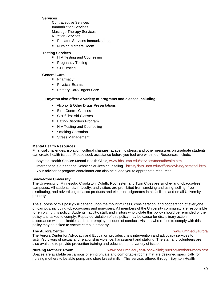#### **Services**

[Contraceptive Services](http://www.bhs.umn.edu/services/contraceptive.htm) [Immunization Services](http://www.bhs.umn.edu/services/immunizationservices.htm) [Massage Therapy Services](http://www.bhs.umn.edu/services/massage.htm) [Nutrition Services](http://www.bhs.umn.edu/services/nutrition.htm)

- **[Pediatric Services](http://www.bhs.umn.edu/services/pediatric.htm) Immunizations**
- [Nursing Mothers Room](http://www.bhs.umn.edu/services/specialist.htm)

#### **Testing Services**

- **[HIV Testing and Counseling](http://www.bhs.umn.edu/services/hiv.htm)**
- **[Pregnancy Testing](http://www.bhs.umn.edu/services/pregnancy.htm)**
- [STI Testing](http://www.bhs.umn.edu/services/sti.htm)

#### **General Care**

- [Pharmacy](http://www.bhs.umn.edu/services/pharmacy.htm)
- **[Physical Exams](http://www.bhs.umn.edu/services/physicalexams.htm)**
- **[Primary Care/U](http://www.bhs.umn.edu/services/primarycare.htm)rgent Care**

#### **Boynton also offers a variety of programs and classes including:**

- [Alcohol & Other Drugs Presentations](http://www.bhs.umn.edu/alcohol/index.htm)
- [Birth Control Classes](http://www.bhs.umn.edu/programs/birthcontrol.htm)
- [CPR/First Aid Classes](http://www.bhs.umn.edu/cpr/index.htm)
- **[Eating-Disorders Program](http://www.bhs.umn.edu/programs/eatingdisorder.htm)**
- [HIV Testing and Counseling](http://www.bhs.umn.edu/programs/hiv.htm)
- **[Smoking Cessation](http://www.bhs.umn.edu/programs/nosmoking.htm)**
- **[Stress Management](http://www.bhs.umn.edu/comfortzone/index.htm)**

#### **Mental Health Resources**

Financial challenges, isolation, cultural changes, academic stress, and other pressures on graduate students can create health issues. Please seek assistance before you feel overwhelmed. Resources include:

Boynton Health Service Mental Health Clinic, [www.bhs.umn.edu/services/mentalhealth.htm.](http://www.bhs.umn.edu/services/mentalhealth.htm)

International Student and Scholar Services counseling. <https://isss.umn.edu/office/advising/personal.html> Your advisor or program coordinator can also help lead you to appropriate resources.

#### **Smoke-free University**

The University of Minnesota, Crookston, Duluth, Rochester, and Twin Cities are smoke- and tobacco-free campuses. All students, staff, faculty, and visitors are prohibited from smoking and using, selling, free distributing, and advertising tobacco products and electronic cigarettes in all facilities and on all University property.

The success of this policy will depend upon the thoughtfulness, consideration, and cooperation of everyone on campus, including tobacco-users and non-users. All members of the University community are responsible for enforcing this policy. Students, faculty, staff, and visitors who violate this policy should be reminded of the policy and asked to comply. Repeated violation of this policy may be cause for disciplinary action in accordance with applicable student or employee codes of conduct. Visitors who refuse to comply with this policy may be asked to vacate campus property.

#### **The Aurora Center** [www.umn.edu/aurora](http://www.umn.edu/aurora)

The Aurora Center for Advocacy and Education provides [crisis intervention and advocacy services](http://www1.umn.edu/sexviol/services.htm) to victim/survivors of sexual and relationship violence, harassment and stalking. The staff and [volunteers](http://www1.umn.edu/sexviol/volunteer.htm) are also available to provide [prevention training and education](http://www1.umn.edu/sexviol/prevention.htm) on a variety of issues.

#### **Nursing Mothers' Room** [www.bhs.umn.edu/east-bank-clinic/nursing-mothers-room.htm](http://www.bhs.umn.edu/east-bank-clinic/nursing-mothers-room.htm)

Spaces are available on campus offering private and comfortable rooms that are designed specifically for nursing mothers to be able pump and store breast milk. This service, offered through Boynton Health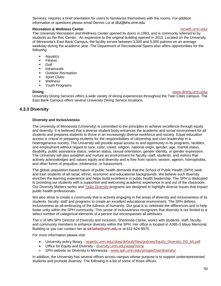Services, requires a brief orientation for users to familiarize themselves with the rooms. For addition information or questions please email Dennis Lui at [dlui@bhs.umn.edu](mailto:dlui@bhs.umn.edu)

#### **Recreation & Wellness Center recoversity of the state of the creation of the creation of the creation of the creation of the creation of the creation of the creation of the creation of the creation of the creation of th**

#### The University Recreation and Wellness Center opened its doors in 1993, and is commonly referred to by students as the Rec Center. An expansion to the original building opened in 2013. Located on the University of Minnesota's East Bank Campus, the facility serves between 3,000 and 5,000 patrons on an average weekday during the academic year. The Department of Recreational Sports also offers opportunities for the following:

- **Aquatics**
- **Fitness**
- **Golf**
- **Intramurals**
- **•** Outdoor Recreation
- **Sport Clubs**
- Wellness
- **•** Youth Programs

#### **Dining** [www.dining.umn.edu/](http://www.dining.umn.edu/)

University Dining Services offers a wide variety of dining experiences throughout the Twin Cities campus. The East Bank Campus offers several University Dining Service locations.

### **4.3.3 Diversity**

#### **Diversity and Inclusiveness**

The University of Minnesota (University) is committed to the principles to achieve excellence through equity and diversity. It is believed that a diverse student body enhances the academic and social environment for all students and prepares students to thrive in an increasingly diverse workforce and society. Equal education access is critical to preparing students for the responsibilities of citizenship and civic leadership in a heterogeneous society. The University will provide equal access to and opportunity in its programs, facilities, and employment without regard to race, color, creed, religion, national origin, gender, age, marital status, disability, public assistance status, veteran status, sexual orientation, gender identity, or gender expression. The University will also establish and nurture an environment for faculty, staff, students, and visitors that actively acknowledges and values equity and diversity and is free from racism, sexism, ageism, homophobia, and other forms of prejudice, intolerance, or harassment.

The global, population-based nature of public health demands that the School of Public Health (SPH) seek and train students of all racial, ethnic, economic and educational backgrounds. We believe such diversity enriches the learning experience and helps build excellence in public health leadership. The SPH is dedicated to providing our students with a supportive and welcoming academic experience in and out of the classroom. Our Diversity Matters series and **[Taste Diversity](https://www.youtube.com/watch?v=x7GQaTFRJec&feature=youtu.be) programs are designed to highlight diverse issues that impact** public health professionals.

We also strive to create a community that is actively engaging in the areas of diversity and inclusiveness of its students, faculty, staff and programs to create an excellent educational environment. The SPH defines inclusiveness as all-embracing of the fullness of humanity. Our goal is to celebrate the differences and to help foster unity within the SPH community. This sense of inclusiveness recognizes that diversity is not limited to a select number of categorical elements of a person but encompasses all attributes.

The U of MN SPH Director of Diversity and Inclusion, Sherlonda Clarke, works with students, staff, faculty, and community members to enhance diversity within the SPH. Her office is located in A395-3 Mayo Memorial Building or you can contact her at [sdclarke@umn.edu](mailto:sdclarke@umn.edu) or at 612-624-9970.

For more information please visit:

- University policy library [regents.umn.edu/sites/default/files/policies/Equity\\_Diversity\\_EO\\_AA.pdf](http://regents.umn.edu/sites/default/files/policies/Equity_Diversity_EO_AA.pdf)
- Office for Equity and Diversity [diversity.umn.edu/eoaa/home](https://diversity.umn.edu/eoaa/home)
- SPH website on Diversity in Minnesota [www.sph.umn.edu/prospective/diversity/](http://www.sph.umn.edu/prospective/diversity/)

In addition, the University has several offices across campus whose purpose is to support underrepresented students and promote diversity. The following is a list of some of those offices.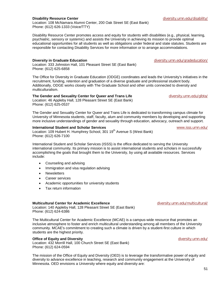#### **Disability Resource Center** [diversity.umn.edu/disability/](https://diversity.umn.edu/disability/)

Location: 108 McNamara Alumni Center, 200 Oak Street SE (East Bank) Phone: (612) 626-1333 (Voice/TTY)

Disability Resource Center promotes access and equity for students with disabilities (e.g., physical, learning, psychiatric, sensory or systemic) and assists the University in achieving its mission to provide optimal educational opportunities for all students as well as obligations under federal and state statutes. Students are responsible for contacting Disability Services for more information or to arrange accommodations.

#### **Diversity in Graduate Education** [diversity.umn.edu/gradeducation/](https://diversity.umn.edu/gradeducation/)

Location: 333 Johnston Hall, 101 Pleasant Street SE (East Bank) Phone: (612) 625-6858

The Office for Diversity in Graduate Education (ODGE) coordinates and leads the University's initiatives in the recruitment, funding, retention and graduation of a diverse graduate and professional student body. Additionally, ODGE works closely with The Graduate School and other units connected to diversity and multiculturalism.

#### **The Gender and Sexuality Center for Queer and Trans Life [diversity.umn.edu/glbta/](https://diversity.umn.edu/glbta/)**

Location: 46 Appleby Hall, 128 Pleasant Street SE (East Bank) Phone: (612) 625-0537

The Gender and Sexuality Center for Queer and Trans Life is dedicated to transforming campus climate for University of Minnesota students, staff, faculty, alum and community members by developing and supporting more inclusive understandings of gender and sexuality through education, advocacy, outreach and support.

#### **International Student and Scholar Services [www.isss.umn.edu/](http://www.isss.umn.edu/)** www.isss.umn.edu/

Location: 109 Hubert H. Humphrey School, 301 19<sup>th</sup> Avenue S (West Bank) Phone: (612) 626-7100

International Student and Scholar Services (ISSS) is the office dedicated to serving the University international community. Its primary mission is to assist international students and scholars in successfully accomplishing the goals that brought them to the University, by using all available resources. Services include:

- Counseling and advising
- Immigration and visa regulation advising
- Newsletters
- Career services
- Academic opportunities for university students
- Tax return information

#### **Multicultural Center for Academic Excellence** [diversity.umn.edu/multicultural/](https://diversity.umn.edu/multicultural/)

Location: 140 Appleby Hall, 128 Pleasant Street SE (East Bank) Phone: (612) 624-6386

The Multicultural Center for Academic Excellence (MCAE) is a campus-wide resource that promotes an inclusive atmosphere to foster and enrich multicultural understanding among all members of the University community. MCAE's commitment to creating such a climate is driven by a student-first culture in which students are the highest priority.

#### **Office of Equity and Diversity** diversity and **Diversity** [diversity.umn.edu/](https://diversity.umn.edu/)

Location: 432 Morrill Hall, 100 Church Street SE (East Bank) Phone: (612) 624-0594

The mission of the Office of Equity and Diversity (OED) is to leverage the transformative power of equity and diversity to advance excellence in teaching, research and community engagement at the University of Minnesota. OED envisions a University where equity and diversity are: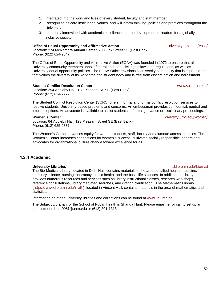52

- 1. Integrated into the work and lives of every student, faculty and staff member.
- 2. Recognized as core institutional values, and will inform thinking, policies and practices throughout the University.
- 3. Inherently intertwined with academic excellence and the development of leaders for a globally inclusive society.

#### **Office of Equal Opportunity and Affirmative Action** *[diversity.umn.edu/eoaa/](http://diversity.umn.edu/eoaa/)*

Location: 274 McNamara Alumni Center, 200 Oak Street SE (East Bank) Phone: (612) 624-9547

The Office of Equal Opportunity and Affirmative Action (EOAA) was founded in 1972 to ensure that all University community members uphold federal and state civil rights laws and regulations, as well as University equal opportunity policies. The EOAA Office envisions a University community that is equitable-one that values the diversity of its workforce and student body and is free from discrimination and harassment.

#### **Student Conflict Resolution Center** [www.sos.umn.edu/](http://www.sos.umn.edu/)

Location: 254 Appleby Hall, 128 Pleasant St. SE (East Bank) Phone: (612) 624-7272

The Student Conflict Resolution Center (SCRC) offers informal and formal conflict resolution services to resolve students' University-based problems and concerns. An ombudsman provides confidential, neutral and informal options. An advocate is available to assist students in formal grievance or disciplinary proceedings.

#### **Women's Center** [diversity.umn.edu/women/](http://diversity.umn.edu/women/)

Location: 64 Appleby Hall, 128 Pleasant Street SE (East Bank) Phone: (612) 625-9837

The Women's Center advances equity for women students, staff, faculty and alumnae across identities. The Women's Center increases connections for women's success, cultivates socially responsible leaders and advocates for organizational culture change toward excellence for all.

### **4.3.4 Academic**

#### **University Libraries** [hsl.lib.umn.edu/biomed](http://hsl.lib.umn.edu/biomed)

The Bio-Medical Library, located in Diehl Hall, contains materials in the areas of allied health, medicine, mortuary science, nursing, pharmacy, public health, and the basic life sciences. In addition the library provides numerous resources and services such as library instructional classes, research workshops, reference consultations, library mediated searches, and citation clarification. The Mathematics library (<https://www.lib.umn.edu/math>), located in Vincent Hall, contains materials in the area of mathematics and statistics.

Information on other University libraries and collections can be found at [www.lib.umn.edu.](http://www.lib.umn.edu/)

The Subject Librarian for the School of Public Health is Shanda Hunt. Please email her or call to set up an appointment: [hunt0081@umn.edu](mailto:hunt0081@umn.edu) or (612) 301-1318.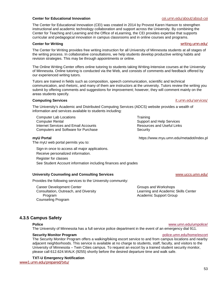#### **Center for Educational Innovation** contracts the contract of the [cei.umn.edu/about/about-cei](http://cei.umn.edu/about/about-cei)

The Center for Educational Innovation (CEI) was created in 2014 by Provost Karen Hanson to strengthen instructional and academic technology collaboration and support across the University. By combining the Center for Teaching and Learning and the Office of eLearning, the CEI provides expertise that supports curricular and pedagogical innovation in campus classrooms and in online courses and programs.

#### **Center for Writing** was a set of the contract of the contract of the contract of the contract of the contract of the contract of the contract of the contract of the contract of the contract of the contract of the contract

The Center for Writing provides free writing instruction for all University of Minnesota students at all stages of the writing process. In [collaborative consultations,](http://writing.umn.edu/sws/appointments.htm) we help students develop productive writing habits and revision strategies. This may be through appointments or online.

The Online Writing Center offers online tutoring to students taking Writing-Intensive courses at the University of Minnesota. Online tutoring is conducted via the Web, and consists of comments and feedback offered by our experienced writing tutors.

Tutors are trained in fields such as composition, speech communication, scientific and technical communication, and rhetoric, and many of them are instructors at the university. Tutors review the writing you submit by offering comments and suggestions for improvement; however, they will comment mainly on the areas students specify.

#### **Computing Services** [it.umn.edu/services/](http://it.umn.edu/services/)

The University's Academic and Distributed Computing Services (ADCS) website provides a wealth of information and services available to students including:

Computer Lab Locations Computer Rental Internet Services and Email Accounts Computers and Software for Purchase

The myU web portal permits you to:

Sign-in once to access all major applications. Receive personalized information. Register for classes See Student Account information including finances and grades

#### **University Counseling and Consulting Services** [www.uccs.umn.edu/](http://www.uccs.umn.edu/)

Provides the following services to the University community:

Career Development Center Consultation, Outreach, and Diversity Program Counseling Program

**Training** Support and Help Services Resources and Useful Links **Security** 

**myU Portal** https://www.myu.umn.edu/metadot/index.pl

Groups and Workshops Learning and Academic Skills Center Academic Support Group

## **4.3.5 Campus Safety**

The University of Minnesota has a full service police department in the event of an emergency dial 911.

#### **Security Monitor Program police.umn.edu/home/escort police.umn.edu/home/escort**

The Security Monitor Program offers a walking/biking escort service to and from campus locations and nearby adjacent neighborhoods. This service is available at no charge to students, staff, faculty, and visitors to the University of Minnesota – Twin Cities campus. To request an escort by a trained student security monitor, please call 612.624.WALK (9255) shortly before the desired departure time and walk safe.

**TXT-U Emergency Notification**  [www1.umn.edu/prepared/txtu/](http://www1.umn.edu/prepared/txtu/)

## **Police** [www.umn.edu/umpolice/](http://www.umn.edu/umpolice/)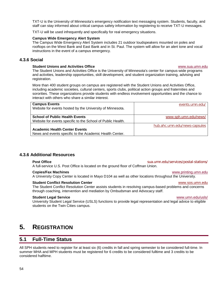TXT-U is the University of Minnesota's emergency notification text messaging system. Students, faculty, and staff can stay informed about critical campus safety information by registering to receive TXT-U messages.

TXT-U will be used infrequently and specifically for real emergency situations.

#### **Campus Wide Emergency Alert System**

The Campus Wide Emergency Alert System includes 21 outdoor loudspeakers mounted on poles and rooftops on the West Bank and East Bank and in St. Paul. The system will allow for an alert tone and vocal instructions in the event of a campus emergency.

#### **4.3.6 Social**

#### **Student Unions and Activities Office** William Communication of the William William William William William William William William William William William William William William William William William William William Wi

The Student Unions and Activities Office is the University of Minnesota's center for campus-wide programs and activities, leadership opportunities, skill development, and student organization training, advising and registration.

More than 400 student groups on campus are registered with the Student Unions and Activities Office, including academic societies, cultural centers, sports clubs, political action groups and fraternities and sororities. These organizations provide students with endless involvement opportunities and the chance to interact with others who share a similar interest.

| <b>Campus Events</b><br>Website for events hosted by the University of Minnesota.                    | events.umn.edu/               |
|------------------------------------------------------------------------------------------------------|-------------------------------|
| <b>School of Public Health Events</b><br>Website for events specific to the School of Public Health. | www.sph.umn.edu/news/         |
| <b>Academic Health Center Events</b><br>News and events specific to the Academic Health Center.      | hub.ahc.umn.edu/news-capsules |

#### **4.3.6 Additional Resources**

**Post Office** Sua.umn.edu/services/postal-stations/ A full-service U.S. Post Office is located on the ground floor of Coffman Union.

#### **Copies/Fax Machines** [www.printing.umn.edu](http://www.printing.umn.edu/)

A University Copy Center is located in Mayo D104 as well as other locations throughout the University.

#### **Student Conflict Resolution Center** [www.sos.umn.edu](http://www.sos.umn.edu/)

The Student Conflict Resolution Center assists students in resolving campus-based problems and concerns through coaching, intervention and mediation by Ombudsman and Advocacy staff.

#### **Student Legal Service** [www.umn.edu/usls/](http://www.umn.edu/usls/)

University Student Legal Service (USLS) functions to provide legal representation and legal advice to eligible students on the Twin Cities campus.

# **5. REGISTRATION**

## **5.1 Full-Time Status**

All SPH students need to register for at least six (6) credits in fall and spring semester to be considered full-time. In summer MHA and MPH students must be registered for 6 credits to be considered fulltime and 3 credits to be considered halftime.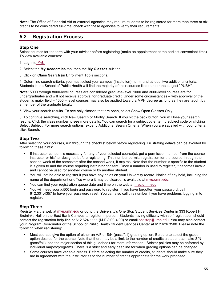**Note:** The Office of Financial Aid or external agencies may require students to be registered for more than three or six credits to be considered full-time; check with these agencies to verify their requirements.

## **5.2 Registration Process**

### **Step One**

Select courses for the term with your advisor before registering (make an appointment at the earliest convenient time). To view available courses:

- 1. Log into [MyU](http://myu.umn.edu/).
- 2. Select the **My Academics** tab, then the **My Classes** sub-tab.
- 3. Click on **Class Search** (in Enrollment Tools section).

4. Determine search criteria; you must select your campus (Institution), term, and at least two additional criteria. Students in the School of Public Health will find the majority of their courses listed under the subject "PUBH".

**Note:** 5000 through 8000-level courses are considered graduate-level. 1000 and 3000-level courses are for undergraduates and will not receive approval for graduate credit. Under some circumstances – with approval of the student's major field – 4000 – level courses may also be applied toward a MPH degree as long as they are taught by a member of the graduate faculty.

5. View your search results. To see only classes that are open, select Show Open Classes Only.

6. To continue searching, click New Search or Modify Search. If you hit the back button, you will lose your search results. Click the class number to see more details. You can search for a subject by entering subject code or clicking Select Subject. For more search options, expand Additional Search Criteria. When you are satisfied with your criteria, click Search.

## **Step Two**

After selecting your courses, run through the checklist below before registering. Frustrating delays can be avoided by following these hints:

- If instructor consent is necessary for any of your selected course(s), get a permission number from the course instructor or his/her designee before registering. This number permits registration for the course through the second week of the semester; after the second week, it expires. Note that the number is specific to the student it is given to and the course requiring instructor consent. Once a number is used to register, it becomes invalid and cannot be used for another course or by another student.
- § You will not be able to register if you have any holds on your University record. Notice of any hold, including the name of the department or office where it may be cleared, is available at [myu.umn.edu](http://myu.umn.edu/).
- § You can find your registration queue date and time on the web at [myu.umn.edu](http://myu.umn.edu/).
- § You will need your x.500 login and password to register. If you have forgotten your password, call 612.301.4357 to have your password reset. You can also call this number if you have problems logging in to register.

## **Step Three**

Register via the web at [myu.umn.edu](http://myu.umn.edu/) or go to the University's One Stop Student Services Center in 333 Robert H. Bruininks Hall on the East Bank Campus to register in person. Students having difficulty with self-registration should contact the registration help-line at 612.624.1111 (M-F 8:00-4:00) or email [onestop@umn.edu](mailto:helpingu@umn.edu). You may also contact your Program Coordinator or the School of Public Health Student Services Center at 612.626.3500. Please note the following when registering:

- Most courses give the option of either an A/F or S/N (pass/fail) grading option. Be sure to select the grade option desired for the course. Note that there may be a limit to the number of credits a student can take S/N (pass/fail); see the major section of this guidebook for more information. Stricter policies may be enforced by individual majors/programs. There is a strict and early deadline for when grading options can be changed.
- Some courses have variable credits. Before selecting the number of credits, students should make sure they are in agreement with the instructor as to the number of credits appropriate for the work proposed.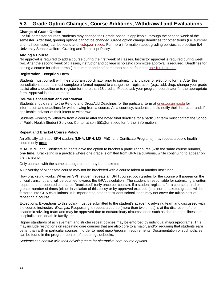## **5.3 Grade Option Changes, Course Additions, Withdrawal and Evaluations**

#### **Change of Grade Option**

For full-semester courses, students may change their grade option, if applicable, through the second week of the semester. After that, grading options cannot be changed. Grade option change deadlines for other terms (i.e. summer and half-semester) can be found at [onestop.umn.edu](http://onestop.umn.edu/). For more information about grading policies, see section 5.4 University Senate Uniform Grading and Transcript Policy.

#### **Adding a Course**

No approval is required to add a course during the first week of classes. Instructor approval is required during week two. After the second week of classes, instructor and college scholastic committee approval is required. Deadlines for adding a course for other terms (i.e. summer and half-semester) can be found at [onestop.umn.edu](http://onestop.umn.edu/).

#### **Registration Exception Form**

Students must consult with their program coordinator prior to submitting any paper or electronic forms. After this consultation, students must complete a formal request to change their registration (e.g., add, drop, change your grade basis) after a deadline or to register for more than 18 credits. Please ask your program coordinator for the appropriate form. Approval is not automatic.

#### **Course Cancellation and Withdrawal**

Students should refer to the Refund and Drop/Add Deadlines for the particular term at [onestop.umn.edu](http://onestop.umn.edu/) for information and deadlines for withdrawing from a course. As a courtesy, students should notify their instructor and, if applicable, advisor of their intent to withdraw.

Students wishing to withdraw from a course after the noted final deadline for a particular term must contact the School of Public Health Student Services Center at [sph-SSC@umn.edu](mailto:sph-oasr@umn.edu) for further information.

#### **Repeat and Bracket Course Policy**

An officially admitted SPH student (MHA, MPH, MS, PhD, and Certificate Programs) may repeat a public health course only **once**.

MHA, MPH, and Certificate students have the option to bracket a particular course (with the same course number) **one time**. Bracketing is a practice where one grade is omitted from GPA calculations, while continuing to appear on the transcript.

Only courses with the same catalog number may be bracketed.

A University of Minnesota course may not be bracketed with a course taken at another institution.

How bracketing works: When an SPH student repeats an SPH course, both grades for the course will appear on the official transcript and will be counted towards the GPA calculation. The student is responsible for submitting a written request that a repeated course be "bracketed" (only once per course). If a student registers for a course a third or greater number of times (either in violation of this policy or by approved exception), all non-bracketed grades will be factored into GPA calculations. It is important to note that student school loans may not cover the tuition cost of repeating a course.

Exceptions: Exceptions to this policy must be submitted to the student's academic advising team and discussed with the course instructor. *Example:* Requesting to repeat a course (more than two times) is at the discretion of the academic advising team and may be approved due to extraordinary circumstances such as documented illness or hospitalization, death in family, etc..

Higher standards of achievement and stricter repeat policies may be enforced by individual majors/programs. This may include restrictions on repeating core courses that are also core to a major, and/or requiring that students earn better than a B- in particular courses in order to meet major/program requirements. Documentation of such policies can be found in the program portion of student guidebooks.

*Students can consult with their advising team for alternative core course options.*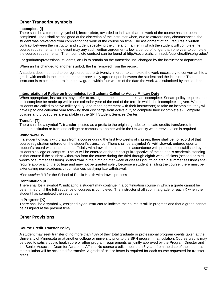## **Other Transcript symbols**

### **Incomplete [I]**

There shall be a temporary symbol I, **incomplete**, awarded to indicate that the work of the course has not been completed. The I shall be assigned at the discretion of the instructor when, due to extraordinary circumstances, the student was prevented from completing the work of the course on time. The assignment of an I requires a written contract between the instructor and student specifying the time and manner in which the student will complete the course requirements. In no event may any such written agreement allow a period of longer than one year to complete the course requirements. The Incomplete contract can be found at http://secure.ahc.umn.edu/publichealth/sphgrades/

For graduate/professional students, an I is to remain on the transcript until changed by the instructor or department.

When an I is changed to another symbol, the I is removed from the record.

A student does not need to be registered at the University in order to complete the work necessary to convert an I to a grade with credit in the time and manner previously agreed upon between the student and the instructor. The instructor is expected to turn in the new grade within four weeks of the date the work was submitted by the student.

#### **Interpretation of Policy on Incompletes for Students Called to Active Military Duty**

When appropriate, instructors may prefer to arrange for the student to take an incomplete. Senate policy requires that an incomplete be made up within one calendar year of the end of the term in which the incomplete is given. When students are called to active military duty, and reach agreement with their instructor(s) to take an incomplete, they will have up to one calendar year following their discharge from active duty to complete their incomplete(s). Complete policies and procedures are available in the SPH Student Services Center.

#### **Transfer [T]**

There shall be a symbol T, **transfer**, posted as a prefix to the original grade, to indicate credits transferred from another institution or from one college or campus to another within the University when reevaluation is required.

#### **Withdrawal [W]**

If a student officially withdraws from a course during the first two weeks of classes, there shall be no record of that course registration entered on the student's transcript. There shall be a symbol W, **withdrawal**, entered upon a student's record when the student officially withdraws from a course in accordance with procedures established by the student's college or campus\*. The W will be entered on the transcript irrespective of the student's academic standing in that course if the student withdraws from the course during the third through eighth week of class (second or third weeks of summer sessions). Withdrawal in the ninth or later week of classes (fourth or later in summer sessions) shall require approval of the college and may not be granted solely because a student is failing the course; there must be extenuating non-academic circumstances justifying late withdrawal.

\*See *section 3.3* for the School of Public Health withdrawal process.

#### **Continuation [X]**

There shall be a symbol X, indicating a student may continue in a continuation course in which a grade cannot be determined until the full sequence of courses is completed. The instructor shall submit a grade for each X when the student has completed the sequence.

#### **In Progress [K]**

There shall be a symbol K, assigned by an instructor to indicate the course is still in progress and that a grade cannot be assigned at the present time.

## **Other Provisions**

#### **Course Credit Transfer Policy**

A student may seek transfer of no more than 40% of their total graduate or professional program credits taken at the University of Minnesota or at another college or university prior to the SPH program matriculation. Course credits may be used to satisfy public health core or other program requirements as jointly approved by the Program Director and the Senior Associate Dean for Academic Affairs. No course credits older than 5 years from the date of the student's matriculation will be accepted for transfer. A grade of "B-" or better is required for each course requested for transfer credit.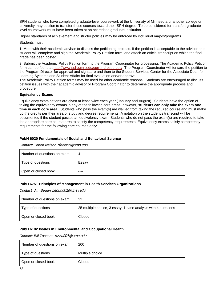SPH students who have completed graduate-level coursework at the University of Minnesota or another college or university may petition to transfer those courses toward their SPH degree. To be considered for transfer, graduate level coursework must have been taken at an accredited graduate institution.

Higher standards of achievement and stricter policies may be enforced by individual majors/programs.

Students must:

1. Meet with their academic advisor to discuss the petitioning process. If the petition is acceptable to the advisor, the student will complete and sign the Academic Policy Petition form, and attach an official transcript on which the final grade has been posted.

2. Submit the Academic Policy Petition form to the Program Coordinator for processing. The Academic Policy Petition form can be found at [http://www.sph.umn.edu/current/resources/.](http://www.sph.umn.edu/current/resources/) The Program Coordinator will forward the petition to the Program Director for approval and signature and then to the Student Services Center for the Associate Dean for Learning Systems and Student Affairs for final evaluation and/or approval.

The Academic Policy Petition forms may be used for other academic reasons. Students are encouraged to discuss petition issues with their academic advisor or Program Coordinator to determine the appropriate process and procedure.

#### **Equivalency Exams**

Equivalency examinations are given at least twice each year (January and August). Students have the option of taking the equivalency exams in any of the following core areas; however, **students can only take the exam one time in each core area**. Students who pass the exam(s) are waived from taking the required course and must make up the credits per their area of study and degree requirements. A notation on the student's transcript will be documented if the student passes an equivalency exam. Students who do not pass the exam(s) are required to take the appropriate core course area to satisfy the competency requirements. Equivalency exams satisfy competency requirements for the following core courses only:

#### **PubH 6020 Fundamentals of Social and Behavioral Science**

*Contact: Toben Nelson* [tfnelson@umn.edu](mailto:tfnelson@umn.edu)

| Number of questions on exam | 4     |
|-----------------------------|-------|
| Type of questions           | Essay |
| Open or closed book         | ----  |

#### **PubH 6751 Principles of Management in Health Services Organizations**

*Contact: Jim Begun* [begun001@umn.edu](mailto:begun001@umn.edu)

| Number of questions on exam | 32                                                            |
|-----------------------------|---------------------------------------------------------------|
| Type of questions           | 25 multiple choice, 3 essay, 1 case analysis with 4 questions |
| Open or closed book         | Closed                                                        |

#### **PubH 6102 Issues in Environmental and Occupational Health**

*Contact: Bill Toscano* [tosca001@umn.edu](mailto:tosca001@umn.edu)

| Number of questions on exam | 200             |
|-----------------------------|-----------------|
| Type of questions           | Multiple choice |
| Open or closed book         | Closed          |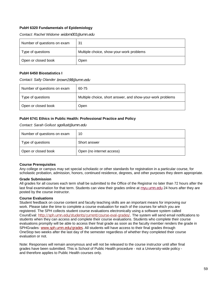#### **PubH 6320 Fundamentals of Epidemiology**

*Contact: Rachel Widome* [widom001@umn.edu](mailto:widom001@umn.edu)

| Number of questions on exam | 31                                       |
|-----------------------------|------------------------------------------|
| Type of questions           | Multiple choice, show-your-work problems |
| Open or closed book         | Open                                     |

#### **PubH 6450 Biostatistics I**

*Contact: Sally Olander* [brown198@umn.edu](mailto:brown198@umn.edu)

| Number of questions on exam | 60-75                                                      |
|-----------------------------|------------------------------------------------------------|
| Type of questions           | Multiple choice, short answer, and show-your-work problems |
| Open or closed book         | Open                                                       |

#### **PubH 6741 Ethics in Public Health: Professional Practice and Policy**

*Contact: Sarah Gollust* [sgollust@umn.edu](mailto:sgollust@umn.edu)

| Number of questions on exam | 10                        |
|-----------------------------|---------------------------|
| Type of questions           | Short answer              |
| Open or closed book         | Open (no internet access) |

#### **Course Prerequisites**

Any college or campus may set special scholastic or other standards for registration in a particular course, for scholastic probation, admission, honors, continued residence, degrees, and other purposes they deem appropriate.

#### **Grade Submission**

All grades for all courses each term shall be submitted to the Office of the Registrar no later than 72 hours after the last final examination for that term. Students can view their grades online at [myu.umn.edu](http://myu.umn.edu/) 24 hours after they are posted by the course instructor.

#### **Course Evaluations**

Student feedback on course content and faculty teaching skills are an important means for improving our work. Please take the time to complete a course evaluation for each of the courses for which you are registered. The SPH collects student course evaluations electronically using a software system called CoursEval: [http://sph.umn.edu/students/current/course-eval-grades/.](http://sph.umn.edu/students/current/course-eval-grades/) The system will send email notifications to students when they can access and complete their course evaluations. Students who complete their course evaluations promptly will be able to access their final grade as soon as the faculty member renders the grade in SPHGrades: [www.sph.umn.edu/grades](http://www.sph.umn.edu/grades). All students will have access to their final grades through OneStop two weeks after the last day of the semester regardless of whether they completed their course evaluation or not.

Note: Responses will remain anonymous and will not be released to the course instructor until after final grades have been submitted. This is School of Public Health procedure - not a University-wide policy and therefore applies to Public Health courses only.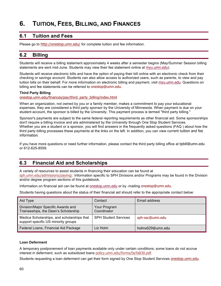# **6. TUITION, FEES, BILLING, AND FINANCES**

## **6.1 Tuition and Fees**

Please go to <http://onestop.umn.edu/> for complete tuition and fee information.

## **6.2 Billing**

Students will receive a billing statement approximately 4 weeks after a semester begins (May/Summer Session billing statements are sent mid-June. Students may view their fee statement online at [myu.umn.edu](http://myu.umn.edu/)).

Students will receive electronic bills and have the option of paying their bill online with an electronic check from their checking or savings account. Students can also allow access to authorized users, such as parents, to view and pay tuition bills on their behalf. For more information on electronic billing and payment, visit [myu.umn.edu](http://myu.umn.edu/). Questions on billing and fee statements can be referred to [onestop@umn.edu](mailto:helpingu@umn.edu).

#### **Third Party Billing**

[onestop.umn.edu/finances/pay/third\\_party\\_billing/index.html](http://onestop.umn.edu/finances/pay/third_party_billing/index.html)

When an organization, not owned by you or a family member, makes a commitment to pay your educational expenses, they are considered a third party sponsor by the University of Minnesota. When payment is due on your student account, the sponsor is billed by the University. This payment process is termed "third party billing."

Sponsor's payments are subject to the same federal reporting requirements as other financial aid. Some sponsorships don't require a billing invoice and are administered by the University through One Stop Student Services. Whether you are a student or a sponsor, you will find answers in the frequently asked questions (FAQ ) about how the third party billing processes these payments at the links on the left. In addition, you can view [current tuition and fee](http://onestop.umn.edu/finances/costs_and_tuition/index.html)  [information](http://onestop.umn.edu/finances/costs_and_tuition/index.html).

If you have more questions or need further information, please contact the third party billing office at [tpbill@umn.edu](mailto:tpbill@umn.edu) or 612-625-8559.

## **6.3 Financial Aid and Scholarships**

A variety of resources to assist students in financing their education can be found at [sph.umn.edu/admissions/paying/](http://www.sph.umn.edu/admissions/paying/). Information specific to SPH Divisions and/or Programs may be found in the Division and/or degree program sections of this guidebook.

Information on financial aid can be found at [onestop.umn.edu](http://onestop.umn.edu/) or by -mailing [onestop@umn.edu](mailto:helpingu@umn.edu).

Students having questions about the status of their financial aid should refer to the appropriate contact below:

| Aid Type                                                                          | Contact                     | Email address    |
|-----------------------------------------------------------------------------------|-----------------------------|------------------|
| Division/Major Specific Awards and<br>Traineeships, the Dean's Scholarship        | Your Program<br>Coordinator |                  |
| Medica Scholarships, and scholarships that<br>support specific US minority groups | <b>SPH Student Services</b> | sph-ssc@umn.edu  |
| Federal Loans, Financial Aid Package                                              | Liz Holm                    | holmx029@umn.edu |

#### **Loan Deferment**

A temporary postponement of loan payments available only under certain conditions; some loans do not accrue interest in deferment, such as subsidized loans [policy.umn.edu/forms/fa/fa830.pdf](http://policy.umn.edu/forms/fa/fa830.pdf).

Students requesting a loan deferment can get their form signed by One Stop Student Services [onestop.umn.edu](http://onestop.umn.edu/contact_us/index.html).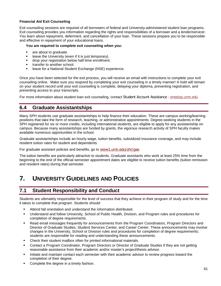#### **Financial Aid Exit Counseling**

Exit counseling sessions are required of all borrowers of federal and University-administered student loan programs. Exit counseling provides you information regarding the rights and responsibilities of a borrower and a lender/servicer. You learn about repayment, deferment, and cancellation of your loan. These sessions prepare you to be responsible and effective in repayment of your educational loans.

#### **You are required to complete exit counseling when you:**

- **are about to graduate.**
- $\blacksquare$  leave the University (even if it is just temporary).
- drop your registration below half-time enrollment.
- **transfer to another school.**
- leave for a National Student Exchange (NSE) experience.

Once you have been selected for the exit process, you will receive an email with instructions to complete your exit counseling online. Make sure you respond by completing your exit counseling in a timely manner! A hold will remain on your student record until your exit counseling is complete, delaying your diploma, preventing registration, and preventing access to your transcripts.

For more information about student loan exit counseling, contact [Student Account Assistance](http://onestop.umn.edu/contact_us/student_account_assistance.html) : [onestop.umn.edu](http://onestop.umn.edu/contact_us/student_account_assistance.html)

## **6.4 Graduate Assistantships**

Many SPH students use graduate assistantships to help finance their education. These are campus working/learning positions that take the form of research, teaching, or administrative appointments. Degree-seeking students in the SPH registered for six or more credits, including international students, are eligible to apply for any assistantship on campus. Because many assistantships are funded by grants, the vigorous research activity of SPH faculty makes available numerous opportunities in the school.

Graduate assistantships include an hourly wage, tuition benefits, subsidized insurance coverage, and may include resident tuition rates for student and dependents.

For graduate assistant policies and benefits, go to [www1.umn.edu/ohr/gae](http://www1.umn.edu/ohr/gae/).

The tuition benefits are particularly attractive to students. Graduate assistants who work at least 25% time from the beginning to the end of the official semester appointment dates are eligible to receive tuition benefits (tuition remission and resident rates) during that semester.

# **7. UNIVERSITY GUIDELINES AND POLICIES**

## **7.1 Student Responsibility and Conduct**

Students are ultimately responsible for the level of success that they achieve in their program of study and for the time it takes to complete that program. Students should:

- Attend fall orientation and understand the information distributed.
- Understand and follow University, School of Public Health, Division, and Program rules and procedures for completion of degree requirements.
- Read email messages frequently for announcements from the Program Coordinators, Program Directors and Director of Graduate Studies, Student Services Center, and Career Center. These announcements may involve changes in the University, School or Division rules and procedures for completion of degree requirements; students are responsible for reading and understanding these announcements.
- Check their student mailbox often for printed informational materials.
- Contact a Program Coordinator, Program Directors or Director of Graduate Studies if they are not getting reasonable assistance from their academic and/or master's project/thesis advisor.
- Initiate and maintain contact each semester with their academic advisor to review progress toward the completion of their degree.
- Complete the degree in a timely fashion.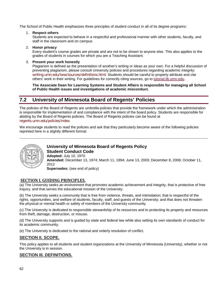The School of Public Health emphasizes three principles of student conduct in all of its degree programs:

1. **Respect others**

Students are expected to behave in a respectful and professional manner with other students, faculty, and staff in the classroom and on campus.

2. **Honor privacy**

Every student's course grades are private and are not to be shown to anyone else. This also applies to the grades of students in courses for which you are a Teaching Assistant.

#### 3. **Present your work honestly**

Plagiarism is defined as the presentation of another's writing or ideas as your own. For a helpful discussion of preventing plagiarism, please consult University policies and procedures regarding academic integrity: [writing.umn.edu/tww/sources/definitions.html](http://writing.umn.edu/tww/sources/definitions.html). Students should be careful to properly attribute and cite others' work in their writing. For guidelines for correctly citing sources, go to [tutorial.lib.umn.edu.](http://tutorial.lib.umn.edu/)

**The Associate Dean for Learning Systems and Student Affairs is responsible for managing all School of Public Health issues and investigations of academic misconduct.**

## **7.2 University of Minnesota Board of Regents' Policies**

The policies of the Board of Regents are umbrella policies that provide the framework under which the administration is responsible for implementation of and compliance with the intent of the board policy. Students are responsible for abiding by the Board of Regents policies. The Board of Regents policies can be found at [regents.umn.edu/policies/index](http://regents.umn.edu/policies/index).

We encourage students to read the policies and ask that they particularly become aware of the following policies reprinted here in a slightly different format:



## **University of Minnesota Board of Regents Policy Student Conduct Code**

**Adopted:** July 10, 1970 **Amended:** December 13, 1974; March 11, 1994; June 13, 2003; December 8, 2006; October 11, 2012 **Supersedes:** (see end of policy)

## **SECTION I. GUIDING PRINCIPLES.**

(a) The University seeks an environment that promotes academic achievement and integrity, that is protective of free inquiry, and that serves the educational mission of the University.

(b) The University seeks a community that is free from violence, threats, and intimidation; that is respectful of the rights, opportunities, and welfare of students, faculty, staff, and guests of the University; and that does not threaten the physical or mental health or safety of members of the University community.

(c) The University is dedicated to responsible stewardship of its resources and to protecting its property and resources from theft, damage, destruction, or misuse.

(d) The University supports and is guided by state and federal law while also setting its own standards of conduct for its academic community.

(e) The University is dedicated to the rational and orderly resolution of conflict.

## **SECTION II. SCOPE.**

This policy applies to all students and student organizations at the University of Minnesota (University), whether or not the University is in session.

## **SECTION III. DEFINITIONS.**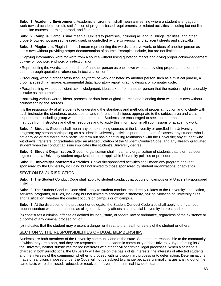**Subd. 1. Academic Environment.** Academic environment shall mean any setting where a student is engaged in work toward academic credit, satisfaction of program-based requirements, or related activities including but not limited to on line courses, learning abroad, and field trips.

**Subd. 2. Campus.** Campus shall mean all University premises, including all land, buildings, facilities, and other property owned, possessed, leased, used, or controlled by the University, and adjacent streets and sidewalks.

**Subd. 3. Plagiarism.** Plagiarism shall mean representing the words, creative work, or ideas of another person as one's own without providing proper documentation of source. Examples include, but are not limited to:

• Copying information word for word from a source without using quotation marks and giving proper acknowledgement by way of footnote, endnote, or in-text citation;

• Representing the words, ideas, or data of another person as one's own without providing proper attribution to the author through quotation, reference, in-text citation, or footnote;

• Producing, without proper attribution, any form of work originated by another person such as a musical phrase, a proof, a speech, an image, experimental data, laboratory report, graphic design, or computer code;

• Paraphrasing, without sufficient acknowledgment, ideas taken from another person that the reader might reasonably mistake as the author's; and

• Borrowing various words, ideas, phrases, or data from original sources and blending them with one's own without acknowledging the sources.

It is the responsibility of all students to understand the standards and methods of proper attribution and to clarify with each instructor the standards, expectations, and reference techniques appropriate to the subject area and class requirements, including group work and internet use. Students are encouraged to seek out information about these methods from instructors and other resources and to apply this information in all submissions of academic work.

**Subd. 4. Student.** Student shall mean any person taking courses at the University or enrolled in a University program; any person participating as a student in University activities prior to the start of classes; any student who is not enrolled or registered for a particular term but has a continuing relationship with the University; any student who withdraws, transfers, or graduates after an alleged violation of the Student Conduct Code; and any already graduated student when the conduct at issue implicates the student's University degree.

**Subd. 5. Student Organization.** Student organization shall mean any organization of students that is or has been registered as a University student organization under applicable University policies or procedures.

**Subd. 6. University-Sponsored Activities.** University-sponsored activities shall mean any program or event sponsored by the University, including but not limited to those sponsored by student organizations, or athletics.

#### **SECTION IV. JURISDICTION.**

**Subd. 1.** The Student Conduct Code shall apply to student conduct that occurs on campus or at University-sponsored activities.

**Subd. 2.** The Student Conduct Code shall apply to student conduct that directly relates to the University's education, services, programs, or rules, including but not limited to scholastic dishonesty, hazing, violation of University rules, and falsification, whether the conduct occurs on campus or off campus.

**Subd. 3.** At the discretion of the president or delegate, the Student Conduct Code also shall apply to off-campus student conduct when the conduct, as alleged, adversely affects a substantial University interest and either:

(a) constitutes a criminal offense as defined by local, state, or federal law or ordinance, regardless of the existence or outcome of any criminal proceeding; or

(b) indicates that the student may present a danger or threat to the health or safety of the student or others.

### **SECTION V. THE RESPONSIBILITIES OF DUAL MEMBERSHIP.**

Students are both members of the University community and of the state. Students are responsible to the community of which they are a part, and they are responsible to the academic community of the University. By enforcing its Code, the University neither substitutes for nor interferes with other civil or criminal legal processes. When a student is charged in both jurisdictions, the University will decide on the basis of its interests, the interests of affected students, and the interests of the community whether to proceed with its disciplinary process or to defer action. Determinations made or sanctions imposed under the Code will not be subject to change because criminal charges arising out of the same facts were dismissed, reduced, or resolved in favor of the criminal law defendant.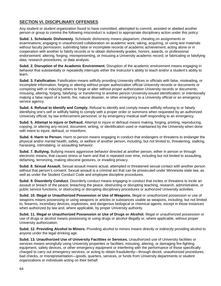## **SECTION VI. DISCIPLINARY OFFENSES**.

Any student or student organization found to have committed, attempted to commit, assisted or abetted another person or group to commit the following misconduct is subject to appropriate disciplinary action under this policy:

**Subd. 1. Scholastic Dishonesty.** Scholastic dishonesty means plagiarism; cheating on assignments or examinations; engaging in unauthorized collaboration on academic work; taking, acquiring, or using test materials without faculty permission; submitting false or incomplete records of academic achievement; acting alone or in cooperation with another to falsify records or to obtain dishonestly grades, honors, awards, or professional endorsement; altering, forging, misrepresenting, or misusing a University academic record; or fabricating or falsifying data, research procedures, or data analysis.

**Subd. 2. Disruption of the Academic Environment.** Disruption of the academic environment means engaging in behavior that substantially or repeatedly interrupts either the instructor's ability to teach and/or a student's ability to learn.

**Subd. 3. Falsification.** Falsification means willfully providing University offices or officials with false, misleading, or incomplete information; forging or altering without proper authorization official University records or documents or conspiring with or inducing others to forge or alter without proper authorization University records or documents; misusing, altering, forging, falsifying, or transferring to another person University-issued identification; or intentionally making a false report of a bomb, fire, natural disaster, or other emergency to a University official or an emergency service agency.

**Subd. 4. Refusal to Identify and Comply.** Refusal to identify and comply means willfully refusing to or falsely identifying one's self or willfully failing to comply with a proper order or summons when requested by an authorized University official, by law enforcement personnel, or by emergency medical staff responding to an emergency.

**Subd. 5. Attempt to Injure or Defraud.** Attempt to injure or defraud means making, forging, printing, reproducing, copying, or altering any record, document, writing, or identification used or maintained by the University when done with intent to injure, defraud, or misinform.

**Subd. 6. Harm to Person.** Harm to person means engaging in conduct that endangers or threatens to endanger the physical and/or mental health, safety, or welfare of another person, including, but not limited to, threatening, stalking, harassing, intimidating, or assaulting behavior.

**Subd. 7. Bullying.** Bullying means aggressive behavior directed at another person, either in person or through electronic means, that causes stress or harm and that is repeated over time, including but not limited to assaulting, defaming, terrorizing, making obscene gestures, or invading privacy.

**Subd. 8. Sexual Assault.** Sexual assault means actual, attempted or threatened sexual contact with another person without that person's consent. Sexual assault is a criminal act that can be prosecuted under Minnesota state law, as well as under the Student Conduct Code and employee discipline procedures.

**Subd. 9. Disorderly Conduct.** Disorderly conduct means engaging in conduct that incites or threatens to incite an assault or breach of the peace; breaching the peace; obstructing or disrupting teaching, research, administrative, or public service functions; or obstructing or disrupting disciplinary procedures or authorized University activities.

**Subd. 10. Illegal or Unauthorized Possession or Use of Weapons.** Illegal or unauthorized possession or use of weapons means possessing or using weapons or articles or substances usable as weapons, including, but not limited to, firearms, incendiary devices, explosives, and dangerous biological or chemical agents, except in those instances when authorized by law and, where applicable, by proper University authority.

**Subd. 11. Illegal or Unauthorized Possession or Use of Drugs or Alcohol.** Illegal or unauthorized possession or use of drugs or alcohol means possessing or using drugs or alcohol illegally or, where applicable, without proper University authorization.

**Subd. 12. Providing Alcohol to Minors.** Providing alcohol to minors means directly or indirectly providing alcohol to anyone under the legal drinking age.

**Subd. 13. Unauthorized Use of University Facilities or Services.** Unauthorized use of University facilities or services means wrongfully using University properties or facilities; misusing, altering, or damaging fire-fighting equipment, safety devices, or other emergency equipment or interfering with the performance of those specifically charged to carry out emergency services; or acting to obtain fraudulently—through deceit, unauthorized procedures, bad checks, or misrepresentation—goods, quarters, services, or funds from University departments or student organizations or individuals acting on their behalf.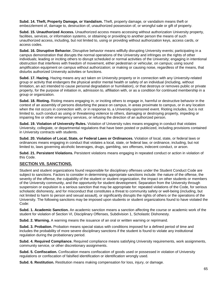**Subd. 14. Theft, Property Damage, or Vandalism.** Theft, property damage, or vandalism means theft or embezzlement of, damage to, destruction of, unauthorized possession of, or wrongful sale or gift of property.

**Subd. 15. Unauthorized Access.** Unauthorized access means accessing without authorization University property, facilities, services, or information systems, or obtaining or providing to another person the means of such unauthorized access, including, but not limited to, using or providing without authorization keys, access cards, or access codes.

**Subd. 16. Disruptive Behavior.** Disruptive behavior means willfully disrupting University events; participating in a campus demonstration that disrupts the normal operations of the University and infringes on the rights of other individuals; leading or inciting others to disrupt scheduled or normal activities of the University; engaging in intentional obstruction that interferes with freedom of movement, either pedestrian or vehicular, on campus; using sound amplification equipment on campus without authorization; or making or causing noise, regardless of the means, that disturbs authorized University activities or functions.

**Subd. 17. Hazing.** Hazing means any act taken on University property or in connection with any University-related group or activity that endangers the physical and/or mental health or safety of an individual (including, without limitation, an act intended to cause personal degradation or humiliation), or that destroys or removes public or private property, for the purpose of initiation in, admission to, affiliation with, or as a condition for continued membership in a group or organization.

**Subd. 18. Rioting.** Rioting means engaging in, or inciting others to engage in, harmful or destructive behavior in the context of an assembly of persons disturbing the peace on campus, in areas proximate to campus, or in any location when the riot occurs in connection with, or in response to, a University-sponsored event. Rioting includes, but is not limited to, such conduct as using or threatening violence to others, damaging or destroying property, impeding or impairing fire or other emergency services, or refusing the direction of an authorized person.

**Subd. 19. Violation of University Rules.** Violation of University rules means engaging in conduct that violates University, collegiate, or departmental regulations that have been posted or publicized, including provisions contained in University contracts with students.

**Subd. 20. Violation of Local, State, or Federal Laws or Ordinances.** Violation of local, state, or federal laws or ordinances means engaging in conduct that violates a local, state, or federal law, or ordinance, including, but not limited to, laws governing alcoholic beverages, drugs, gambling, sex offenses, indecent conduct, or arson.

**Subd. 21. Persistent Violations.** Persistent violations means engaging in repeated conduct or action in violation of this Code.

## **SECTION VII. SANCTIONS.**

Student and student organizations found responsible for disciplinary offenses under the Student Conduct Code are subject to sanctions. Factors to consider in determining appropriate sanctions include: the nature of the offense, the severity of the offense, the culpability of the student or student organization, the impact on other students or members of the University community, and the opportunity for student development. Separation from the University through suspension or expulsion is a serious sanction that may be appropriate for: repeated violations of the Code, for serious scholastic dishonesty, and for misconduct that constitutes a threat to community safety or well-being (including, but not limited to harm to person and sexual assault), or significantly disrupts the rights of others or the operations of the University. The following sanctions may be imposed upon students or student organizations found to have violated the Code:

**Subd. 1. Academic Sanction.** An academic sanction means a sanction affecting the course or academic work of the student for violation of Section VI, Disciplinary Offenses, Subdivision 1, Scholastic Dishonesty.

**Subd. 2. Warning.** A warning means the issuance of an oral or written warning or reprimand.

**Subd. 3. Probation.** Probation means special status with conditions imposed for a defined period of time and includes the probability of more severe disciplinary sanctions if the student is found to violate any institutional regulation during the probationary period.

**Subd. 4. Required Compliance.** Required compliance means satisfying University requirements, work assignments, community service, or other discretionary assignments.

**Subd. 5. Confiscation.** Confiscation means confiscation of goods used or possessed in violation of University regulations or confiscation of falsified identification or identification wrongly used.

**Subd. 6. Restitution.** Restitution means making compensation for loss, injury, or damage.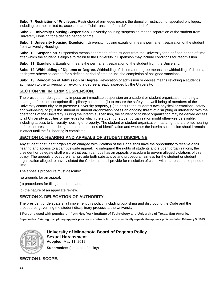**Subd. 7. Restriction of Privileges.** Restriction of privileges means the denial or restriction of specified privileges, including, but not limited to, access to an official transcript for a defined period of time.

**Subd. 8. University Housing Suspension.** University housing suspension means separation of the student from University Housing for a defined period of time.

**Subd. 9. University Housing Expulsion.** University housing expulsion means permanent separation of the student from University Housing.

**Subd. 10. Suspension.** Suspension means separation of the student from the University for a defined period of time, after which the student is eligible to return to the University. Suspension may include conditions for readmission.

**Subd. 11. Expulsion.** Expulsion means the permanent separation of the student from the University.

**Subd. 12. Withholding of Diploma or Degree.** Withholding of diploma or degree means the withholding of diploma or degree otherwise earned for a defined period of time or until the completion of assigned sanctions.

**Subd. 13. Revocation of Admission or Degree.** Revocation of admission or degree means revoking a student's admission to the University or revoking a degree already awarded by the University.

### **SECTION VIII. INTERIM SUSPENSION.**

The president or delegate may impose an immediate suspension on a student or student organization pending a hearing before the appropriate disciplinary committee (1) to ensure the safety and well-being of members of the University community or to preserve University property, (2) to ensure the student's own physical or emotional safety and well-being, or (3) if the student or student organization poses an ongoing threat of disrupting or interfering with the operations of the University. During the interim suspension, the student or student organization may be denied access to all University activities or privileges for which the student or student organization might otherwise be eligible, including access to University housing or property. The student or student organization has a right to a prompt hearing before the president or delegate on the questions of identification and whether the interim suspension should remain in effect until the full hearing is completed.

### **SECTION IX. HEARING AND APPEALS OF STUDENT DISCIPLINE**.

Any student or student organization charged with violation of the Code shall have the opportunity to receive a fair hearing and access to a campus-wide appeal. To safeguard the rights of students and student organizations, the president or delegate shall ensure that each campus has an appeals procedure to govern alleged violations of this policy. The appeals procedure shall provide both substantive and procedural fairness for the student or student organization alleged to have violated the Code and shall provide for resolution of cases within a reasonable period of time.

The appeals procedure must describe:

- (a) grounds for an appeal;
- (b) procedures for filing an appeal; and
- (c) the nature of an appellate review.

### **SECTION X. DELEGATION OF AUTHORITY.**

The president or delegate shall implement this policy, including publishing and distributing the Code and the procedures governing the student disciplinary process at the University.

**1 Portions used with permission from New York Institute of Technology and University of Texas, San Antonio.** 

**Supersedes: Existing disciplinary appeals policies in contradiction and specifically repeals the appeals policies dated February 9, 1979.** 



#### **University of Minnesota Board of Regents Policy Sexual Harassment Adopted:** May 11, 2012

**Supersedes:** (see end of policy)

## **SECTION I. SCOPE.**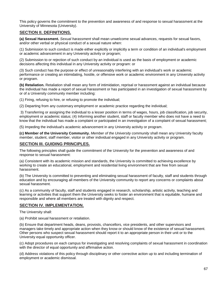This policy governs the commitment to the prevention and awareness of and response to sexual harassment at the University of Minnesota (University).

### **SECTION II. DEFINITIONS.**

**(a) Sexual Harassment.** *Sexual harassment* shall mean unwelcome sexual advances, requests for sexual favors, and/or other verbal or physical conduct of a sexual nature when:

(1) Submission to such conduct is made either explicitly or implicitly a term or condition of an individual's employment or academic advancement in any University activity or program;

(2) Submission to or rejection of such conduct by an individual is used as the basis of employment or academic decisions affecting this individual in any University activity or program: or

(3) Such conduct has the purpose or effect of unreasonably interfering with an individual's work or academic performance or creating an intimidating, hostile, or offensive work or academic environment in any University activity or program.

**(b) Retaliation.** Retaliation shall mean any form of intimidation, reprisal or harassment against an individual because the individual has made a report of sexual harassment or has participated in an investigation of sexual harassment by or of a University community member including:

(1) Firing, refusing to hire, or refusing to promote the individual;

(2) Departing from any customary employment or academic practice regarding the individual;

3) Transferring or assigning the individual to a lesser position in terms of wages, hours, job classification, job security, employment or academic status; (4) Informing another student, staff or faculty member who does not have a need to know that the individual has made a complaint or participated in an investigation of a complaint of sexual harassment;

(5) Impeding the individual's academic advancement in any University activity or program.

**(c) Member of the University Community.** *Member of the University community* shall mean any University faculty member, student, staff member, visitor or other individual engaged in any University activity or program.

### **SECTION III. GUIDING PRINCIPLES.**

The following principles shall guide the commitment of the University for the prevention and awareness of and response to sexual harassment:

(a) Consistent with its academic mission and standards, the University is committed to achieving excellence by working to create an educational, employment and residential living environment that are free from sexual harassment.

(b) The University is committed to preventing and eliminating sexual harassment of faculty, staff and students through education and by encouraging all members of the University community to report any concerns or complaints about sexual harassment.

(c) As a community of faculty, staff and students engaged in research, scholarship, artistic activity, teaching and learning or activities that support them the University seeks to foster an environment that is equitable, humane and responsible and where all members are treated with dignity and respect.

### **SECTION IV. IMPLEMENTATION.**

The University shall:

(a) Prohibit sexual harassment or retaliation.

(b) Ensure that department heads, deans, provosts, chancellors, vice presidents, and other supervisors and managers take timely and appropriate action when they know or should know of the existence of sexual harassment. Other persons who suspect sexual harassment should report it to an appropriate person in their unit or to the University equal opportunity officer.

(c) Adopt procedures on each campus for investigating and resolving complaints of sexual harassment in coordination with the director of equal opportunity and affirmative action.

(d) Address violations of this policy through disciplinary or other corrective action up to and including termination of employment or academic dismissal.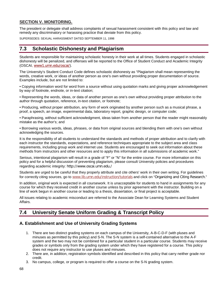## **SECTION V. MONITORING.**

The president or delegate shall address complaints of sexual harassment consistent with this policy and law and remedy any discriminatory or harassing practice that deviate from this policy.

SUPERSEDES: SEXUAL HARASSMENT DATED SEPTEMBER 11, 1998

## **7.3 Scholastic Dishonesty and Plagiarism**

Students are responsible for maintaining scholastic honesty in their work at all times. Students engaged in scholastic dishonesty will be penalized, and offenses will be reported to the Office of Student Conduct and Academic Integrity (OSCAI, [www1.umn.edu/oscai/](http://www1.umn.edu/oscai/)).

The University's Student Conduct Code defines scholastic dishonesty as "Plagiarism shall mean representing the words, creative work, or ideas of another person as one's own without providing proper documentation of source. Examples include, but are not limited to:

• Copying information word for word from a source without using quotation marks and giving proper acknowledgement by way of footnote, endnote, or in-text citation;

• Representing the words, ideas, or data of another person as one's own without providing proper attribution to the author through quotation, reference, in-text citation, or footnote;

• Producing, without proper attribution, any form of work originated by another person such as a musical phrase, a proof, a speech, an image, experimental data, laboratory report, graphic design, or computer code;

• Paraphrasing, without sufficient acknowledgment, ideas taken from another person that the reader might reasonably mistake as the author's; and

• Borrowing various words, ideas, phrases, or data from original sources and blending them with one's own without acknowledging the sources.

It is the responsibility of all students to understand the standards and methods of proper attribution and to clarify with each instructor the standards, expectations, and reference techniques appropriate to the subject area and class requirements, including group work and internet use. Students are encouraged to seek out information about these methods from instructors and other resources and to apply this information in all submissions of academic work."

Serious, intentional plagiarism will result in a grade of "F" or "N" for the entire course. For more information on this policy and for a helpful discussion of preventing plagiarism, please consult University policies and procedures regarding academic integrity: <http://www.oscai.umn.edu./>

Students are urged to be careful that they properly attribute and cite others' work in their own writing. For guidelines for correctly citing sources, go to [www.lib.umn.edu/instruction/tutorials](https://www.lib.umn.edu/instruction/tutorials) and click on "[Organizing and Citing Research](https://www.lib.umn.edu/instruction/tutorials#citing)."

In addition, original work is expected in all coursework. It is unacceptable for students to hand in assignments for any course for which they received credit in another course unless by prior agreement with the instructor. Building on a line of work begun in another course or leading to a thesis, dissertation, or final project is acceptable.

All issues relating to academic misconduct are referred to the Associate Dean for Learning Systems and Student Affairs.

## **7.4 University Senate Uniform Grading & Transcript Policy**

## **A. Establishment and Use of University Grading Systems**

- 1. There are two distinct grading systems on each campus of the University, A-B-C-D-F (with pluses and minuses as permitted by this policy) and S-N. The S-N system is a self-contained alternative to the A-F system and the two may not be combined for a particular student in a particular course. Students may receive grades or symbols only from the grading system under which they have registered for a course. This policy does not require any instructor to use pluses and minuses.
- 2. There are, in addition, registration symbols identified and described in this policy that carry neither grade nor credit.
- 3. No campus, college, or program is required to offer a course on the S-N grading system.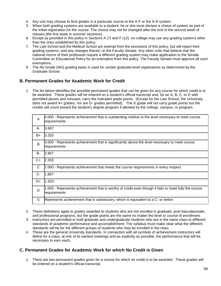- 4. Any unit may choose to limit grades in a particular course to the A-F or the S-N system.
- 5. When both grading systems are available to a student, he or she must declare a choice of system as part of the initial registration for the course. The choice may not be changed after the end of the second week of classes (the first week in summer sessions).
- 6. Except as provided in this policy in Sections A (7) and F (12), no college may use any grading systems other than the ones established by this policy.
- 7. The Law School and the Medical School are exempt from the provisions of this policy, but will report their grading systems, and any changes therein, to the Faculty Senate. Any other units that believe that the national norms of their profession require a different grading system may make application to the Senate Committee on Educational Policy for an exemption from this policy. The Faculty Senate must approve all such exemptions.
- 8. The No Grade (NG) grading basis is used for certain graduate-level registrations as determined by the Graduate School.

## **B. Permanent Grades for Academic Work for Credit**

1. The list below identifies the possible permanent grades that can be given for any course for which credit is to be awarded. These grades will be entered on a student's official transcript and, for an A, B, C, or D with permitted pluses and minuses, carry the indicated grade points. (Except for the Law School, the University does not award A+ grades, nor are D- grades permitted). The S grade will not carry grade points but the credits will count toward the student's degree program if allowed by the college, campus, or program.

| A     | 4.000 - Represents achievement that is outstanding relative to the level necessary to meet course<br>requirements     |
|-------|-----------------------------------------------------------------------------------------------------------------------|
| A-    | 3.667                                                                                                                 |
| B+    | 3.333                                                                                                                 |
| B     | 3.000 - Represents achievement that is significantly above the level necessary to meet course<br>requirements         |
| B-    | 2.667                                                                                                                 |
| C+    | 2.333                                                                                                                 |
| C     | 2.000 - Represents achievement that meets the course requirements in every respect                                    |
| $C -$ | 1.667                                                                                                                 |
| D+    | 1.333                                                                                                                 |
| D     | 1.000 - Represents achievement that is worthy of credit even though it fails to meet fully the course<br>requirements |
| S     | Represents achievement that is satisfactory, which is equivalent to a C- or better.                                   |

- 2. These definitions apply to grades awarded to students who are not enrolled in graduate, post-baccalaureate, and professional programs, but the grade points are the same no matter the level or course of enrollment.
- 3. Instructors are permitted to hold graduate and undergraduate students who are in the same class to different standards of academic performance and accomplishment. The syllabus must make clear what the different standards will be for the different groups of students who may be enrolled in the class.
- 4. These are the general University standards. In connection with all symbols of achievement instructors will define for a class, at one of its earliest meetings and as explicitly as possible, the performance that will be necessary to earn each.

## **C. Permanent Grades for Academic Work for which No Credit is Given**

1. There are two permanent grades given for a course for which no credit is to be awarded. These grades will be entered on a student's official transcript.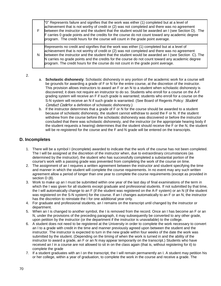|   | " $0$ " Represents failure and signifies that the work was either (1) completed but at a level of<br>achievement that is not worthy of credit or (2) was not completed and there was no agreement<br>between the instructor and the student that the student would be awarded an I (see Section D). The<br>F carries 0 grade points and the credits for the course do not count toward any academic degree<br>program. The credit hours for the course will count in the grade point average. |
|---|-----------------------------------------------------------------------------------------------------------------------------------------------------------------------------------------------------------------------------------------------------------------------------------------------------------------------------------------------------------------------------------------------------------------------------------------------------------------------------------------------|
| N | Represents no credit and signifies that the work was either (1) completed but at a level of<br>achievement that is not worthy of credit or (2) was not completed and there was no agreement<br>between the instructor and the student that the student would be awarded an I (see Section C). The<br>N carries no grade points and the credits for the course do not count toward any academic degree<br>program. The credit hours for the course do not count in the grade point average.    |

- 2.
- a. **Scholastic dishonesty**. Scholastic dishonesty in any portion of the academic work for a course will be grounds for awarding a grade of F or N for the entire course, at the discretion of the instructor. This provision allows instructors to award an F or an N to a student when scholastic dishonesty is discovered; it does not require an instructor to do so. Students who enroll for a course on the A-F grading system will receive an F if such grade is warranted; students who enroll for a course on the S-N system will receive an N if such grade is warranted. (See Board of Regents Policy: Student [Conduct Code](http://regents.umn.edu/sites/default/files/policies/Student_Conduct_Code.pdf) for a definition of scholastic dishonesty.)
- b. If the instructor determines that a grade of F or N for the course should be awarded to a student because of scholastic dishonesty, the student cannot withdraw to avoid the F or N. If the student withdrew from the course before the scholastic dishonesty was discovered or before the instructor concluded that there was scholastic dishonesty, and the instructor (or the appropriate hearing body if the student requests a hearing) determines that the student should receive the F or the N, the student will be re-registered for the course and the F and N grade will be entered on the transcripts.

## **D. Incompletes**

- 1. There will be a symbol I (incomplete) awarded to indicate that the work of the course has not been completed. The I will be assigned at the discretion of the instructor when, due to extraordinary circumstances (as determined by the instructor), the student who has successfully completed a substantial portion of the course's work with a passing grade was prevented from completing the work of the course on time.
- 2. The assignment of an I requires a written agreement between the instructor and student specifying the time and manner in which the student will complete the course requirements. In no event may any such written agreement allow a period of longer than one year to complete the course requirements (except as provided in section D (8).
- 3. Work to make up an I must be submitted within one year of the last day of final examinations of the term in which the I was given for all students except graduate and professional students. If not submitted by that time, the I will automatically change to an F (if the student was registered on the A-F system) or an N (if the student was registered on the S-N system) for the course. If an I changes automatically to an F or an N, the instructor has the discretion to reinstate the I for one additional year only.
- 4. For graduate and professional students, an I remains on the transcript until changed by the instructor or department.
- 5. When an I is changed to another symbol, the I is removed from the record. Once an I has become an F or an N, under the provisions of the preceding paragraph, it may subsequently be converted to any other grade, upon petition by the instructor (or the department if the instructor is unavailable) to the college.
- 6. A student does not need to be registered at the University in order to complete the work necessary to convert an I to a grade with credit in the time and manner previously agreed upon between the student and the instructor. The instructor is expected to turn in the new grade within four weeks of the date the work was submitted by the student. (Depending on the timing of when the work is turned in and the ability of the instructor to award a grade, an F or an N may appear temporarily on the transcript.) Students who have received an I in a course are not allowed to sit in on the class again (that is, without registering for it) to complete the grade
- 7. If a student graduates with an I on the transcript, the I will remain permanently an I. A student may petition his or her college, within a year of graduation, to complete the work in the course and receive a grade. The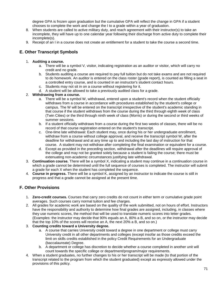degree GPA is frozen upon graduation but the cumulative GPA will reflect the change in GPA if a student chooses to complete the work and change the I to a grade within a year of graduation.

- 8. When students are called to active military duty, and reach agreement with their instructor(s) to take an incomplete, they will have up to one calendar year following their discharge from active duty to complete their incomplete(s).
- 9. Receipt of an I in a course does not create an entitlement for a student to take the course a second time.

## **E. Other Transcript Symbols**

#### 1. **Auditing a course.**

- a. There will be a symbol V, visitor, indicating registration as an auditor or visitor, which will carry no credit and no grade.
- b. Students auditing a course are required to pay full tuition but do not take exams and are not required to do homework. An auditor is entered on the class roster (grade report), is counted as filling a seat in a controlled entry course, and is counted in an instructor's student contact hours.
- c. Students may not sit in on a course without registering for it.
- d. A student will be allowed to take a previously audited class for a grade.

#### 2. **Withdrawing from a course.**

- a. There will be a symbol W, withdrawal, entered upon a student's record when the student officially withdraws from a course in accordance with procedures established by the student's college or campus. The W will be entered on the transcript irrespective of the student's academic standing in that course if the student withdraws from the course during the third through eighth week of class (Twin Cities) or the third through ninth week of class (Morris) or during the second or third weeks of summer sessions.
- b. If a student officially withdraws from a course during the first two weeks of classes, there will be no record of that course registration entered on the student's transcript.
- c. One-time late withdrawal: Each student may, once during his or her undergraduate enrollment, withdraw from a course without college approval, and receive the transcript symbol W, after the deadline for withdrawal and at any time up to and including the last day of instruction for that course. A student may not withdraw after completing the final examination or equivalent for a course.
- d. Except as provided in the preceding section, withdrawal after the deadlines will require approval of the college and may not be granted solely because a student is failing the course; there must be extenuating non-academic circumstances justifying late withdrawal.
- 3. **Continuation course.** There will be a symbol X, indicating a student may continue in a continuation course in which a grade cannot be determined until the full sequence of courses is completed. The instructor will submit a grade for each X when the student has completed the sequence.
- 4. **Course in progress.** There will be a symbol K, assigned by an instructor to indicate the course is still in progress and that a grade cannot be assigned at the present time.

## **F. Other Provisions**

- 1. **Zero-credit courses.** Courses that carry zero credits do not count in either term or cumulative grade point averages. Such courses carry normal tuition and fee charges.
- 2. All grades for academic work are based on the quality of the work submitted, not on hours of effort. Instructors have the responsibility and authority to determine how final grades are assigned, including, in classes where they use numeric scores, the method that will be used to translate numeric scores into letter grades. (Examples: the instructor may decide that 90% equals an A, 80% a B, and so on, or the instructor may decide that the top 10% of the scores will receive an A, the next 20% a B, and so on.)

#### 3. **Counting credits toward a University degree.**

- a. A course that carries University credit toward a degree in one department or college must carry University credit in all other departments and colleges (except insofar as those credits exceed the limit on skills credits established in the policy Credit Requirements for an Undergraduate (baccalaureate) Degree.
- b. A department or college has discretion to decide whether a course completed in another unit will count towards the specific college or department/program/major requirements.
- 4. When a student graduates, no further changes to his or her transcript will be made (to that portion of the transcript related to the program from which the student graduated) except as expressly allowed under the provisions of this policy.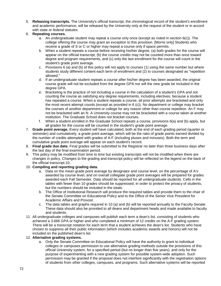- 5. **Releasing transcripts.** The University's official transcript, the chronological record of the student's enrollment and academic performance, will be released by the University only at the request of the student or in accord with state or federal statutes.
- 6. **Repeating courses.**
	- a. An undergraduate student may repeat a course only once (except as noted in section 6(c)). The college offering the course may grant an exception to this provision. [Morris only] Students who receive a grade of S or C or higher may repeat a course only if space permits.
	- b. When a student repeats a course before receiving his/her degree, (a) both grades for the course will appear on the official transcript, (b) the course credits may not be counted more than once toward degree and program requirements, and (c) only the last enrollment for the course will count in the student's grade point average.
	- c. Provisions 6 (a) and (b) of this policy will not apply to courses (1) using the same number but where students study different content each term of enrollment and (2) to courses designated as "repetition allowed."
	- d. If an undergraduate student repeats a course after his/her degree has been awarded, the original course grade will not be excluded from the degree GPA nor will the new grade be included in the degree GPA.
	- e. Bracketing is the practice of not including a course in the calculation of a student's GPA and not counting the course as satisfying any degree requirements, including electives, because a student has repeated a course. When a student repeats a course, all prior attempts are bracketed and only the most recent attempt counts (except as provided in 6 (c)). No department or college may bracket the courses of another department or college for any reason other than course repetition. An F may not be bracketed with an N. A University course may not be bracketed with a course taken at another institution. The Graduate School does not bracket courses.
	- f. When a student enrolled in the Graduate School repeats a course, provisions 6(a) and (b) apply, but all grades for the course will be counted in the student's grade point average.
- 7. **Grade point average.** Every student will have calculated, both at the end of each grading period (quarter or semester) and cumulatively, a grade point average, which will be the ratio of grade points earned divided by the number of credits attempted with grades of A-F (including pluses and minuses). Both the term and cumulative grade point average will appear on each student's record.
- 8. **Final grade due date.** Final grades will be submitted to the Registrar no later than three business days after the last day of the final examination period.
- 9. This policy may be modified from time to time but existing transcripts will not be modified when there are changes in policy. Changes to the grading and transcript policy will be reflected on the legend on the back of the official transcript.10.
- 10. **Compiling and reporting grading data.**
	- a. Data on the mean grade point average by designator and course level, on the percentage of A's awarded by course level, and on overall collegiate grade point averages will be prepared for grades awarded each Fall Semester. Data should be reported for all undergraduate students. Cells in the tables with fewer than 10 grades should be suppressed, in order to protect the privacy of students, but the numbers should be included in the totals.
	- b. The Office of Institutional Research will produce the required tables and provide them to the chair of the Senate Committee on Educational Policy and to the Office of the Senior Vice President for Academic Affairs and Provost.
	- c. The data tables and graphs required in 10 (a) and (b) will be reported annually to the Faculty Senate. These data should also be provided to all deans and department heads and made available to faculty and students.
- 11. All undergraduate colleges and campuses will publish each term a dean's list, consisting of students who achieved a 3.666 GPA or higher and who completed a minimum of 12 credits on the A-F grading system. There will be a transcript notation for each term that a student achieves the dean's list. Students who have chosen to suppress all their public information (which includes academic awards and honors) will not be included on the published dean's list.

#### 12. **Alternative grading systems.**

a. Only the Senate Committee on Educational Policy will have the authority to grant to individual colleges or campuses permission to use alternative grading methods outside the provisions of this official University system, for a specified period (but no longer than five years), and only for the purpose of experimenting with a new grading system for possible system-wide adoption. Such permission may be granted if the proposal does not interfere significantly with the registration options of students from other colleges, campuses, and programs. Such alternative systems will be reported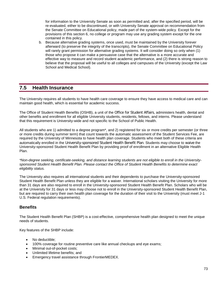for information to the University Senate as soon as permitted and, after the specified period, will be re-evaluated, either to be discontinued, or with University Senate approval on recommendation from the Senate Committee on Educational policy, made part of the system-wide policy. Except for the provisions of this section 6, no college or program may use any grading system except for the one contained in this policy.

b. Because alternative grading systems, once used, must be maintained by the University forever afterward (to preserve the integrity of the transcripts), the Senate Committee on Educational Policy will rarely grant permission for alternative grading systems. It will consider doing so only when (1) those who propose it can make a persuasive case that the alternative is a more accurate and effective way to measure and record student academic performance, and (2) there is strong reason to believe that the proposal will be useful to all colleges and campuses of the University (except the Law School and Medical School).

## **7.5 Health Insurance**

The University requires all students to have health care coverage to ensure they have access to medical care and can maintain good health, which is essential for academic success.

The Office of Student Health Benefits (OSHB), a unit of the [Office for Student Affairs](http://www.osa.umn.edu/), administers health, dental and other benefits and enrollment for all eligible University students, residents, fellows, and interns. Please understand that this requirement is University-wide and not specific to the School of Public Health.

All students who are 1) admitted to a degree program\*, and 2) registered for six or more credits per semester (or three or more credits during summer term) that count towards the automatic assessment of the Student Services Fee, are required by the University of Minnesota to have health plan coverage. Students who meet both of these criteria are automatically enrolled in the [University-sponsored Student Health Benefit Plan](http://www.shb.umn.edu/). Students may choose to [waive](http://www.shb.umn.edu/waiver/index.htm) the University-sponsored Student Health Benefit Plan by providing proof of enrollment in an alternative Eligible Health Plan.

*\*Non-degree seeking, certificate-seeking, and distance learning students are not eligible to enroll in the Universitysponsored Student Health Benefit Plan. Please contact the Office of Student Health Benefits to determine exact eligibility status.*

The University also requires all international students and their dependents to purchase the University-sponsored Student Health Benefit Plan unless they are eligible for a waiver. International scholars visiting the University for more than 31 days are also required to enroll in the University-sponsored Student Health Benefit Plan. Scholars who will be at the University for 31 days or less may choose not to enroll in the University-sponsored Student Health Benefit Plan, but are required to carry their own health plan coverage for the duration of their visit to the University (must meet J-1 U.S. Federal regulation requirements).

### **Benefits**

The Student Health Benefit Plan (SHBP) is a cost-effective, comprehensive health plan designed to meet the unique needs of students.

Key features of the SHBP include:

- No deductible:
- 100% coverage for routine preventive care like annual checkups and eye exams;
- Minimal out-of-pocket costs;
- Unlimited lifetime benefits; and
- Emergency travel assistance through FrontierMEDEX.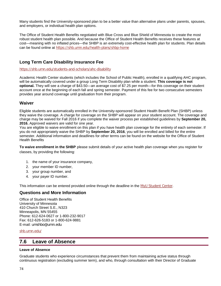Many students find the University-sponsored plan to be a better value than alternative plans under parents, spouses, and employers, or individual health plan options.

The Office of Student Health Benefits negotiated with Blue Cross and Blue Shield of Minnesota to create the most robust student health plan possible. And because the Office of Student Health Benefits receives these features at cost—meaning with no inflated prices—the SHBP is an extremely cost-effective health plan for students. Plan details can be found online at <https://shb.umn.edu/health-plans/shbp-home>

## **Long Term Care Disability Insurance Fee**

<https://shb.umn.edu/students-and-scholars/ahc-disability>

Academic Health Center students (which includes the School of Public Health), enrolled in a qualifying AHC program, will be automatically covered under a group Long Term Disability plan while a student. **This coverage is not optional.** They will see a charge of \$43.50—an average cost of \$7.25 per month—for this coverage on their student account once at the beginning of each fall and spring semester. Payment of this fee for two consecutive semesters provides year around coverage until graduation from their program.

#### **Waiver**

Eligible students are automatically enrolled in the University-sponsored Student Health Benefit Plan (SHBP) unless they waive the coverage. A charge for coverage on the SHBP will appear on your student account. The coverage and charge may be waived for Fall 2016 if you complete the waiver process per established guidelines by **September 20, 2016.** Approved waivers are valid for one year.

You are eligible to waive enrollment on this plan if you have health plan coverage for the entirety of each semester. If you do not appropriately waive the SHBP by **September 20, 2016**, you will be enrolled and billed for the entire semester. Additional information and deadlines for other terms can be found on the website for the Office of Student Health Benefits

**To waive enrollment in the SHBP** please submit details of your active health plan coverage when you register for classes, by providing the following:

- 1. the name of your insurance company,
- 2. your member ID number,
- 3. your group number, and
- 4. your payer ID number.

This information can be entered provided online through the deadline in the [MyU Student Center](http://myu.umn.edu/).

#### **Questions and More Information**

Office of Student Health Benefits University of Minnesota 410 Church Street S.E., N323 Minneapolis, MN 55455 Phone: 612-624-0627 or 1-800-232-9017 Fax: 612-626-5183 or 1-800-624-9881 E-mail: [umshbo@umn.edu](mailto:umshbo@umn.edu)

#### [shb.umn.edu/](https://shb.umn.edu/)

## **7.6 Leave of Absence**

#### **Leave of Absence**

Graduate students who experience circumstances that prevent them from maintaining active status through continuous registration (excluding summer term), and who, through consultation with their Director of Graduate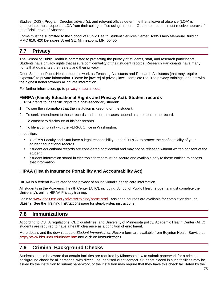Studies (DGS), Program Director, advisor(s), and relevant offices determine that a leave of absence (LOA) is appropriate, must request a LOA from their college office using this form. Graduate students must receive approval for an official Leave of Absence.

Forms must be submitted to the School of Public Health Student Services Center, A395 Mayo Memorial Building, MMC 819, 420 Delaware Street SE, Minneapolis, MN 55455.

## **7.7 Privacy**

The School of Public Health is committed to protecting the privacy of students, staff, and research participants. Students have privacy rights that assure confidentiality of their student records. Research Participants have many rights that guarantee their safety and their privacy.

Often School of Public Health students work as Teaching Assistants and Research Assistants [that may require exposure] to private information. Please be [aware] of privacy laws, complete required privacy trainings, and act with the highest honor towards all private information.

For further information, go to [privacy.ahc.umn.edu](http://privacy.ahc.umn.edu/).

### **FERPA (Family Educational Rights and Privacy Act): Student records**

FERPA grants four specific rights to a post-secondary student:

- 1. To see the information that the institution is keeping on the student.
- 2. To seek amendment to those records and in certain cases append a statement to the record.
- 3. To consent to disclosure of his/her records.
- 4. To file a complaint with the FERPA Office in Washington.

In addition:

- U of MN Faculty and Staff have a legal responsibility, under FERPA, to protect the confidentiality of your student educational records.
- Student educational records are considered confidential and may not be released without written consent of the student.
- Student information stored in electronic format must be secure and available only to those entitled to access that information.

### **HIPAA (Health Insurance Portability and Accountability Act)**

HIPAA is a federal law related to the privacy of an individual's health care information.

All students in the Academic Health Center (AHC), including School of Public Health students, must complete the University's online HIPAA Privacy training.

Login to [www.ahc.umn.edu/privacy/training/home.html](http://www.ahc.umn.edu/privacy/training/home.html). Assigned courses are available for completion through [ULearn](http://www1.umn.edu/ohr/training/lms/index.html). See the [Training Instructions](http://www.privacysecurity.umn.edu/training/instructions/home.html) page for step-by-step instructions.

# **7.8 Immunizations**

According to OSHA regulations, CDC guidelines, and University of Minnesota policy, Academic Health Center (AHC) students are required to have a health clearance as a condition of enrollment.

More details and the downloadable *Student Immunization Record* form are available from Boynton Health Service at <http://www.bhs.umn.edu/index.htm> and click on immunizations.

# **7.9 Criminal Background Checks**

Students should be aware that certain facilities are required by Minnesota law to submit paperwork for a criminal background check for all personnel with direct, unsupervised client contact. Students placed in such facilities may be asked by the institution to submit paperwork, or the institution may require that they have this check facilitated by the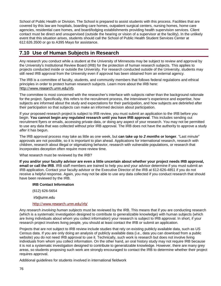School of Public Health or Division. The School is prepared to assist students with this process. Facilities that are covered by this law are hospitals, boarding care homes, outpatient surgical centers, nursing homes, home care agencies, residential care homes, and board/lodging establishments providing health supervision services. Client contact must be direct and unsupervised (outside the hearing or vision of a supervisor at the facility). In the unlikely event that this situation arises, students should call the School of Public Health Student Services Center at 612.626.3500 or go to A395 Mayo for assistance.

# **7.10 Use of Human Subjects in Research**

Any research you conduct while a student at the University of Minnesota may be subject to review and approval by the University's Institutional Review Board (IRB) for the protection of human research subjects. This applies to projects conducted inside or outside the University. For research conducted outside of the University, students may still need IRB approval from the University even if approval has been obtained from an external agency.

The IRB is a committee of faculty, students, and community members that follows federal regulations and ethical principles in order to protect human research subjects. Learn more about the IRB here: [http://www.research.umn.edu/irb](http://www.research.umn.edu/irb/).

The committee is most concerned with the researcher's interface with subjects rather than the background rationale for the project. Specifically, this refers to the recruitment process, the interviewer's experience and expertise, how subjects are informed about the study and expectations for their participation, and how subjects are debriefed after their participation so that subjects can make an informed decision about participation.

If your proposed research project is subject to IRB review, you must submit an application to the IRB before you begin. **You cannot begin any regulated research until you have IRB approval**. This includes sending out recruitment flyers or emails, accessing private data, or doing any aspect of your research. You may not be permitted to use any data that was collected without prior IRB approval. The IRB does not have the authority to approve a study *after* it has begun.

The IRB approval process may take as little as one week, but **can take up to** *2 months* **or longer**. "Last minute" approvals are not possible, so it is important to plan ahead. Applications for international research, research with children, research about illegal or stigmatizing behavior, research with vulnerable populations, or research that incorporates deception often require more review time.

What research must be reviewed by the IRB?

**If you and/or your faculty advisor are even a little uncertain about whether your project needs IRB approval, email or call the IRB**. IRB staff members are trained to help you and your advisor determine if you must submit an IRB application. Contact your faculty advisor or the Executive Director of the IRB at 612-626-4851 if you do not receive a helpful response. Again, you may not be able to use any data collected if you conduct research that should have been reviewed by the IRB.

#### **IRB Contact Information**

(612) 626-5654

[irb@umn.edu](mailto:irb@umn.edu)

#### <http://www.research.umn.edu/irb/>

Any *research involving human subjects* must be reviewed by the IRB. This means that if you are conducting research (which is a systematic investigation designed to contribute to generalizable knowledge) with human subjects (which are living individuals about whom you collect information) your research is subject to IRB approval. In short, if your research project involves living people, you should at least contact the IRB or submit an application.

Projects that are not subject to IRB review include studies that rely on existing publicly available data, such as US Census data. If you are only doing an analysis of publicly available data (i.e., data you can download from a public website) you do not need IRB approval to use it. Technically, such work is research but does not involve living individuals from whom you collect information. On the other hand, an oral history study may not require IRB because it is not a systematic investigation designed to contribute to generalizable knowledge. However, there are many grey areas, so students proposing such work are strongly encouraged to contact the IRB to determine whether their project requires approval.

Additional guidelines for students involved in international fieldwork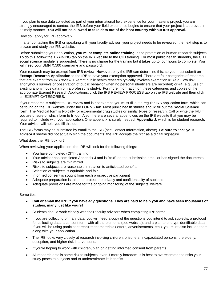If you plan to use data collected as part of your international field experience for your master's project, you are strongly encouraged to contact the IRB before your field experience begins to ensure that your project is approved in a timely manner. **You will not be allowed to take data out of the host country without IRB approval.**

#### How do I apply for IRB approval?

If, after contacting the IRB or speaking with your faculty advisor, your project needs to be reviewed, the next step is to browse and study the IRB website.

Before submitting your application, **you must complete online training** in the protection of human research subjects. To do this, follow the TRAINING tab on the IRB website to the CITI training. For most public health students, the CITI social science module is suggested. There is no charge for the training but it takes up to four hours to complete. You will need your UMN X.500 username and password.

Your research may be exempt from IRB review. However, only the IRB can determine this, so you must submit an **Exempt Research Application** to the IRB to have your exemption approved. There are four categories of research that are exempt from IRB review. Exempt public health research typically involves exemption #2 (e.g., low risk anonymous surveys or observation of public behavior when no personal identifiers are recorded) or #4 (e.g., use of existing anonymous data from a professor's study). For more information on these categories and copies of the appropriate Exempt Research Applications, click the IRB REVIEW PROCESS tab on the IRB website and then click on EXEMPT CATEGORIES.

If your research is subject to IRB review and is not exempt, you must fill out a regular IRB application form, which can be found on the IRB website under the FORMS tab. Most public health studies should fill out the **Social Science form**. The Medical form is typically for experimental drug studies or similar types of research. Call or write the IRB if you are unsure of which form to fill out. Also, there are several appendices on the IRB website that you may be required to include with your application. One appendix is surely needed: **Appendix J**, which is for student research. Your advisor will help you fill this out.

The IRB forms may be submitted by email to the IRB (see Contact Information, above). **Be sure to "cc" your advisor** if she/he did not actually sign the documents: the IRB accepts the "cc" as a digital signature.

What does the IRB look for?

When reviewing your application, the IRB will look for the following things:

- You have completed (CITI) training
- Your advisor has completed Appendix J and is "cc'd" on the submission email or has signed the documents
- Risks to subjects are minimized
- Risks to subjects are reasonable in relation to anticipated benefits
- Selection of subjects is equitable and fair
- Informed consent is sought from each prospective participant
- Adequate preparation is taken to protect the privacy and confidentiality of subjects
- Adequate provisions are made for the ongoing monitoring of the subjects' welfare

#### Some tips

- **Call or email the IRB if you have** *any* **questions. They are paid to help you and have seen thousands of studies, many just like yours!**
- Students should work closely with their faculty advisors when completing IRB forms.
- If you are collecting primary data, you will need a copy of the questions you intend to ask subjects, a protocol for collecting data, a consent form with all the elements (see website), and a plan to encrypt identifiable data. If you will be using participant recruitment materials (letters, advertisements, etc.), you must also include them along with your application.
- The IRB looks very closely at research involving children, prisoners, incapacitated persons, the elderly, deception, and higher risk interventions.
- If you're hoping to work with children, plan on getting informed consent from parents.
- All research entails some risk to subjects, even if merely boredom. It is best to overestimate the risks your study poses to subjects and to underestimate its benefits.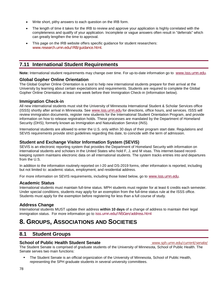- Write short, pithy answers to each question on the IRB form.
- The length of time it takes for the IRB to review and approve your application is highly correlated with the completeness and qualify of your application. Incomplete or vague answers often result in "deferrals" which can greatly lengthen the time to approval.
- This page on the IRB website offers specific guidance for student researchers: [www.research.umn.edu/IRB/guidance.html.](http://www.research.umn.edu/IRB/guidance.html)

# **7.11 International Student Requirements**

**Note:** International student requirements may change over time. For up-to-date information go to [www.isss.umn.edu](http://www.isss.umn.edu/).

#### **Global Gopher Online Orientation**

The Global Gopher Online Orientation is a tool to help new international students prepare for their arrival at the University by learning about certain expectations and requirements. Students are required to complete the Global Gopher Online Orientation at least one week before their Immigration Check-in (information below).

#### **Immigration Check-in**

All new international students must visit the University of Minnesota International Student & Scholar Services office (ISSS) shortly after arrival in Minnesota. See [www.isss.umn.edu](http://www.isss.umn.edu/) for directions, office hours, and services. ISSS will review immigration documents, register new students for the International Student Orientation Program, and provide information on how to release registration holds. These processes are mandated by the Department of Homeland Security (DHS); formerly known as Immigration and Naturalization Service (INS).

International students are allowed to enter the U.S. only within 30 days of their program start date. Regulations and SEVIS requirements provide strict guidelines regarding this date, to coincide with the term of admission.

#### **Student and Exchange Visitor Information System (SEVIS)**

SEVIS is an electronic reporting system that provides the Department of Homeland Security with information on international students and scholars in the United States who hold F, J, and M visas. This internet-based recordkeeping system maintains electronic data on all international students. The system tracks entries into and departures from the U.S.

In addition to the information routinely reported on I-20 and DS-2019 forms, other information is reported, including but not limited to: academic status, employment, and residential address.

For more information on SEVIS requirements, including those listed below, go to [www.isss.umn.edu](http://www.isss.umn.edu/).

#### **Academic Status**

International students must maintain full-time status. MPH students must register for at least 6 credits each semester. Under special conditions, students may apply for an exemption from the full-time status rule at the ISSS office. Students must apply for the exemption before registering for less than a full course of study.

### **Address Change**

International students MUST update their address **within 10 days** of a change of address to maintain their legal immigration status. For more information go to [isss.umn.edu/INSGen/address.html](https://isss.umn.edu/INSGen/address.html)

# **8. GROUPS, ASSOCIATIONS AND SOCIETIES**

# **8.1 Student Groups**

#### **School of Public Health Student Senate [www.sph.umn.edu/current/senate/](http://www.sph.umn.edu/current/senate/)**

The Student Senate is comprised of graduate students of the University of Minnesota, School of Public Health. The Senate serves two main functions:

 The Student Senate is an official organization of the University of Minnesota, School of Public Health, representing the SPH graduate students in several university committees.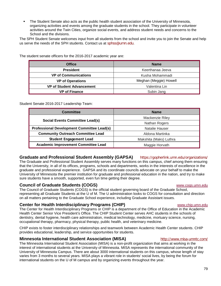The Student Senate also acts as the public health student association of the University of Minnesota, organizing activities and events among the graduate students in the school. They participate in volunteer activities around the Twin Cities, organize social events, and address student needs and concerns to the School and the divisions.

The SPH Student Senate welcomes input from all students from the school and invite you to join the Senate and help us serve the needs of the SPH students. Contact us at [sphss@umn.edu](mailto:sphss@umn.edu).

**Office Name President** Keerthanaa Jeeva **VP of Communications Kusha Mohammadi VP of Operations Meghan** (Meggie) Howell **VP of Student Advancement VP of Student Advancement VP of Finance Subin Jang** 

The student senate officers for the 2016-2017 academic year are:

Student Senate 2016-2017 Leadership Team:

| <b>Committee</b>                                  | <b>Name</b>            |
|---------------------------------------------------|------------------------|
| <b>Social Events Committee Lead(s)</b>            | Mackenzie Riley        |
|                                                   | Nathan Rogers          |
| <b>Professional Development Committee Lead(s)</b> | Natalie Hauser         |
| <b>Community Outreach Committee Lead</b>          | Aldona Martinka        |
| <b>Student Engagement Lead</b>                    | Makshita (Maks) Luthra |
| <b>Academic Improvement Committee Lead</b>        | Maggie Horvath         |

### **Graduate and Professional Student Assembly (GAPSA)** <https://gopherlink.umn.edu/organizations/>

The Graduate and Professional Student Assembly serves many functions on this campus, chief among them ensuring that the University, in all of its offices, programs, schools and departments, works in the interests of excellence in the graduate and professional experience. GAPSA and its coordinate councils advocate on your behalf to make the University of Minnesota the premier institution for graduate and professional education in the nation, and try to make sure students have a smooth, supported, even fun time getting their degree.

#### **Council of Graduate Students (COGS) Council of Graduate Students (COGS)**

The Council of Graduate Students (COGS) is the official student governing board of the Graduate School, representing all Graduate Students at the U of M. The U administration looks to COGS for consultation and direction on all matters pertaining to the Graduate School experience, including Graduate Assistant issues.

### **Center for Health Interdisciplinary Programs (CHIP)** [www.chip.umn.edu](http://www.chip.umn.edu/)

The Center for Health Interdisciplinary Programs or CHIP is a department of the Office of Education in the [Academic](http://www.ahc.umn.edu/)  [Health Center](http://www.ahc.umn.edu/) Senior Vice President's Office. The CHIP Student Center serves AHC students in the schools of dentistry, dental hygiene, health care administration, medical technology, medicine, mortuary science, nursing, occupational therapy, pharmacy, physical therapy, public health, and veterinary medicine.

CHIP exists to foster interdisciplinary relationships and teamwork between Academic Health Center students. CHIP provides educational, leadership, and service opportunities for students.

#### **Minnesota International Student Association (MISA)** <http://www.misa-umntc.com/>

The Minnesota International Student Association (MISA) is a non-profit organization that aims at working in the interest of international students at the University of Minnesota. MISA represents the international community of the University of Minnesota Campus. There are about 3000 international students on this campus, whose length of stay varies from 3 months to several years. MISA plays a vibrant role in students' social lives, by being the forum for international students on the U of M campus and by organizing events throughout the year.

#### 79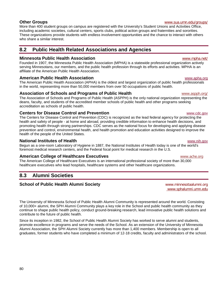## **Other Groups** [www.sua.umn.edu/groups/](http://www.sua.umn.edu/groups/)

More than 400 student groups on campus are registered with the University's Student Unions and Activities Office, including academic societies, cultural centers, sports clubs, political action groups and fraternities and sororities. These organizations provide students with endless involvement opportunities and the chance to interact with others who share a similar interest.

# **8.2 Public Health Related Associations and Agencies**

### **Minnesota Public Health Association** [www.mpha.net/](http://www.mpha.net/)

Founded in 1907, the Minnesota Public Health Association (MPHA) is a statewide professional organization actively serving Minnesotans, our members, and the public health profession through its efforts and activities. MPHA is an affiliate of the American Public Health Association.

### **American Public Health Association** Manuscription and the control [www.apha.org](http://www.apha.org/)

The American Public Health Association (APHA) is the oldest and largest organization of public health professionals in the world, representing more than 50,000 members from over 50 occupations of public health.

## **Association of Schools and Programs of Public Health** Washington Wave Washington Washington Museum Museum Museum Museum Museum Museum Museum Museum Museum Museum Museum Museum Museum Museum Museum Museum Museum Museum Mus

The Association of Schools and Programs of Public Health (ASPPH) is the only national organization representing the deans, faculty, and students of the accredited member schools of public health and other programs seeking accreditation as schools of public health.

## **Centers for Disease Control and Prevention Control and Prevention [www.cdc.gov](http://www.cdc.gov/)**

The Centers for Disease Control and Prevention (CDC) is recognized as the lead federal agency for protecting the health and safety of people - at home and abroad, providing credible information to enhance health decisions, and promoting health through strong partnerships. CDC serves as the national focus for developing and applying disease prevention and control, environmental health, and health promotion and education activities designed to improve the health of the people of the United States.

### **National Institutes of Health** [www.nih.gov](http://www.nih.gov/)

Begun as a one-room Laboratory of Hygiene in 1887, the National Institutes of Health today is one of the world's foremost medical research centers, and the Federal focal point for medical research in the U.S.

## **American College of Healthcare Executives American College of Healthcare Executives [www.ache.org](http://www.ache.org/)**

The American College of Healthcare Executives is an international professional society of more than 30,000 healthcare executives who lead hospitals, healthcare systems and other healthcare organizations.

# **8.3 Alumni Societies**

## **School of Public Health Alumni Society [www.minnesotaalumni.org](http://www.minnesotaalumni.org/)**

The University of Minnesota School of Public Health Alumni Community is represented around the world. Consisting of 10,000+ alumni, the SPH Alumni Community plays a key role in the School and public health community as they continue to shape public health policy, conduct ground-breaking research, lead innovative public health solutions and contribute to the future of public health.

Since its inception in 1982, the School of Public Health Alumni Society has worked to serve alumni and students, promote excellence in programs and serve the needs of the School. As an extension of the University of Minnesota Alumni Association, the SPH Alumni Society currently has more than 1,400 members. Membership is open to all graduates, former students who have completed a minimum of 12-18 credits, faculty and administrators of the school.

[www.sphalumni.umn.edu](http://sphalumni.umn.edu/s/1604/01-sph/start.aspx)